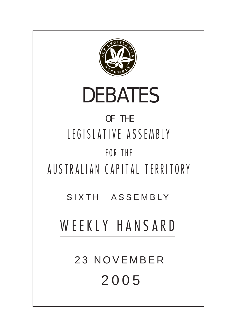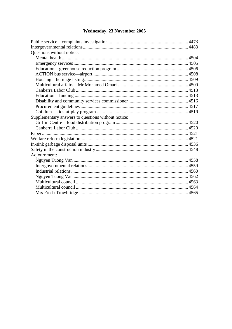# Wednesday, 23 November 2005

| Questions without notice:                          |  |
|----------------------------------------------------|--|
|                                                    |  |
|                                                    |  |
|                                                    |  |
|                                                    |  |
|                                                    |  |
|                                                    |  |
|                                                    |  |
|                                                    |  |
|                                                    |  |
|                                                    |  |
|                                                    |  |
| Supplementary answers to questions without notice: |  |
|                                                    |  |
|                                                    |  |
|                                                    |  |
|                                                    |  |
|                                                    |  |
|                                                    |  |
| Adjournment:                                       |  |
|                                                    |  |
|                                                    |  |
|                                                    |  |
|                                                    |  |
|                                                    |  |
|                                                    |  |
|                                                    |  |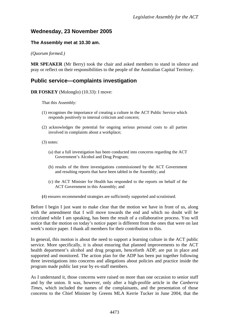# <span id="page-2-0"></span>**Wednesday, 23 November 2005**

#### **The Assembly met at 10.30 am.**

*(Quorum formed.)* 

**MR SPEAKER** (Mr Berry) took the chair and asked members to stand in silence and pray or reflect on their responsibilities to the people of the Australian Capital Territory.

## **Public service—complaints investigation**

**DR FOSKEY** (Molonglo) (10.33): I move:

That this Assembly:

- (1) recognises the importance of creating a culture in the ACT Public Service which responds positively to internal criticism and concern;
- (2) acknowledges the potential for ongoing serious personal costs to all parties involved in complaints about a workplace;
- (3) notes:
	- (a) that a full investigation has been conducted into concerns regarding the ACT Government's Alcohol and Drug Program;
	- (b) results of the three investigations commissioned by the ACT Government and resulting reports that have been tabled in the Assembly; and
	- (c) the ACT Minister for Health has responded to the reports on behalf of the ACT Government in this Assembly; and
- **(**4) ensures recommended strategies are sufficiently supported and scrutinised.

Before I begin I just want to make clear that the motion we have in front of us, along with the amendment that I will move towards the end and which no doubt will be circulated while I am speaking, has been the result of a collaborative process. You will notice that the motion on today's notice paper is different from the ones that were on last week's notice paper. I thank all members for their contribution to this.

In general, this motion is about the need to support a learning culture in the ACT public service. More specifically, it is about ensuring that planned improvements to the ACT health department's alcohol and drug program, henceforth ADP, are put in place and supported and monitored. The action plan for the ADP has been put together following three investigations into concerns and allegations about policies and practice inside the program made public last year by ex-staff members.

As I understand it, those concerns were raised on more than one occasion to senior staff and by the union. It was, however, only after a high-profile article in the *Canberra Times*, which included the names of the complainants, and the presentation of those concerns to the Chief Minister by Greens MLA Kerrie Tucker in June 2004, that the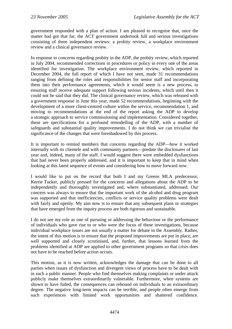government responded with a plan of action. I am pleased to recognise that, once the matter had got that far, the ACT government undertook full and serious investigations consisting of three independent reviews: a probity review, a workplace environment review and a clinical governance review.

In response to concerns regarding probity in the ADP, the probity review, which reported in July 2004, recommended corrections in procedures or policy in every one of the areas identified for investigation. The workplace environment review, which reported in December 2004, the full report of which I have not seen, made 31 recommendations ranging from defining the roles and responsibilities for senior staff and incorporating them into their performance agreements, which it would seem is a new process, to ensuring staff receive adequate support following serious incidents, which until then it could not be said that they did. The clinical governance review, which was released with a government response in June this year, made 52 recommendations, beginning with the development of a more client-centred culture within the service, recommendation 1, and moving to recommendations at the end of the report asking the ADP to develop a strategic approach to service commissioning and implementation. Considered together, these are specifications for a profound remodelling of the ADP, with a number of safeguards and substantial quality improvements. I do not think we can trivialise the significance of the changes that were foreshadowed by this process.

It is important to remind members that concerns regarding the ADP—how it worked internally with its clientele and with community partners—predate the disclosures of last year and, indeed, many of the staff. I would suggest there were embedded dysfunctions that had never been properly addressed, and it is important to keep that in mind when looking at this latest sequence of events and considering how to move forward now.

I would like to put on the record that both I and my Greens MLA predecessor, Kerrie Tucker, publicly pressed for the concerns and allegations about the ADP to be independently and thoroughly investigated and, where substantiated, addressed. Our concern was always to ensure that the important work of the alcohol and drug program was supported and that inefficiencies, conflicts or service quality problems were dealt with fairly and openly. My aim now is to ensure that any subsequent plans or strategies that have emerged from the inquiry process are both rigorous and sustainable.

I do not see my role as one of pursuing or addressing the behaviour or the performance of individuals who gave rise to or who were the focus of these investigations, because individual workplace issues are not usually a matter for debate in the Assembly. Rather, the intent of this motion is to ensure that the proposed improvements are put in place, are well supported and closely scrutinised, and, further, that lessons learned from the problems identified at ADP are applied to other government programs so that crisis does not have to be reached before action occurs.

This motion, as it is now written, acknowledges the damage that can be done to all parties when issues of dysfunction and divergent views of process have to be dealt with in such a public manner. People who find themselves making complaints or under attack publicly make themselves extraordinarily vulnerable. Furthermore, when systems are shown to have failed, the consequences can rebound on individuals to an extraordinary degree. The negative long-term impacts can be terrible, and people often emerge from such experiences with limited work opportunities and shattered confidence.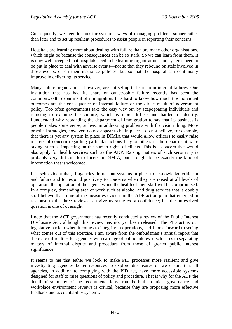Consequently, we need to look for systemic ways of managing problems sooner rather than later and to set up resilient procedures to assist people in reporting their concerns.

Hospitals are learning more about dealing with failure than are many other organisations, which might be because the consequences can be so stark. So we can learn from them. It is now well accepted that hospitals need to be learning organisations and systems need to be put in place to deal with adverse events—not so that they rebound on staff involved in those events, or on their insurance policies, but so that the hospital can continually improve in delivering its service.

Many public organisations, however, are not set up to learn from internal failures. One institution that has had its share of catastrophic failure recently has been the commonwealth department of immigration. It is hard to know how much the individual outcomes are the consequence of internal failure or the direct result of government policy. Too often governments take the easy way out by scapegoating individuals and refusing to examine the culture, which is more diffuse and harder to identify. I understand why rebranding the department of immigration to say that its business is people makes some sense, at least in addressing problems with the vision thing. More practical strategies, however, do not appear to be in place. I do not believe, for example, that there is yet any system in place in DIMIA that would allow officers to easily raise matters of concern regarding particular actions they or others in the department were taking, such as impacting on the human rights of clients. This is a concern that would also apply for health services such as the ADP. Raising matters of such sensitivity is probably very difficult for officers in DIMIA, but it ought to be exactly the kind of information that is welcomed.

It is self-evident that, if agencies do not put systems in place to acknowledge criticism and failure and to respond positively to concerns when they are raised at all levels of operation, the operation of the agencies and the health of their staff will be compromised. In a complex, demanding area of work such as alcohol and drug services that is doubly so. I believe that some of the measures evident in the ADP action plan that emerged in response to the three reviews can give us some extra confidence; but the unresolved question is one of oversight.

I note that the ACT government has recently conducted a review of the Public Interest Disclosure Act, although this review has not yet been released. The PID act is our legislative backup when it comes to integrity in operations, and I look forward to seeing what comes out of this exercise. I am aware from the ombudsman's annual report that there are difficulties for agencies with carriage of public interest disclosures in separating matters of internal dispute and procedure from those of greater public interest significance.

It seems to me that either we look to make PID processes more resilient and give investigating agencies better resources to explore disclosures or we ensure that all agencies, in addition to complying with the PID act, have more accessible systems designed for staff to raise questions of policy and procedure. That is why for the ADP the detail of so many of the recommendations from both the clinical governance and workplace environment reviews is critical, because they are proposing more effective feedback and accountability systems.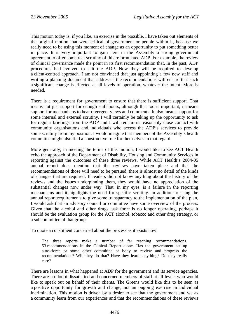This motion today is, if you like, an exercise in the possible. I have taken out elements of the original motion that were critical of government or people within it, because we really need to be using this moment of change as an opportunity to put something better in place. It is very important to gain here in the Assembly a strong government agreement to offer some real scrutiny of this reformulated ADP. For example, the review of clinical governance made the point in its first recommendation that, in the past, ADP procedures had evolved to suit the ADP. Now they will be required to develop a client-centred approach. I am not convinced that just appointing a few new staff and writing a planning document that addresses the recommendations will ensure that such a significant change is effected at all levels of operation, whatever the intent. More is needed.

There is a requirement for government to ensure that there is sufficient support. That means not just support for enough staff hours, although that too is important; it means support for mechanisms to hear divergent views and comments. It also means support for some internal and external scrutiny. I will certainly be taking up the opportunity to ask for regular briefings from the ADP and I will remain in reasonably close contact with community organisations and individuals who access the ADP's services to provide some scrutiny from my position. I would imagine that members of the Assembly's health committee might also find a constructive role for themselves in that regard.

More generally, in meeting the terms of this motion, I would like to see ACT Health echo the approach of the Department of Disability, Housing and Community Services in reporting against the outcomes of these three reviews. While ACT Health's 2004-05 annual report does mention that the reviews have taken place and that the recommendations of those will need to be pursued, there is almost no detail of the kinds of changes that are required. If readers did not know anything about the history of the reviews and the issues underpinning them, they would have no appreciation of the substantial changes now under way. That, in my eyes, is a failure in the reporting mechanisms and it highlights the need for specific scrutiny. In addition to using the annual report requirements to give some transparency to the implementation of the plan, I would ask that an advisory council or committee have some overview of the process. Given that the alcohol and other drugs task force is no longer operating, perhaps it should be the evaluation group for the ACT alcohol, tobacco and other drug strategy, or a subcommittee of that group.

To quote a constituent concerned about the process as it exists now:

The three reports make a number of far reaching recommendations. 53 recommendations in the Clinical Report alone. Has the government set up a taskforce or some other committee or body to review and progress the recommendations? Will they do that? Have they learnt anything? Do they really care?

There are lessons in what happened at ADP for the government and its service agencies. There are no doubt dissatisfied and concerned members of staff at all levels who would like to speak out on behalf of their clients. The Greens would like this to be seen as a positive opportunity for growth and change, not an ongoing exercise in individual incrimination. This motion is driven by a desire to see that the government and we as a community learn from our experiences and that the recommendations of these reviews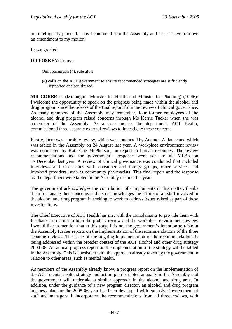are intelligently pursued. Thus I commend it to the Assembly and I seek leave to move an amendment to my motion:

Leave granted.

#### **DR FOSKEY**: I move:

Omit paragraph (4), substitute:

**(**4) calls on the ACT government to ensure recommended strategies are sufficiently supported and scrutinised.

**MR CORBELL** (Molonglo—Minister for Health and Minister for Planning) (10.46): I welcome the opportunity to speak on the progress being made within the alcohol and drug program since the release of the final report from the review of clinical governance. As many members of the Assembly may remember, four former employees of the alcohol and drug program raised concerns through Ms Kerrie Tucker when she was a member of the Assembly. As a consequence, the department, ACT Health, commissioned three separate external reviews to investigate these concerns.

Firstly, there was a probity review, which was conducted by Acumen Alliance and which was tabled in the Assembly on 24 August last year. A workplace environment review was conducted by Katherine McPherson, an expert in human resources. The review recommendations and the government's response were sent to all MLAs on 17 December last year. A review of clinical governance was conducted that included interviews and discussions with consumer and family groups, other services and involved providers, such as community pharmacists. This final report and the response by the department were tabled in the Assembly in June this year.

The government acknowledges the contribution of complainants in this matter, thanks them for raising their concerns and also acknowledges the efforts of all staff involved in the alcohol and drug program in seeking to work to address issues raised as part of these investigations.

The Chief Executive of ACT Health has met with the complainants to provide them with feedback in relation to both the probity review and the workplace environment review. I would like to mention that at this stage it is not the government's intention to table in the Assembly further reports on the implementation of the recommendations of the three separate reviews. The issue of the ongoing implementation of the recommendations is being addressed within the broader context of the ACT alcohol and other drug strategy 2004-08. An annual progress report on the implementation of the strategy will be tabled in the Assembly. This is consistent with the approach already taken by the government in relation to other areas, such as mental health.

As members of the Assembly already know, a progress report on the implementation of the ACT mental health strategy and action plan is tabled annually in the Assembly and the government will undertake a similar approach in the alcohol and drug area. In addition, under the guidance of a new program director, an alcohol and drug program business plan for the 2005-06 year has been developed with extensive involvement of staff and managers. It incorporates the recommendations from all three reviews, with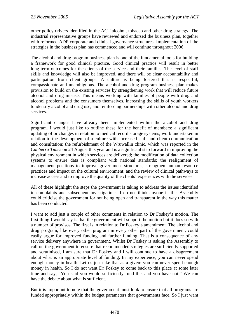other policy drivers identified in the ACT alcohol, tobacco and other drug strategy. The industrial representative groups have reviewed and endorsed the business plan, together with reformed ADP corporate and clinical governance structures. Implementation of the strategies in the business plan has commenced and will continue throughout 2006.

The alcohol and drug program business plan is one of the fundamental tools for building a framework for good clinical practice. Good clinical practice will result in better long-term outcomes for the clients of the service and their families. The level of staff skills and knowledge will also be improved, and there will be clear accountability and participation from client groups. A culture is being fostered that is respectful, compassionate and unambiguous. The alcohol and drug program business plan makes provision to build on the existing services by strengthening work that will reduce future alcohol and drug misuse. This means working with families of people with drug and alcohol problems and the consumers themselves, increasing the skills of youth workers to identify alcohol and drug use, and reinforcing partnerships with other alcohol and drug services.

Significant changes have already been implemented within the alcohol and drug program. I would just like to outline these for the benefit of members: a significant updating of or changes in relation to medical record storage systems; work undertaken in relation to the development of a culture with increased staff and client communication and consultation; the refurbishment of the Wruwallin clinic, which was reported in the *Canberra Times* on 24 August this year and is a significant step forward in improving the physical environment in which services are delivered; the modification of data collection systems to ensure data is compliant with national standards; the realignment of management positions to improve government structures, strengthen human resource practices and impact on the cultural environment; and the review of clinical pathways to increase access and to improve the quality of the clients' experiences with the services.

All of these highlight the steps the government is taking to address the issues identified in complaints and subsequent investigations. I do not think anyone in this Assembly could criticise the government for not being open and transparent in the way this matter has been conducted.

I want to add just a couple of other comments in relation to Dr Foskey's motion. The first thing I would say is that the government will support the motion but it does so with a number of provisos. The first is in relation to Dr Foskey's amendment. The alcohol and drug program, like every other program in every other part of the government, could easily argue for improved funding and further funding. That is a consequence of any service delivery anywhere in government. Whilst Dr Foskey is asking the Assembly to call on the government to ensure that recommended strategies are sufficiently supported and scrutinised, I am sure that Dr Foskey and I will continue to have a disagreement about what is an appropriate level of funding. In my experience, you can never spend enough money in health. Let us just take that as a given: you can never spend enough money in health. So I do not want Dr Foskey to come back to this place at some later time and say, "You said you would sufficiently fund this and you have not." We can have the debate about what is sufficient.

But it is important to note that the government must look to ensure that all programs are funded appropriately within the budget parameters that governments face. So I just want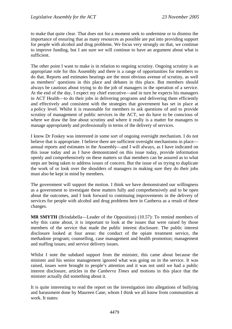to make that quite clear. That does not for a moment seek to undermine or to dismiss the importance of ensuring that as many resources as possible are put into providing support for people with alcohol and drug problems. We focus very strongly on that, we continue to improve funding, but I am sure we will continue to have an argument about what is sufficient.

The other point I want to make is in relation to ongoing scrutiny. Ongoing scrutiny is an appropriate role for this Assembly and there is a range of opportunities for members to do that. Reports and estimates hearings are the most obvious avenue of scrutiny, as well as members' questions in this place and debates in this place. But members should always be cautious about trying to do the job of managers in the operation of a service. At the end of the day, I expect my chief executive—and in turn he expects his managers in ACT Health—to do their jobs in delivering programs and delivering them efficiently and effectively and consistent with the strategies that government has set in place at a policy level. Whilst it is reasonable for members to ask questions of and to provide scrutiny of management of public services in the ACT, we do have to be conscious of where we draw the line about scrutiny and where it really is a matter for managers to manage appropriately and professionally in terms of the delivery of services.

I know Dr Foskey was interested in some sort of ongoing oversight mechanism. I do not believe that is appropriate. I believe there are sufficient oversight mechanisms in place annual reports and estimates in the Assembly—and I will always, as I have indicated on this issue today and as I have demonstrated on this issue today, provide information openly and comprehensively on these matters so that members can be assured as to what steps are being taken to address issues of concern. But the issue of us trying to duplicate the work of or look over the shoulders of managers in making sure they do their jobs must also be kept in mind by members.

The government will support the motion. I think we have demonstrated our willingness as a government to investigate these matters fully and comprehensively and to be open about the outcomes, and I look forward to continuing improvements in the delivery of services for people with alcohol and drug problems here in Canberra as a result of these changes.

**MR SMYTH** (Brindabella—Leader of the Opposition) (10.57): To remind members of why this came about, it is important to look at the issues that were raised by those members of the service that made the public interest disclosure. The public interest disclosure looked at four areas: the conduct of the opiate treatment service, the methadone program; counselling, case management and health promotion; management and staffing issues; and service delivery issues.

Whilst I note the subdued support from the minister, this came about because the minister and his senior management ignored what was going on in the service. It was raised, issues were brought to people's attention and it was not until we had a public interest disclosure, articles in the *Canberra Times* and motions in this place that the minister actually did something about it.

It is quite interesting to read the report on the investigation into allegations of bullying and harassment done by Maureen Cane, whom I think we all know from communities at work. It states: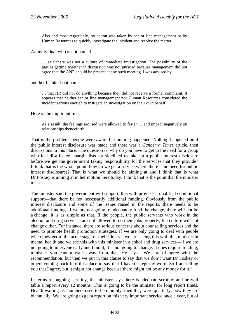Also and most regrettably, no action was taken by senior line management or by Human Resources to quickly investigate the incident and resolve the matter.

An individual who is not named—

… said there was not a culture of immediate investigation. The possibility of the parties getting together in discussion was not pursued because management did not agree that the ANF should be present at any such meeting. I was advised by—

another blanked-out name—

… that HR did not do anything because they did not receive a formal complaint. It appears that neither senior line management nor Human Resources considered the incident serious enough to instigate an investigation on their own behalf.

Here is the important line:

As a result, the feelings aroused were allowed to fester … and impact negatively on relationships thenceforth.

That is the problem: people were aware but nothing happened. Nothing happened until the public interest disclosure was made and there was a *Canberra Times* article, then discussions in this place. The question is: why do you have to get to the need for a group who feel disaffected, marginalised or sidelined to take up a public interest disclosure before we get the government taking responsibility for the services that they provide? I think that is the whole point: how do we get a service where there is no need for public interest disclosures? That is what we should be aiming at and I think that is what Dr Foskey is aiming at in her motion here today. I think that is the point that the minister misses.

The minister said the government will support, this with provisos—qualified conditional support—that there be not necessarily additional funding. Obviously from the public interest disclosure and some of the issues raised in the reports, there needs to be additional funding. If we are not going to adequately fund the change, there will not be a change; it is as simple as that. If the people, the public servants who work in the alcohol and drug services, are not allowed to do their jobs properly, the culture will not change either. For instance, there are serious concerns about counselling services and the need to promote health promotion strategies. If we are only going to deal with people when they get to the acute stage of their illness—we are seeing this with this minister in mental health and we see this with this minister in alcohol and drug services—if we are not going to intervene early and fund it, it is not going to change. It does require funding, minister; you cannot walk away from that. He says, "We sort of agree with the recommendation, but then we put in this clause to say that we don't want Dr Foskey or others coming back into this place to say that I haven't kept my word. So I am telling you that I agree, but it might not change because there might not be any money for it."

In terms of ongoing scrutiny, the minister says there is adequate scrutiny and he will table a report every 12 months. This is going to be the minister for long report times. Health waiting list numbers used to be monthly, then they were quarterly; now they are biannually. We are going to get a report on this very important service once a year, but of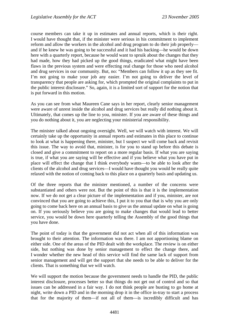course members can take it up in estimates and annual reports, which is their right. I would have thought that, if the minister were serious in his commitment to implement reform and allow the workers in the alcohol and drug program to do their job properly and if he knew he was going to be successful and it had his backing—he would be down here with a quarterly report, because he would want to spruik about the changes that they had made, how they had picked up the good things, eradicated what might have been flaws in the previous system and were effecting real change for those who need alcohol and drug services in our community. But, no: "Members can follow it up as they see fit. I'm not going to make your job any easier. I'm not going to deliver the level of transparency that people are asking for, which prompted the original complaints to put in the public interest disclosure." So, again, it is a limited sort of support for the notion that is put forward in this motion.

As you can see from what Maureen Cane says in her report, clearly senior management were aware of unrest inside the alcohol and drug services but really did nothing about it. Ultimately, that comes up the line to you, minister. If you are aware of these things and you do nothing about it, you are neglecting your ministerial responsibility.

The minister talked about ongoing oversight. Well, we will watch with interest. We will certainly take up the opportunity in annual reports and estimates in this place to continue to look at what is happening there, minister, but I suspect we will come back and revisit this issue. The way to avoid that, minister, is for you to stand up before this debate is closed and give a commitment to report on a more regular basis. If what you are saying is true, if what you are saying will be effective and if you believe what you have put in place will effect the change that I think everybody wants—to be able to look after the clients of the alcohol and drug services—I would have thought you would be really quite relaxed with the notion of coming back to this place on a quarterly basis and updating us.

Of the three reports that the minister mentioned, a number of the concerns were substantiated and others were not. But the point of this is that it is the implementation now. If we do not get a clear picture of the implementation and if you, minister, are not convinced that you are going to achieve this, I put it to you that that is why you are only going to come back here on an annual basis to give us the annual update on what is going on. If you seriously believe you are going to make changes that would lead to better service, you would be down here quarterly telling the Assembly of the good things that you have done.

The point of today is that the government did not act when all of this information was brought to their attention. The information was there. I am not apportioning blame on either side. One of the areas of the PID dealt with the workplace. The review is on either side, but nothing was done by senior management to effect the change there, and I wonder whether the new head of this service will find the same lack of support from senior management and will get the support that she needs to be able to deliver for the clients. That is something that we will watch.

We will support the motion because the government needs to handle the PID, the public interest disclosure, processes better so that things do not get out of control and so that issues can be addressed in a fair way. I do not think people are busting to go home at night, write down a PID and in the morning drop it in the office in-tray to start a process that for the majority of them—if not all of them—is incredibly difficult and has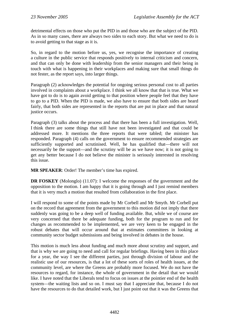detrimental effects on those who put the PID in and those who are the subject of the PID. As in so many cases, there are always two sides to each story. But what we need to do is to avoid getting to that stage as it is.

So, in regard to the motion before us, yes, we recognise the importance of creating a culture in the public service that responds positively to internal criticism and concern, and that can only be done with leadership from the senior managers and their being in touch with what is happening in their workplaces and making sure that small things do not fester, as the report says, into larger things.

Paragraph (2) acknowledges the potential for ongoing serious personal cost to all parties involved in complaints about a workplace. I think we all know that that is true. What we have got to do is to again avoid getting to that position where people feel that they have to go to a PID. When the PID is made, we also have to ensure that both sides are heard fairly, that both sides are represented in the reports that are put in place and that natural justice occurs.

Paragraph (3) talks about the process and that there has been a full investigation. Well, I think there are some things that still have not been investigated and that could be addressed more. It mentions the three reports that were tabled; the minister has responded. Paragraph (4) calls on the government to ensure recommended strategies are sufficiently supported and scrutinised. Well, he has qualified that—there will not necessarily be the support—and the scrutiny will be as we have now; it is not going to get any better because I do not believe the minister is seriously interested in resolving this issue.

**MR SPEAKER**: Order! The member's time has expired.

**DR FOSKEY** (Molonglo) (11.07): I welcome the responses of the government and the opposition to the motion. I am happy that it is going through and I just remind members that it is very much a motion that resulted from collaboration in the first place.

I will respond to some of the points made by Mr Corbell and Mr Smyth. Mr Corbell put on the record that agreement from the government to this motion did not imply that there suddenly was going to be a deep well of funding available. But, while we of course are very concerned that there be adequate funding, both for the program to run and for changes as recommended to be implemented, we are very keen to be engaged in the robust debates that will occur around that at estimates committees in looking at community sector budget submissions and being involved in debates in the house.

This motion is much less about funding and much more about scrutiny and support, and that is why we are going to need and call for regular briefings. Having been in this place for a year, the way I see the different parties, just through division of labour and the realistic use of our resources, is that a lot of these sorts of roles of health issues, at the community level, are where the Greens are probably more focused. We do not have the resources to regard, for instance, the whole of government in the detail that we would like. I have noted that the Liberals tend to focus on issues at the pointier end of the health system—the waiting lists and so on. I must say that I appreciate that, because I do not have the resources to do that detailed work, but I just point out that it was the Greens that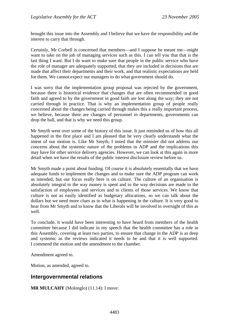<span id="page-12-0"></span>brought this issue into the Assembly and I believe that we have the responsibility and the interest to carry that through.

Certainly, Mr Corbell is concerned that members—and I suppose he meant me—might want to take on the job of managing services such as this. I can tell you that that is the last thing I want. But I do want to make sure that people in the public service who have the role of manager are adequately supported, that they are included in decisions that are made that affect their departments and their work, and that realistic expectations are held for them. We cannot expect our managers to do what government should do.

I was sorry that the implementation group proposal was rejected by the government, because there is historical evidence that changes that are often recommended in good faith and agreed to by the government in good faith are lost along the way; they are not carried through in practice. That is why an implementation group of people really concerned about the changes being carried through makes this a really important process, we believe, because there are changes of personnel in departments, governments can drop the ball, and that is why we need this group.

Mr Smyth went over some of the history of this issue. It just reminded us of how this all happened in the first place and I am pleased that he very clearly understands what the intent of our motion is. Like Mr Smyth, I noted that the minister did not address our concerns about the systemic nature of the problems in ADP and the implications this may have for other service delivery agencies. However, we can look at this again in more detail when we have the results of the public interest disclosure review before us.

Mr Smyth made a point about funding. Of course it is absolutely essentially that we have adequate funds to implement the changes and to make sure the ADP program can work as intended, but our focus really here is on culture. The culture of an organisation is absolutely integral to the way money is spent and to the way decisions are made to the satisfaction of employees and services and to clients of those services. We know that culture is not as easily identified as budgetary allocations, so we can talk about the dollars but we need more clues as to what is happening in the culture. It is very good to hear from Mr Smyth and to know that the Liberals will be involved in oversight of this as well.

To conclude, it would have been interesting to have heard from members of the health committee because I did indicate in my speech that the health committee has a role in this Assembly, covering at least two parties, to ensure that change in the ADP is as deep and systemic as the reviews indicated it needs to be and that it is well supported. I commend the motion and the amendment to the chamber.

Amendment agreed to.

Motion, as amended, agreed to.

## **Intergovernmental relations**

**MR MULCAHY** (Molonglo) (11.14): I move: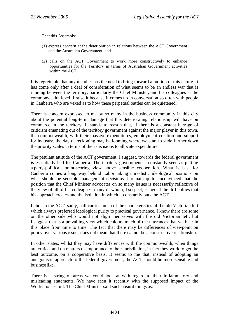That this Assembly:

- (1) express concern at the deterioration in relations between the ACT Government and the Australian Government; and
- (2) calls on the ACT Government to work more constructively to enhance opportunities for the Territory in terms of Australian Government activities within the ACT.

It is regrettable that any member has the need to bring forward a motion of this nature. It has come only after a deal of consideration of what seems to be an endless war that is running between the territory, particularly the Chief Minister, and his colleagues at the commonwealth level. I raise it because it comes up in conversation so often with people in Canberra who are vexed as to how these perpetual battles can be quietened.

There is concern expressed to me by so many in the business community in this city about the potential long-term damage that this deteriorating relationship will have on commerce in the territory. It stands to reason that, if there is a constant barrage of criticism emanating out of the territory government against the major player in this town, the commonwealth, with their massive expenditures, employment creation and support for industry, the day of reckoning may be looming where we start to slide further down the priority scales in terms of their decisions to allocate expenditure.

The petulant attitude of the ACT government, I suggest, towards the federal government is essentially bad for Canberra. The territory government is constantly seen as putting a party-political, point-scoring view above sensible cooperation. What is best for Canberra comes a long way behind Labor taking unrealistic ideological positions on what should be sensible management decisions. I remain quite unconvinced that the position that the Chief Minister advocates on so many issues is necessarily reflective of the view of all of his colleagues, many of whom, I suspect, cringe at the difficulties that his approach creates and the isolation in which it constantly puts the ACT.

Labor in the ACT, sadly, still carries much of the characteristics of the old Victorian left which always preferred ideological purity to practical governance. I know there are some on the other side who would not align themselves with the old Victorian left, but I suggest that is a prevailing view which colours much of the utterances that we hear in this place from time to time. The fact that there may be differences of viewpoint on policy over various issues does not mean that there cannot be a constructive relationship.

In other states, whilst they may have differences with the commonwealth, when things are critical and on matters of importance to their jurisdiction, in fact they work to get the best outcome, on a cooperative basis. It seems to me that, instead of adopting an antagonistic approach to the federal government, the ACT should be more sensible and businesslike.

There is a string of areas we could look at with regard to their inflammatory and misleading statements. We have seen it recently with the supposed impact of the WorkChoices bill. The Chief Minister said such absurd things as: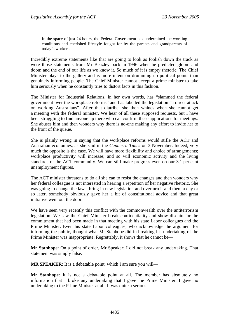In the space of just 24 hours, the Federal Government has undermined the working conditions and cherished lifestyle fought for by the parents and grandparents of today's workers.

Incredibly extreme statements like that are going to look as foolish down the track as were those statements from Mr Beazley back in 1996 when he predicted gloom and doom and the end of our life as we know it. So much of it is empty rhetoric. The Chief Minister plays to the gallery and is more intent on drumming up political points than genuinely informing people. The Chief Minister cannot accept a prime minister to take him seriously when he constantly tries to distort facts in this fashion.

The Minister for Industrial Relations, in her own words, has "slammed the federal government over the workplace reforms" and has labelled the legislation "a direct attack on working Australians". After that diatribe, she then whines when she cannot get a meeting with the federal minister. We hear of all these supposed requests, but I have been struggling to find anyone up there who can confirm these applications for meetings. She abuses him and then wonders why there is no-one making any effort to invite her to the front of the queue.

She is plainly wrong in saying that the workplace reforms would stifle the ACT and Australian economies, as she said in the *Canberra Times* on 3 November. Indeed, very much the opposite is the case. We will have more flexibility and choice of arrangements; workplace productivity will increase; and so will economic activity and the living standards of the ACT community. We can still make progress even on our 3.1 per cent unemployment figures.

The ACT minister threatens to do all she can to resist the changes and then wonders why her federal colleague is not interested in hearing a repetition of her negative rhetoric. She was going to change the laws, bring in new legislation and overturn it and then, a day or so later, somebody obviously gave her a bit of constitutional advice and that great initiative went out the door.

We have seen very recently this conflict with the commonwealth over the antiterrorism legislation. We saw the Chief Minister break confidentiality and show disdain for the commitment that had been made in that meeting with his state Labor colleagues and the Prime Minister. Even his state Labor colleagues, who acknowledge the argument for informing the public, thought what Mr Stanhope did in breaking his undertaking of the Prime Minister was inappropriate. Regrettably, it shows that he cannot be—

**Mr Stanhope**: On a point of order, Mr Speaker: I did not break any undertaking. That statement was simply false.

**MR SPEAKER:** It is a debatable point, which I am sure you will—

**Mr Stanhope**: It is not a debatable point at all. The member has absolutely no information that I broke any undertaking that I gave the Prime Minister. I gave no undertaking to the Prime Minister at all. It was quite a serious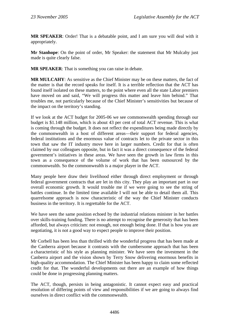**MR SPEAKER**: Order! That is a debatable point, and I am sure you will deal with it appropriately.

**Mr Stanhope**: On the point of order, Mr Speaker: the statement that Mr Mulcahy just made is quite clearly false.

**MR SPEAKER**: That is something you can raise in debate.

**MR MULCAHY**: As sensitive as the Chief Minister may be on these matters, the fact of the matter is that the record speaks for itself. It is a terrible reflection that the ACT has found itself isolated on these matters, to the point where even all the state Labor premiers have moved on and said, "We will progress this matter and leave him behind." That troubles me, not particularly because of the Chief Minister's sensitivities but because of the impact on the territory's standing.

If we look at the ACT budget for 2005-06 we see commonwealth spending through our budget is \$1.148 million, which is about 43 per cent of total ACT revenue. This is what is coming through the budget. It does not reflect the expenditures being made directly by the commonwealth in a host of different areas—their support for federal agencies, federal institutions and the enormous value of contracts let to the private sector in this town that saw the IT industry move here in larger numbers. Credit for that is often claimed by our colleagues opposite, but in fact it was a direct consequence of the federal government's initiatives in these areas. We have seen the growth in law firms in this town as a consequence of the volume of work that has been outsourced by the commonwealth. So the commonwealth is a major player in the ACT.

Many people here draw their livelihood either through direct employment or through federal government contracts that are let in this city. They play an important part in our overall economic growth. It would trouble me if we were going to see the string of battles continue. In the limited time available I will not be able to detail them all. This quarrelsome approach is now characteristic of the way the Chief Minister conducts business in the territory. It is regrettable for the ACT.

We have seen the same position echoed by the industrial relations minister in her battles over skills-training funding. There is no attempt to recognise the generosity that has been afforded, but always criticism: not enough, not enough being done. If that is how you are negotiating, it is not a good way to expect people to improve their position.

Mr Corbell has been less than thrilled with the wonderful progress that has been made at the Canberra airport because it contrasts with the cumbersome approach that has been a characteristic of his style as planning minister. We have seen the investment in the Canberra airport and the vision shown by Terry Snow delivering enormous benefits in high-quality accommodation. The Chief Minister has been happy to claim some reflected credit for that. The wonderful developments out there are an example of how things could be done in progressing planning matters.

The ACT, though, persists in being antagonistic. It cannot expect easy and practical resolution of differing points of view and responsibilities if we are going to always find ourselves in direct conflict with the commonwealth.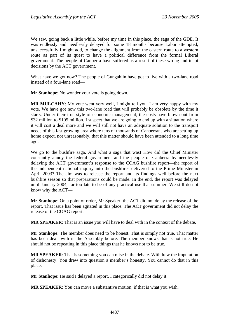We saw, going back a little while, before my time in this place, the saga of the GDE. It was endlessly and needlessly delayed for some 18 months because Labor attempted, unsuccessfully I might add, to change the alignment from the eastern route to a western route as part of its quest to have a political difference from the formal Liberal government. The people of Canberra have suffered as a result of these wrong and inept decisions by the ACT government.

What have we got now? The people of Gungahlin have got to live with a two-lane road instead of a four-lane road—

**Mr Stanhope**: No wonder your vote is going down.

**MR MULCAHY**: My vote went very well, I might tell you. I am very happy with my vote. We have got now this two-lane road that will probably be obsolete by the time it starts. Under their true style of economic management, the costs have blown out from \$32 million to \$105 million. I suspect that we are going to end up with a situation where it will cost a deal more and we will still not have an adequate solution to the transport needs of this fast growing area where tens of thousands of Canberrans who are setting up home expect, not unreasonably, that this matter should have been attended to a long time ago.

We go to the bushfire saga. And what a saga that was! How did the Chief Minister constantly annoy the federal government and the people of Canberra by needlessly delaying the ACT government's response to the COAG bushfire report—the report of the independent national inquiry into the bushfires delivered to the Prime Minister in April 2003? The aim was to release the report and its findings well before the next bushfire season so that preparations could be made. In the end, the report was delayed until January 2004, far too late to be of any practical use that summer. We still do not know why the ACT—

**Mr Stanhope**: On a point of order, Mr Speaker: the ACT did not delay the release of the report. That issue has been agitated in this place. The ACT government did not delay the release of the COAG report.

**MR SPEAKER**: That is an issue you will have to deal with in the context of the debate.

**Mr Stanhope**: The member does need to be honest. That is simply not true. That matter has been dealt with in the Assembly before. The member knows that is not true. He should not be repeating in this place things that he knows not to be true.

**MR SPEAKER**: That is something you can raise in the debate. Withdraw the imputation of dishonesty. You drew into question a member's honesty. You cannot do that in this place.

**Mr Stanhope**: He said I delayed a report. I categorically did not delay it.

**MR SPEAKER**: You can move a substantive motion, if that is what you wish.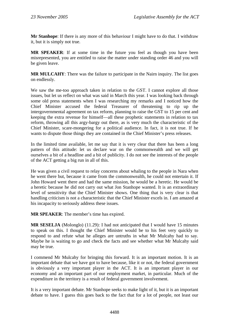**Mr Stanhope**: If there is any more of this behaviour I might have to do that. I withdraw it, but it is simply not true.

**MR SPEAKER**: If at some time in the future you feel as though you have been misrepresented, you are entitled to raise the matter under standing order 46 and you will be given leave.

**MR MULCAHY**: There was the failure to participate in the Nairn inquiry. The list goes on endlessly.

We saw the me-too approach taken in relation to the GST. I cannot explore all those issues, but let us reflect on what was said in March this year. I was looking back through some old press statements when I was researching my remarks and I noticed how the Chief Minister accused the federal Treasurer of threatening to rip up the intergovernmental agreement on tax reform, planning to raise the GST to 15 per cent and keeping the extra revenue for himself—all these prophetic statements in relation to tax reform, throwing all this argy-bargy out there, as is very much the characteristic of the Chief Minister, scare-mongering for a political audience. In fact, it is not true. If he wants to dispute those things they are contained in the Chief Minister's press releases.

In the limited time available, let me say that it is very clear that there has been a long pattern of this attitude: let us declare war on the commonwealth and we will get ourselves a bit of a headline and a bit of publicity. I do not see the interests of the people of the ACT getting a big run in all of this.

He was given a civil request to relay concerns about whaling to the people in Nara when he went there but, because it came from the commonwealth, he could not entertain it. If John Howard went there and had the same mission, he would be a heretic. He would be a heretic because he did not carry out what Jon Stanhope wanted. It is an extraordinary level of sensitivity that the Chief Minister shows. One thing that is very clear is that handling criticism is not a characteristic that the Chief Minister excels in. I am amazed at his incapacity to seriously address these issues.

**MR SPEAKER**: The member's time has expired.

**MR SESELJA** (Molonglo) (11.29): I had not anticipated that I would have 15 minutes to speak on this. I thought the Chief Minister would be to his feet very quickly to respond to and refute what he alleges are untruths in what Mr Mulcahy had to say. Maybe he is waiting to go and check the facts and see whether what Mr Mulcahy said may be true.

I commend Mr Mulcahy for bringing this forward. It is an important motion. It is an important debate that we have got to have because, like it or not, the federal government is obviously a very important player in the ACT. It is an important player in our economy and an important part of our employment market, in particular. Much of the expenditure in the territory is a result of federal government involvement.

It is a very important debate. Mr Stanhope seeks to make light of it, but it is an important debate to have. I guess this goes back to the fact that for a lot of people, not least our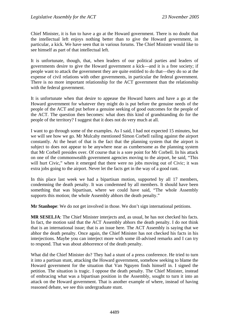Chief Minister, it is fun to have a go at the Howard government. There is no doubt that the intellectual left enjoys nothing better than to give the Howard government, in particular, a kick. We have seen that in various forums. The Chief Minister would like to see himself as part of that intellectual left.

It is unfortunate, though, that, when leaders of our political parties and leaders of governments desire to give the Howard government a kick—and it is a free society; if people want to attack the government they are quite entitled to do that—they do so at the expense of civil relations with other governments, in particular the federal government. There is no more important relationship for the ACT government than the relationship with the federal government.

It is unfortunate when that desire to appease the Howard haters and have a go at the Howard government for whatever they might do is put before the genuine needs of the people of the ACT and put before a genuine seeking of good outcomes for the people of the ACT. The question then becomes: what does this kind of grandstanding do for the people of the territory? I suggest that it does not do very much at all.

I want to go through some of the examples. As I said, I had not expected 15 minutes, but we will see how we go. Mr Mulcahy mentioned Simon Corbell railing against the airport constantly. At the heart of that is the fact that the planning system that the airport is subject to does not appear to be anywhere near as cumbersome as the planning system that Mr Corbell presides over. Of course that is a sore point for Mr Corbell. In his attack on one of the commonwealth government agencies moving to the airport, he said, "This will hurt Civic," when it emerged that there were no jobs moving out of Civic; it was extra jobs going to the airport. Never let the facts get in the way of a good rant.

In this place last week we had a bipartisan motion, supported by all 17 members, condemning the death penalty. It was condemned by all members. It should have been something that was bipartisan, where we could have said, "The whole Assembly supports this motion; the whole Assembly abhors the death penalty."

**Mr Stanhope**: We do not get involved in those. We don't sign international petitions.

**MR SESELJA**: The Chief Minister interjects and, as usual, he has not checked his facts. In fact, the motion said that the ACT Assembly abhors the death penalty. I do not think that is an international issue; that is an issue here. The ACT Assembly is saying that we abhor the death penalty. Once again, the Chief Minister has not checked his facts in his interjections. Maybe you can interject more with some ill-advised remarks and I can try to respond. That was about abhorrence of the death penalty.

What did the Chief Minister do? They had a stunt of a press conference. He tried to turn it into a partisan stunt, attacking the Howard government, somehow seeking to blame the Howard government for the situation that Van Nguyen finds himself in. I signed the petition. The situation is tragic. I oppose the death penalty. The Chief Minister, instead of embracing what was a bipartisan position in the Assembly, sought to turn it into an attack on the Howard government. That is another example of where, instead of having reasoned debate, we see this undergraduate stunt.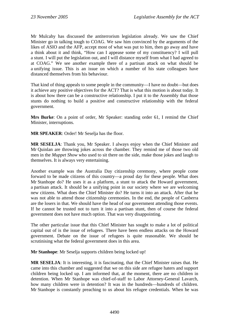Mr Mulcahy has discussed the antiterrorism legislation already. We saw the Chief Minister go in talking tough to COAG. We saw him convinced by the arguments of the likes of ASIO and the AFP, accept most of what was put to him, then go away and have a think about it and think, "How can I appease some of my constituency? I will pull a stunt. I will put the legislation out, and I will distance myself from what I had agreed to at COAG." We see another example there of a partisan attack on what should be a unifying issue. This is an issue on which a number of his state colleagues have distanced themselves from his behaviour.

That kind of thing appeals to some people in the community—I have no doubt—but does it achieve any positive objectives for the ACT? That is what this motion is about today. It is about how there can be a constructive relationship. I put it to the Assembly that those stunts do nothing to build a positive and constructive relationship with the federal government.

**Mrs Burke**: On a point of order, Mr Speaker: standing order 61, I remind the Chief Minister, interruptions.

**MR SPEAKER**: Order! Mr Seselja has the floor.

**MR SESELJA**: Thank you, Mr Speaker. I always enjoy when the Chief Minister and Mr Quinlan are throwing jokes across the chamber. They remind me of those two old men in the *Muppet Show* who used to sit there on the side, make those jokes and laugh to themselves. It is always very entertaining.

Another example was the Australia Day citizenship ceremony, where people come forward to be made citizens of this country—a proud day for these people. What does Mr Stanhope do? He uses it as a platform, a stunt to attack the Howard government, a partisan attack. It should be a unifying point in our society where we are welcoming new citizens. What does the Chief Minister do? He turns it into an attack. After that he was not able to attend those citizenship ceremonies. In the end, the people of Canberra are the losers in that. We should have the head of our government attending those events. If he cannot be trusted not to turn it into a partisan stunt, then of course the federal government does not have much option. That was very disappointing.

The other particular issue that this Chief Minister has sought to make a lot of political capital out of is the issue of refugees. There have been endless attacks on the Howard government. Debate on the issue of refugees is quite reasonable. We should be scrutinising what the federal government does in this area.

**Mr Stanhope**: Mr Seselja supports children being locked up!

**MR SESELJA**: It is interesting, it is fascinating, that the Chief Minister raises that. He came into this chamber and suggested that we on this side are refugee haters and support children being locked up. I am informed that, at the moment, there are no children in detention. When Mr Stanhope was chief-of-staff to Labor Attorney-General Lavarch, how many children were in detention? It was in the hundreds—hundreds of children. Mr Stanhope is constantly preaching to us about his refugee credentials. When he was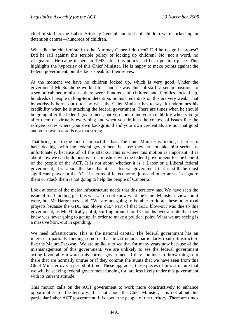chief-of-staff to the Labor Attorney-General hundreds of children were locked up in detention centres—hundreds of children.

What did the chief-of-staff to the Attorney-General do then? Did he resign in protest? Did he rail against this terrible policy of locking up children? No, not a word, no resignation. He came in here in 1993, after this policy had been put into place. This highlights the hypocrisy of this Chief Minister. He is happy to make points against the federal government, but the facts speak for themselves.

At the moment we have no children locked up, which is very good. Under the government Mr Stanhope worked for—and he was chief-of-staff, a senior position, to a senior cabinet minister—there were hundreds of children and families locked up, hundreds of people in long-term detention. So his credentials on this are very weak. That hypocrisy is borne out often by what the Chief Minister has to say. It undermines his credibility when he is attacking the federal government. There are times when he should be going after the federal government, but you undermine your credibility when you go after them on virtually everything and when you do it in the context of issues like the refugee issues where your own background and your own credentials are not that good and your own record is not that strong.

That brings me to the kind of impact this has. The Chief Minister is finding it harder to have dealings with the federal government because they do not take him seriously, unfortunately, because of all the attacks. This is where this motion is important. It is about how we can build positive relationships with the federal government for the benefit of the people of the ACT. It is not about whether it is a Labor or a Liberal federal government; it is about the fact that it is a federal government that is still the most significant player in the ACT in terms of its economy, jobs and other areas. To ignore them or attack them is not going to help the people of Canberra.

Look at some of the major infrastructure needs that this territory has. We have seen the issue of road funding just this week. I do not know what the Chief Minister's views on it were, but Mr Hargreaves said, "We are not going to be able to do all these other road projects because the GDE has blown out." Part of that GDE blow-out was due to this government, as Mr Mulcahy put it, stuffing around for 18 months over a route that they knew was never going to get up, in order to make a political point. What we are seeing is a massive blow-out in spending.

We need infrastructure. This is the national capital. The federal government has an interest in partially funding some of that infrastructure, particularly road infrastructure like the Majura Parkway. We are unlikely to see that for many years now because of the mismanagement of this government. We are unlikely to see the federal government acting favourably towards this current government if they continue to throw things out there that are normally untrue or if they commit the stunts that we have seen from this Chief Minister over a period of time. These upgrades, these pieces of infrastructure that we will be seeking federal government funding for, are less likely under this government with its current attitude.

This motion calls on the ACT government to work more constructively to enhance opportunities for the territory. It is not about the Chief Minister; it is not about this particular Labor ACT government. It is about the people of the territory. There are times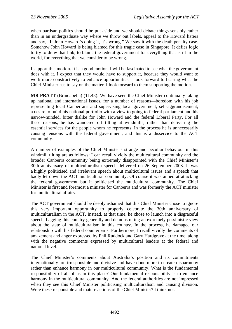when partisan politics should be put aside and we should debate things sensibly rather than in an undergraduate way where we throw out labels, appeal to the Howard haters and say, "If John Howard's doing it, it's wrong." We saw it with the death penalty case. Somehow John Howard is being blamed for this tragic case in Singapore. It defies logic to try to draw that link, to blame the federal government for everything that is ill in the world, for everything that we consider to be wrong.

I support this motion. It is a good motion. I will be fascinated to see what the government does with it. I expect that they would have to support it, because they would want to work more constructively to enhance opportunities. I look forward to hearing what the Chief Minister has to say on the matter. I look forward to them supporting the motion.

**MR PRATT** (Brindabella) (11.43): We have seen the Chief Minister continually taking up national and international issues, for a number of reasons—boredom with his job representing local Canberrans and supervising local government, self-aggrandisement, a desire to build his national portfolio with a view to going to federal parliament and his narrow-minded, bitter dislike for John Howard and the federal Liberal Party. For all these reasons, he has wandered off tilting at windmills, rather than delivering the essential services for the people whom he represents. In the process he is unnecessarily causing tensions with the federal government, and this is a disservice to the ACT community.

A number of examples of the Chief Minister's strange and peculiar behaviour in this windmill tilting are as follows: I can recall vividly the multicultural community and the broader Canberra community being extremely disappointed with the Chief Minister's 30th anniversary of multiculturalism speech delivered on 26 September 2003. It was a highly politicised and irrelevant speech about multicultural issues and a speech that badly let down the ACT multicultural community. Of course it was aimed at attacking the federal government but it politicised the multicultural community. The Chief Minister is first and foremost a minister for Canberra and was formerly the ACT minister for multicultural affairs.

The ACT government should be deeply ashamed that this Chief Minister chose to ignore this very important opportunity to properly celebrate the 30th anniversary of multiculturalism in the ACT. Instead, at that time, he chose to launch into a disgraceful speech, bagging this country generally and demonstrating an extremely pessimistic view about the state of multiculturalism in this country. In the process, he damaged our relationship with his federal counterparts. Furthermore, I recall vividly the comments of amazement and anger expressed by Phil Ruddock and Gary Hardgrave at the time, along with the negative comments expressed by multicultural leaders at the federal and national level.

The Chief Minister's comments about Australia's position and its commitments internationally are irresponsible and divisive and have done more to create disharmony rather than enhance harmony in our multicultural community. What is the fundamental responsibility of all of us in this place? Our fundamental responsibility is to enhance harmony in the multicultural community. And the federal authorities are not impressed when they see this Chief Minister politicising multiculturalism and causing division. Were these responsible and mature actions of the Chief Minister? I think not.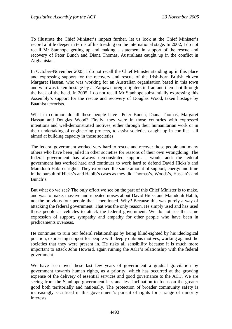To illustrate the Chief Minister's impact further, let us look at the Chief Minister's record a little deeper in terms of his treading on the international stage. In 2002, I do not recall Mr Stanhope getting up and making a statement in support of the rescue and recovery of Peter Bunch and Diana Thomas, Australians caught up in the conflict in Afghanistan.

In October-November 2005, I do not recall the Chief Minister standing up in this place and expressing support for the recovery and rescue of the Irish-born British citizen Margaret Hassan, who was working for an Australian organisation based in this town and who was taken hostage by al-Zarqawi foreign fighters in Iraq and then shot through the back of the head. In 2005, I do not recall Mr Stanhope substantially expressing this Assembly's support for the rescue and recovery of Douglas Wood, taken hostage by Baathist terrorists.

What in common do all these people have—Peter Bunch, Diana Thomas, Margaret Hassan and Douglas Wood? Firstly, they were in those countries with expressed intentions and well-demonstrated motives, either through their humanitarian work or in their undertaking of engineering projects, to assist societies caught up in conflict—all aimed at building capacity in those societies.

The federal government worked very hard to rescue and recover those people and many others who have been jailed in other societies for reasons of their own wrongdoing. The federal government has always demonstrated support. I would add: the federal government has worked hard and continues to work hard to defend David Hicks's and Mamdouh Habib's rights. They expressed the same amount of support, energy and time in the pursuit of Hicks's and Habib's cases as they did Thomas's, Woods's, Hassan's and Bunch's.

But what do we see? The only effort we see on the part of this Chief Minister is to make, and was to make, massive and repeated noises about David Hicks and Mamdouh Habib, not the previous four people that I mentioned. Why? Because this was purely a way of attacking the federal government. That was the only reason. He simply used and has used those people as vehicles to attack the federal government. We do not see the same expression of support, sympathy and empathy for other people who have been in predicaments overseas.

He continues to ruin our federal relationships by being blind-sighted by his ideological position, expressing support for people with deeply dubious motives, working against the societies that they were present in. He risks all sensibility because it is much more important to attack John Howard, again ruining the ACT's relationship with the federal government.

We have seen over these last few years of government a gradual gravitation by government towards human rights, as a priority, which has occurred at the growing expense of the delivery of essential services and good governance to the ACT. We are seeing from the Stanhope government less and less inclination to focus on the greater good both territorially and nationally. The protection of broader community safety is increasingly sacrificed in this government's pursuit of rights for a range of minority interests.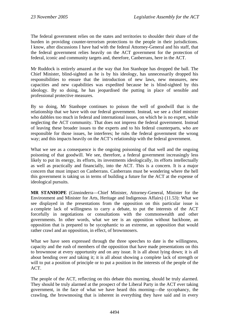The federal government relies on the states and territories to shoulder their share of the burden in providing counter-terrorism protections to the people in their jurisdictions. I know, after discussions I have had with the federal Attorney-General and his staff, that the federal government relies heavily on the ACT government for the protection of federal, iconic and community targets and, therefore, Canberrans, here in the ACT.

Mr Ruddock is entirely amazed at the way that Jon Stanhope has dropped the ball. The Chief Minister, blind-sighted as he is by his ideology, has unnecessarily dropped his responsibilities to ensure that the introduction of new laws, new measures, new capacities and new capabilities was expedited because he is blind-sighted by this ideology. By so doing, he has jeopardised the putting in place of sensible and professional protective measures.

By so doing, Mr Stanhope continues to poison the well of goodwill that is the relationship that we have with our federal government. Instead, we see a chief minister who dabbles too much in federal and international issues, on which he is no expert, while neglecting the ACT community. That does not impress the federal government. Instead of leaving these broader issues to the experts and to his federal counterparts, who are responsible for those issues, he interferes; he rubs the federal government the wrong way; and this impacts heavily on the ACT's relationship with the federal government.

What we see as a consequence is the ongoing poisoning of that well and the ongoing poisoning of that goodwill. We see, therefore, a federal government increasingly less likely to put its energy, its efforts, its investments ideologically, its efforts intellectually as well as practically and financially, into the ACT. This is a concern. It is a major concern that must impact on Canberrans. Canberrans must be wondering where the hell this government is taking us in terms of building a future for the ACT at the expense of ideological pursuits.

**MR STANHOPE** (Ginninderra—Chief Minister, Attorney-General, Minister for the Environment and Minister for Arts, Heritage and Indigenous Affairs) (11.53): What we see displayed in the presentations from the opposition on this particular issue is a complete lack of willingness to carry a debate, to put the interests of the ACT forcefully in negotiations or consultations with the commonwealth and other governments. In other words, what we see is an opposition without backbone, an opposition that is prepared to be sycophantic to an extreme, an opposition that would rather crawl and an opposition, in effect, of brownnosers.

What we have seen expressed through the three speeches to date is the willingness, capacity and the rush of members of the opposition that have made presentations on this to brownnose at every opportunity and on any issue. It is all about lying down; it is all about bending over and taking it; it is all about showing a complete lack of strength or will to put a position of principle or to put a position in the interests of the people of the ACT.

The people of the ACT, reflecting on this debate this morning, should be truly alarmed. They should be truly alarmed at the prospect of the Liberal Party in the ACT ever taking government, in the face of what we have heard this morning—the sycophancy, the crawling, the brownnosing that is inherent in everything they have said and in every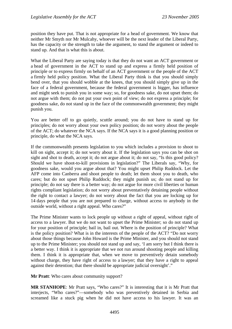position they have put. That is not appropriate for a head of government. We know that neither Mr Smyth nor Mr Mulcahy, whoever will be the next leader of the Liberal Party, has the capacity or the strength to take the argument, to stand the argument or indeed to stand up. And that is what this is about.

What the Liberal Party are saying today is that they do not want an ACT government or a head of government in the ACT to stand up and express a firmly held position of principle or to express firmly on behalf of an ACT government or the people of the ACT a firmly held policy position. What the Liberal Party think is that you should simply bend over, that you should wobble at the knees, that you should simply give up in the face of a federal government, because the federal government is bigger, has influence and might seek to punish you in some way; so, for goodness sake, do not upset them; do not argue with them; do not put your own point of view; do not express a principle; for goodness sake, do not stand up in the face of the commonwealth government; they might punish you.

You are better off to go quietly, scuttle around; you do not have to stand up for principles; do not worry about your own policy position; do not worry about the people of the ACT; do whatever the NCA says. If the NCA says it is a good planning position or principle, do what the NCA says.

If the commonwealth presents legislation to you which includes a provision to shoot to kill on sight, accept it; do not worry about it. If the legislation says you can be shot on sight and shot to death, accept it; do not argue about it; do not say, "Is this good policy? Should we have shoot-to-kill provisions in legislation?" The Liberals say, "Why, for goodness sake, would you argue about that? You might upset Philip Ruddock. Let the AFP come into Canberra and shoot people to death; let them shoot you to death, who cares; but do not upset Philip Ruddock; they might punish us; do not stand up for principle; do not say there is a better way; do not argue for more civil liberties or human rights compliant legislation; do not worry about preventatively detaining people without the right to contact a lawyer; do not worry about the fact that you are locking up for 14 days people that you are not prepared to charge, without access to anybody in the outside world, without a right appeal. Who cares?"

The Prime Minister wants to lock people up without a right of appeal, without right of access to a lawyer. But we do not want to upset the Prime Minister; so do not stand up for your position of principle; bail in, bail out. Where is the position of principle? What is the policy position? What is in the interests of the people of the ACT? "Do not worry about those things because John Howard is the Prime Minister, and you should not stand up to the Prime Minister; you should not stand up and say, 'I am sorry but I think there is a better way. I think it is appropriate that we not run around shooting people and killing them. I think it is appropriate that, when we move to preventively detain somebody without charge, they have right of access to a lawyer; that they have a right to appeal against their detention; that there should be appropriate judicial oversight'."

**Mr Pratt**: Who cares about community support?

**MR STANHOPE**: Mr Pratt says, "Who cares?" It is interesting that it is Mr Pratt that interjects, "Who cares?"—somebody who was preventively detained in Serbia and screamed like a stuck pig when he did not have access to his lawyer. It was an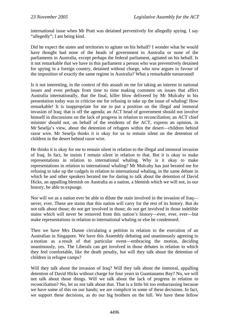international issue when Mr Pratt was detained preventively for allegedly spying. I say "allegedly"; I am being kind.

Did he expect the states and territories to agitate on his behalf? I wonder what he would have thought had none of the heads of government in Australia or none of the parliaments in Australia, except perhaps the federal parliament, agitated on his behalf. Is it not remarkable that we have in this parliament a person who was preventively detained for spying in a foreign country, detained without charge, who now argues in favour of the imposition of exactly the same regime in Australia? What a remarkable turnaround!

Is it not interesting, in the context of this assault on me for taking an interest in national issues and even perhaps from time to time making comment on issues that affect Australia internationally, that the final, killer blow delivered by Mr Mulcahy in his presentation today was to criticise me for refusing to take up the issue of whaling! How remarkable! It is inappropriate for me to put a position on the illegal and immoral invasion of Iraq; that is off the agenda; an ACT head of government should not involve himself in discussions on the lack of progress in relation to reconciliation; an ACT chief minister should not, on behalf of the residents of the ACT, express an opinion, in Mr Seselja's view, about the detention of refugees within the desert—children behind razor wire. Mr Seselja thinks it is okay for us to remain silent on the detention of children in the desert behind razor wire.

He thinks it is okay for me to remain silent in relation to the illegal and immoral invasion of Iraq. In fact, he insists I remain silent in relation to that. But it is okay to make representations in relation to international whaling. Why is it okay to make representations in relation to international whaling? Mr Mulcahy has just berated me for refusing to take up the cudgels in relation to international whaling, in the same debate in which he and other speakers berated me for daring to talk about the detention of David Hicks, an appalling blemish on Australia as a nation, a blemish which we will not, in our history, be able to expunge.

Nor will we as a nation ever be able to dilute the stain involved in the invasion of Iraq never, ever. These are stains that this nation will carry for the rest of its history. But do not talk about those; do not get involved in those; do not get involved in those indelible stains which will never be removed from this nation's history—ever, ever, ever—but make representations in relation to international whaling or else be condemned.

Then we have Mrs Dunne circulating a petition in relation to the execution of an Australian in Singapore. We have this Assembly debating and unanimously agreeing to a motion as a result of that particular event—embracing the motion, deciding unanimously, yes. The Liberals can get involved in those debates in relation to which they feel comfortable, like the death penalty, but will they talk about the detention of children in refugee camps?

Will they talk about the invasion of Iraq? Will they talk about the immoral, appalling detention of David Hicks without charge for four years in Guantanamo Bay? No, we will not talk about those things. Will we talk about the lack of progress in relation to reconciliation? No, let us not talk about that. That is a little bit too embarrassing because we have some of this on our hands; we are complicit in some of these decisions. In fact, we support these decisions, as do our big brothers on the hill. We have these fellow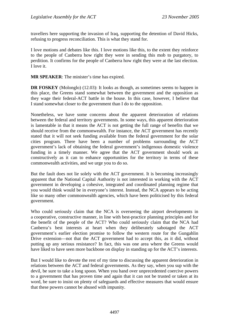travellers here supporting the invasion of Iraq, supporting the detention of David Hicks, refusing to progress reconciliation. This is what they stand for.

I love motions and debates like this. I love motions like this, to the extent they reinforce to the people of Canberra how right they were in sending this mob to purgatory, to perdition. It confirms for the people of Canberra how right they were at the last election. I love it.

**MR SPEAKER**: The minister's time has expired.

**DR FOSKEY** (Molonglo) (12.03): It looks as though, as sometimes seems to happen in this place, the Greens stand somewhat between the government and the opposition as they wage their federal-ACT battle in the house. In this case, however, I believe that I stand somewhat closer to the government than I do to the opposition.

Nonetheless, we have some concerns about the apparent deterioration of relations between the federal and territory governments. In some ways, this apparent deterioration is lamentable in that it means the ACT is not getting the full range of benefits that we should receive from the commonwealth. For instance, the ACT government has recently stated that it will not seek funding available from the federal government for the solar cities program. There have been a number of problems surrounding the ACT government's lack of obtaining the federal government's indigenous domestic violence funding in a timely manner. We agree that the ACT government should work as constructively as it can to enhance opportunities for the territory in terms of these commonwealth activities, and we urge you to do so.

But the fault does not lie solely with the ACT government. It is becoming increasingly apparent that the National Capital Authority is not interested in working with the ACT government in developing a cohesive, integrated and coordinated planning regime that you would think would be in everyone's interest. Instead, the NCA appears to be acting like so many other commonwealth agencies, which have been politicised by this federal government.

Who could seriously claim that the NCA is overseeing the airport developments in a cooperative, constructive manner, in line with best-practice planning principles and for the benefit of the people of the ACT? Who could seriously claim that the NCA had Canberra's best interests at heart when they deliberately sabotaged the ACT government's earlier election promise to follow the western route for the Gungahlin Drive extension—not that the ACT government had to accept this, as it did, without putting up any serious resistance? In fact, this was one area where the Greens would have liked to have seen more backbone on display in standing up for the ACT's interests.

But I would like to devote the rest of my time to discussing the apparent deterioration in relations between the ACT and federal governments. As they say, when you sup with the devil, be sure to take a long spoon. When you hand over unprecedented coercive powers to a government that has proven time and again that it can not be trusted or taken at its word, be sure to insist on plenty of safeguards and effective measures that would ensure that these powers cannot be abused with impunity.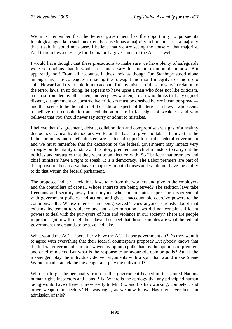We must remember that the federal government has the opportunity to pursue its ideological agenda to such an extent because it has a majority in both houses—a majority that it said it would not abuse. I believe that we are seeing the abuse of that majority. And therein lies a message for the majority government of the ACT as well.

I would have thought that these precautions to make sure we have plenty of safeguards were so obvious that it would be unnecessary for me to mention them now. But apparently not! From all accounts, it does look as though Jon Stanhope stood alone amongst his state colleagues in having the foresight and moral integrity to stand up to John Howard and try to hold him to account for any misuse of these powers in relation to the terror laws. In so doing, he appears to have upset a man who does not like criticism, a man surrounded by other men, and very few women, a man who thinks that any sign of dissent, disagreement or constructive criticism must be crushed before it can be spread and that seems to be the nature of the sedition aspects of the terrorism laws—who seems to believe that consultation and collaboration are in fact signs of weakness and who believes that you should never say sorry or admit to mistakes.

I believe that disagreement, debate, collaboration and compromise are signs of a healthy democracy. A healthy democracy works on the basis of give and take. I believe that the Labor premiers and chief ministers are a kind of opposition to the federal government and we must remember that the decisions of the federal government may impact very strongly on the ability of state and territory premiers and chief ministers to carry out the policies and strategies that they went to an election with. So I believe that premiers and chief ministers have a right to speak. It is a democracy. The Labor premiers are part of the opposition because we have a majority in both houses and we do not have the ability to do that within the federal parliament.

The proposed industrial relations laws take from the workers and give to the employers and the controllers of capital. Whose interests are being served? The sedition laws take freedoms and security away from anyone who contemplates expressing disagreement with government policies and actions and gives unaccountable coercive powers to the commonwealth. Whose interests are being served? Does anyone seriously doubt that existing incitement-to-violence and anti-discrimination laws did not contain sufficient powers to deal with the purveyors of hate and violence in our society? There are people in prison right now through those laws. I suspect that these examples are what the federal government understands to be give and take.

What would the ACT Liberal Party have the ACT Labor government do? Do they want it to agree with everything that their federal counterparts propose? Everybody knows that the federal government is more swayed by opinion polls than by the opinions of premiers and chief ministers. But what is the response to unfavourable opinion polls? Attack the messenger, play the individual, deliver arguments with a spin that would make Shane Warne proud—attack the messenger and play the individual?

Who can forget the personal vitriol that this government heaped on the United Nations human rights inspectors and Hans Blix. Where is the apology that any principled human being would have offered unreservedly to Mr Blix and his hardworking, competent and brave weapons inspectors? He was right, as we now know. Has there ever been an admission of this?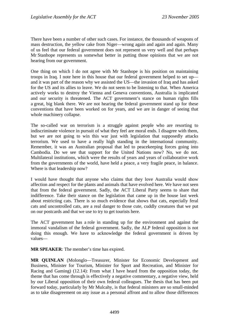There have been a number of other such cases. For instance, the thousands of weapons of mass destruction, the yellow cake from Niger—wrong again and again and again. Many of us feel that our federal government does not represent us very well and that perhaps Mr Stanhope represents us somewhat better in putting those opinions that we are not hearing from our government.

One thing on which I do not agree with Mr Stanhope is his position on maintaining troops in Iraq. I note here in this house that our federal government helped to set up and it was part of the reason why we assisted the US—the invasion of Iraq and has asked for the US and its allies to leave. We do not seem to be listening to that. When America actively works to destroy the Vienna and Geneva conventions, Australia is implicated and our security is threatened. The ACT government's stance on human rights fills a great, big blank there. We are not hearing the federal government stand up for these conventions that have been worked on for years, and we are in danger of seeing that whole machinery collapse.

The so-called war on terrorism is a struggle against people who are resorting to indiscriminate violence in pursuit of what they feel are moral ends. I disagree with them, but we are not going to win this war just with legislation that supposedly attacks terrorism. We used to have a really high standing in the international community. Remember, it was an Australian proposal that led to peacekeeping forces going into Cambodia. Do we see that support for the United Nations now? No, we do not. Multilateral institutions, which were the results of years and years of collaborative work from the governments of the world, have held a peace, a very fragile peace, in balance. Where is that leadership now?

I would have thought that anyone who claims that they love Australia would show affection and respect for the plants and animals that have evolved here. We have not seen that from the federal government. Sadly, the ACT Liberal Party seems to share that indifference. Take their stance on the legislation that came up in the house last week about restricting cats. There is so much evidence that shows that cats, especially feral cats and uncontrolled cats, are a real danger to those cute, cuddly creatures that we put on our postcards and that we use to try to get tourists here.

The ACT government has a role in standing up for the environment and against the immoral vandalism of the federal government. Sadly, the ALP federal opposition is not doing this enough. We have to acknowledge the federal government is driven by values—

**MR SPEAKER**: The member's time has expired.

**MR QUINLAN** (Molonglo—Treasurer, Minister for Economic Development and Business, Minister for Tourism, Minister for Sport and Recreation, and Minister for Racing and Gaming) (12.14): From what I have heard from the opposition today, the theme that has come through is effectively a negative commentary, a negative view, held by our Liberal opposition of their own federal colleagues. The thesis that has been put forward today, particularly by Mr Mulcahy, is that federal ministers are so small-minded as to take disagreement on any issue as a personal affront and to allow those differences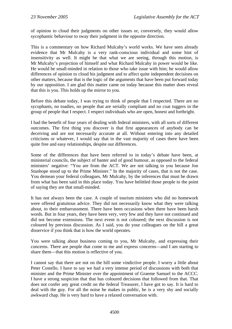of opinion to cloud their judgments on other issues or, conversely, they would allow sycophantic behaviour to sway their judgment in the opposite direction.

This is a commentary on how Richard Mulcahy's world works. We have seen already evidence that Mr Mulcahy is a very rank-conscious individual and some hint of insensitivity as well. It might be that what we are seeing, through this motion, is Mr Mulcahy's projection of himself and what Richard Mulcahy in power would be like. He would be small-minded in relation to those who take issue with him; he would allow differences of opinion to cloud his judgment and to affect quite independent decisions on other matters, because that is the logic of the arguments that have been put forward today by our opposition. I am glad this matter came on today because this matter does reveal that this is you. This holds up the mirror to you.

Before this debate today, I was trying to think of people that I respected. There are no sycophants, no toadies, no people that are serially compliant and no coat tuggers in the group of people that I respect. I respect individuals who are open, honest and forthright.

I had the benefit of four years of dealing with federal ministers, with all sorts of different outcomes. The first thing you discover is that first appearances of anybody can be deceiving and are not necessarily accurate at all. Without entering into any detailed criticisms or whatever, I would say that in the vast majority of cases there have been quite free and easy relationships, despite our differences.

Some of the differences that have been referred to in today's debate have been, at ministerial councils, the subject of banter and of good humour, as opposed to the federal ministers' negative: "You are from the ACT. We are not talking to you because Jon Stanhope stood up to the Prime Minister." In the majority of cases, that is not the case. You demean your federal colleagues, Mr Mulcahy, by the inferences that must be drawn from what has been said in this place today. You have belittled those people to the point of saying they are that small-minded.

It has not always been the case. A couple of tourism ministers who did no homework were offered gratuitous advice. They did not necessarily know what they were talking about, to their embarrassment. There have been occasions when there have been harsh words. But in four years, they have been very, very few and they have not continued and did not become extensions. The next event is not coloured; the next discussion is not coloured by previous discussion. As I said, you do your colleagues on the hill a great disservice if you think that is how the world operates.

You were talking about business coming to you, Mr Mulcahy, and expressing their concerns. There are people that come to me and express concerns—and I am starting to share them—that this motion is reflective of you.

I cannot say that there are not on the hill some vindictive people. I worry a little about Peter Costello. I have to say we had a very intense period of discussions with both that minister and the Prime Minister over the appointment of Graeme Samuel to the ACCC. I have a strong suspicion that that has coloured decisions that followed from that. That does not confer any great credit on the federal Treasurer, I have got to say. It is hard to deal with the guy. For all the noise he makes in public, he is a very shy and socially awkward chap. He is very hard to have a relaxed conversation with.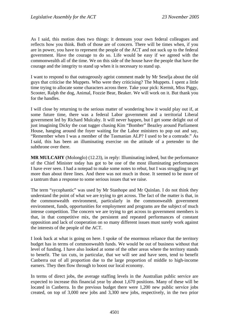As I said, this motion does two things: it demeans your own federal colleagues and reflects how you think. Both of those are of concern. There will be times when, if you are in power, you have to represent the people of the ACT and not suck up to the federal government. Have the courage to do so. Life would be easy if we agreed with the commonwealth all of the time. We on this side of the house have the people that have the courage and the integrity to stand up when it is necessary to stand up.

I want to respond to that outrageously ageist comment made by Mr Seselja about the old guys that criticise the Muppets. Who were they criticising? The Muppets. I spent a little time trying to allocate some characters across there. Take your pick: Kermit, Miss Piggy, Scooter, Ralph the dog, Animal, Fozzie Bear, Beaker. We will work on it. But thank you for the handles.

I will close by returning to the serious matter of wondering how it would play out if, at some future time, there was a federal Labor government and a territorial Liberal government led by Richard Mulcahy. It will never happen, but I get some delight out of just imagining Dicky the coat tugger chasing Kim "Bomber" Beazley around Parliament House, hanging around the foyer waiting for the Labor ministers to pop out and say, "Remember when I was a member of the Tasmanian ALP? I used to be a comrade." As I said, this has been an illuminating exercise on the attitude of a pretender to the subthrone over there.

**MR MULCAHY** (Molonglo) (12.23), in reply: Illuminating indeed, but the performance of the Chief Minister today has got to be one of the most illuminating performances I have ever seen. I had a notepad to make some notes to rebut, but I was struggling to get more than about three lines. And there was not much in those. It seemed to be more of a tantrum than a response to some serious issues that we raise.

The term "sycophantic" was used by Mr Stanhope and Mr Quinlan. I do not think they understand the point of what we are trying to get across. The fact of the matter is that, in the commonwealth environment, particularly in the commonwealth government environment, funds, opportunities for employment and programs are the subject of much intense competition. The concern we are trying to get across to government members is that, in that competitive mix, the persistent and repeated performances of constant opposition and lack of cooperation on so many different issues must surely work against the interests of the people of the ACT.

I look back at what is going on here. I spoke of the enormous reliance that the territory budget has in terms of commonwealth funds. We would be out of business without that level of funding. I have also looked at some of the other areas where the territory stands to benefit. The tax cuts, in particular, that we will see and have seen, tend to benefit Canberra out of all proportion due to the large proportion of middle to high-income earners. They then flow through to boost our local economy.

In terms of direct jobs, the average staffing levels in the Australian public service are expected to increase this financial year by about 1,670 positions. Many of these will be located in Canberra. In the previous budget there were 1,200 new public service jobs created, on top of 3,000 new jobs and 3,300 new jobs, respectively, in the two prior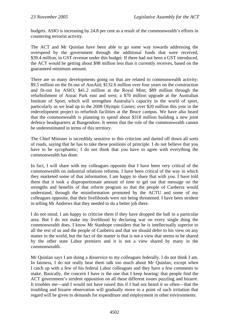budgets. ASIO is increasing by 24.8 per cent as a result of the commonwealth's efforts in countering terrorist activity.

The ACT and Mr Quinlan have been able to go some way towards addressing the overspend by the government through the additional funds that were received, \$39.4 million, in GST revenue under this budget. If there had not been a GST introduced, the ACT would be getting about \$98 million less than it currently receives, based on the guaranteed minimum amount.

There are so many developments going on that are related to commonwealth activity: \$9.5 million on the fit-out of AusAid; \$132.6 million over four years on the construction and fit-out for ASIO; \$41.2 million at the Royal Mint; \$89 million through the refurbishment of Anzac Park east and west; a \$70 million upgrade at the Australian Institute of Sport, which will strengthen Australia's capacity in the world of sport, particularly as we lead up to the 2008 Olympic Games; over \$20 million this year in the redevelopment project to refurbish facilities at the Bruce campus. We have also heard that the commonwealth is planning to spend about \$318 million building a new joint defence headquarters at Bungendore. It seems that the role of the commonwealth cannot be underestimated in terms of this territory.

The Chief Minister is incredibly sensitive to this criticism and darted off down all sorts of roads, saying that he has to take these positions of principle. I do not believe that you have to be sycophantic; I do not think that you have to agree with everything the commonwealth has done.

In fact, I will share with my colleagues opposite that I have been very critical of the commonwealth on industrial relations reforms. I have been critical of the way in which they marketed some of that information. I am happy to share that with you. I have told them that it took a disproportionate amount of time to get out that message on the strengths and benefits of that reform program so that the people of Canberra would understand, through the misinformation promoted by the ACTU and some of my colleagues opposite, that their livelihoods were not being threatened. I have been strident in telling Mr Andrews that they needed to do a better job there.

I do not mind; I am happy to criticise them if they have dropped the ball in a particular area. But I do not make my livelihood by declaring war on every single thing the commonwealth does. I know Mr Stanhope considers that he is intellectually superior to all the rest of us and the people of Canberra and that we should defer to his view on any matter in the world, but the fact of the matter is that is not a view that seems to be shared by the other state Labor premiers and it is not a view shared by many in the commonwealth.

Mr Quinlan says I am doing a disservice to my colleagues federally. I do not think I am. In fairness, I do not really hear them talk too much about Mr Quinlan, except when I catch up with a few of his federal Labor colleagues and they have a few comments to make. Basically, the concern I have is the one that I keep hearing: that people find the ACT government's strident opposition on all these different issues puzzling and bizarre. It troubles me—and I would not have raised this if I had not heard it so often—that the troubling and bizarre observation will gradually move to a point of such irritation that regard will be given to demands for expenditure and employment in other environments.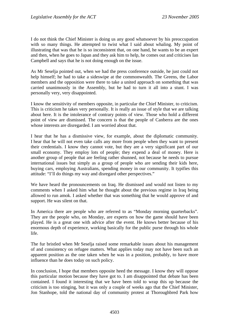I do not think the Chief Minister is doing us any good whatsoever by his preoccupation with so many things. He attempted to twist what I said about whaling. My point of illustrating that was that he is so inconsistent that, on one hand, he wants to be an expert and then, when he goes to Japan and they ask him to help, he comes out and criticises Ian Campbell and says that he is not doing enough on the issue.

As Mr Seselja pointed out, when we had the press conference outside, he just could not help himself; he had to take a sideswipe at the commonwealth. The Greens, the Labor members and the opposition were there to take a united approach on something that was carried unanimously in the Assembly, but he had to turn it all into a stunt. I was personally very, very disappointed.

I know the sensitivity of members opposite, in particular the Chief Minister, to criticism. This is criticism he takes very personally. It is really an issue of style that we are talking about here. It is the intolerance of contrary points of view. Those who hold a different point of view are dismissed. The concern is that the people of Canberra are the ones whose interests are disregarded. I am worried about that.

I hear that he has a dismissive view, for example, about the diplomatic community. I hear that he will not even take calls any more from people when they want to present their credentials. I know they cannot vote, but they are a very significant part of our small economy. They employ lots of people; they expend a deal of money. Here is another group of people that are feeling rather shunned, not because he needs to pursue international issues but simply as a group of people who are sending their kids here, buying cars, employing Australians, spending money in our community. It typifies this attitude: "I'll do things my way and disregard other perspectives."

We have heard the pronouncements on Iraq. He dismissed and would not listen to my comments when I asked him what he thought about the previous regime in Iraq being allowed to run amok. I asked whether that was something that he would approve of and support. He was silent on that.

In America there are people who are referred to as "Monday morning quarterbacks". They are the people who, on Monday, are experts on how the game should have been played. He is a great one with advice after the event. He knows better because of his enormous depth of experience, working basically for the public purse through his whole life.

The fur bristled when Mr Seselja raised some remarkable issues about his management of and consistency on refugee matters. What applies today may not have been such an apparent position as the one taken when he was in a position, probably, to have more influence than he does today on such policy.

In conclusion, I hope that members opposite heed the message. I know they will oppose this particular motion because they have got to. I am disappointed that debate has been contained. I found it interesting that we have been told to wrap this up because the criticism is too stinging, but it was only a couple of weeks ago that the Chief Minister, Jon Stanhope, told the national day of community protest at Thoroughbred Park how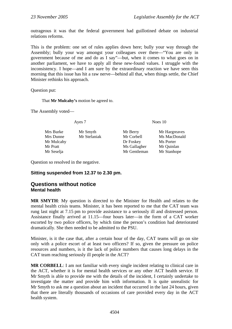<span id="page-33-0"></span>outrageous it was that the federal government had guillotined debate on industrial relations reforms.

This is the problem: one set of rules applies down here; bully your way through the Assembly; bully your way amongst your colleagues over there—"You are only in government because of me and do as I say"—but, when it comes to what goes on in another parliament, we have to apply all these new-found values. I struggle with the inconsistency. I hope—and I am sure by the extraordinary reaction we have seen this morning that this issue has hit a raw nerve—behind all that, when things settle, the Chief Minister rethinks his approach.

Question put:

That **Mr Mulcahy's** motion be agreed to.

The Assembly voted—

Mrs Burke Mr Smyth Mr Berry Mr Hargreaves Mrs Dunne Mr Stefaniak Mr Corbell Ms MacDonald Mr Mulcahy Dr Foskey Ms Porter Mr Pratt Mr Gallagher Mr Ouinlan Mr Seselja Mr Gentleman Mr Stanhope

Ayes 7 Noes 10

- -

Question so resolved in the negative.

## **Sitting suspended from 12.37 to 2.30 pm.**

## **Questions without notice Mental health**

**MR SMYTH**: My question is directed to the Minister for Health and relates to the mental health crisis teams. Minister, it has been reported to me that the CAT team was rung last night at 7.15 pm to provide assistance to a seriously ill and distressed person. Assistance finally arrived at 11.15—four hours later—in the form of a CAT worker escorted by two police officers, by which time the person's condition had deteriorated dramatically. She then needed to be admitted to the PSU.

Minister, is it the case that, after a certain hour of the day, CAT teams will go on site only with a police escort of at least two officers? If so, given the pressure on police resources and numbers, is it the lack of police numbers that causes long delays in the CAT team reaching seriously ill people in the ACT?

**MR CORBELL**: I am not familiar with every single incident relating to clinical care in the ACT, whether it is for mental health services or any other ACT health service. If Mr Smyth is able to provide me with the details of the incident, I certainly undertake to investigate the matter and provide him with information. It is quite unrealistic for Mr Smyth to ask me a question about an incident that occurred in the last 24 hours, given that there are literally thousands of occasions of care provided every day in the ACT health system.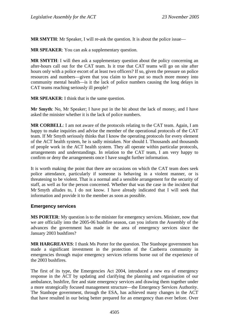<span id="page-34-0"></span>**MR SMYTH:** Mr Speaker, I will re-ask the question. It is about the police issue—

**MR SPEAKER**: You can ask a supplementary question.

**MR SMYTH**: I will then ask a supplementary question about the policy concerning an after-hours call out for the CAT team. Is it true that CAT teams will go on site after hours only with a police escort of at least two officers? If so, given the pressure on police resources and numbers—given that you claim to have put so much more money into community mental health—is it the lack of police numbers causing the long delays in CAT teams reaching seriously ill people?

**MR SPEAKER**: I think that is the same question.

**Mr Smyth**: No, Mr Speaker; I have put in the bit about the lack of money, and I have asked the minister whether it is the lack of police numbers.

**MR CORBELL**: I am not aware of the protocols relating to the CAT team. Again, I am happy to make inquiries and advise the member of the operational protocols of the CAT team. If Mr Smyth seriously thinks that I know the operating protocols for every element of the ACT health system, he is sadly mistaken. Nor should I. Thousands and thousands of people work in the ACT health system. They all operate within particular protocols, arrangements and understandings. In relation to the CAT team, I am very happy to confirm or deny the arrangements once I have sought further information.

It is worth making the point that there are occasions on which the CAT team does seek police attendance, particularly if someone is behaving in a violent manner, or is threatening to be violent. That is a normal and a sensible arrangement for the security of staff, as well as for the person concerned. Whether that was the case in the incident that Mr Smyth alludes to, I do not know. I have already indicated that I will seek that information and provide it to the member as soon as possible.

## **Emergency services**

**MS PORTER**: My question is to the minister for emergency services. Minister, now that we are officially into the 2005-06 bushfire season, can you inform the Assembly of the advances the government has made in the area of emergency services since the January 2003 bushfires?

**MR HARGREAVES**: I thank Ms Porter for the question. The Stanhope government has made a significant investment in the protection of the Canberra community in emergencies through major emergency services reforms borne out of the experience of the 2003 bushfires.

The first of its type, the Emergencies Act 2004, introduced a new era of emergency response in the ACT by updating and clarifying the planning and organisation of our ambulance, bushfire, fire and state emergency services and drawing them together under a more strategically focused management structure—the Emergency Services Authority. The Stanhope government, through the ESA, has achieved many changes in the ACT that have resulted in our being better prepared for an emergency than ever before. Over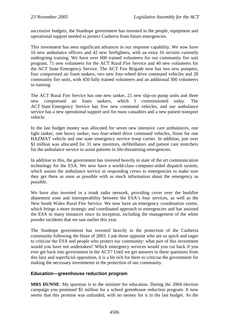<span id="page-35-0"></span>successive budgets, the Stanhope government has invested in the people, equipment and operational support needed to protect Canberra from future emergencies.

This investment has seen significant advances in our response capability. We now have 16 new ambulance officers and 42 new firefighters, with an extra 16 recruits currently undergoing training. We have over 600 trained volunteers for our community fire unit program, 71 new volunteers for the ACT Rural Fire Service and 40 new volunteers for the ACT State Emergency Service. The ACT Fire Brigade now has two new pumpers, four compressed air foam tankers, two new four-wheel drive command vehicles and 28 community fire units, with 450 fully trained volunteers and an additional 300 volunteers in training.

The ACT Rural Fire Service has one new tanker, 21 new slip-on pump units and three new compressed air foam tankers, which I commissioned today. The ACT State Emergency Service has five new command vehicles, and our ambulance service has a new operational support unit for mass casualties and a new patient transport vehicle.

In the last budget money was allocated for seven new intensive care ambulances, one light tanker, one heavy tanker, two four-wheel drive command vehicles, fitout for one HAZMAT vehicle and one state emergency service troop carrier. In addition, just over \$1 million was allocated for 31 new monitors, defibrillators and patient care stretchers for the ambulance service to assist patients in life-threatening emergencies.

In addition to this, the government has invested heavily in state of the art communication technology for the ESA. We now have a world-class computer-aided dispatch system, which assists the ambulance service in responding crews to emergencies to make sure they get there as soon as possible with as much information about the emergency as possible.

We have also invested in a trunk radio network, providing cover over the bushfire abatement zone and interoperability between the ESA's four services, as well as the New South Wales Rural Fire Service. We now have an emergency coordination centre, which brings a more strategic and coordinated approach to emergencies and has assisted the ESA in many instances since its inception, including the management of the white powder incidents that we saw earlier this year.

The Stanhope government has invested heavily in the protection of the Canberra community following the blaze of 2003. I ask those opposite who are so quick and eager to criticise the ESA and people who protect our community: what part of this investment would you have not undertaken? Which emergency services would you cut back if you ever get back into government in the ACT? Until we get answers to these questions from this lazy and superficial opposition, it is a bit rich for them to criticise the government for making the necessary investments in the protection of our community.

## **Education—greenhouse reduction program**

**MRS DUNNE**: My question is to the minister for education. During the 2004 election campaign you promised \$5 million for a school greenhouse reduction program. It now seems that this promise was unfunded, with no money for it in the last budget. As the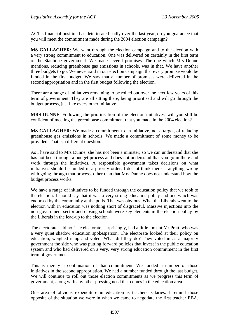ACT's financial position has deteriorated badly over the last year, do you guarantee that you will meet the commitment made during the 2004 election campaign?

**MS GALLAGHER**: We went through the election campaign and to the election with a very strong commitment to education. One was delivered on certainly in the first term of the Stanhope government. We made several promises. The one which Mrs Dunne mentions, reducing greenhouse gas emissions in schools, was in that. We have another three budgets to go. We never said in our election campaign that every promise would be funded in the first budget. We saw that a number of promises were delivered in the second appropriation and in the first budget following the election.

There are a range of initiatives remaining to be rolled out over the next few years of this term of government. They are all sitting there, being prioritised and will go through the budget process, just like every other initiative.

**MRS DUNNE**: Following the prioritisation of the election initiatives, will you still be confident of meeting the greenhouse commitment that you made in the 2004 election?

**MS GALLAGHER**: We made a commitment to an initiative, not a target, of reducing greenhouse gas emissions in schools. We made a commitment of some money to be provided. That is a different question.

As I have said to Mrs Dunne, she has not been a minister; so we can understand that she has not been through a budget process and does not understand that you go in there and work through the initiatives. A responsible government takes decisions on what initiatives should be funded in a priority order. I do not think there is anything wrong with going through that process, other than that Mrs Dunne does not understand how the budget process works.

We have a range of initiatives to be funded through the education policy that we took to the election. I should say that it was a very strong education policy and one which was endorsed by the community at the polls. That was obvious. What the Liberals went to the election with in education was nothing short of disgraceful. Massive injections into the non-government sector and closing schools were key elements in the election policy by the Liberals in the lead-up to the election.

The electorate said no. The electorate, surprisingly, had a little look at Mr Pratt, who was a very quiet shadow education spokesperson. The electorate looked at their policy on education, weighed it up and voted. What did they do? They voted in as a majority government the side who was putting forward policies that invest in the public education system and who had delivered on a very, very strong education commitment in the first term of government.

This is merely a continuation of that commitment. We funded a number of those initiatives in the second appropriation. We had a number funded through the last budget. We will continue to roll out those election commitments as we progress this term of government, along with any other pressing need that comes in the education area.

One area of obvious expenditure in education is teachers' salaries. I remind those opposite of the situation we were in when we came to negotiate the first teacher EBA.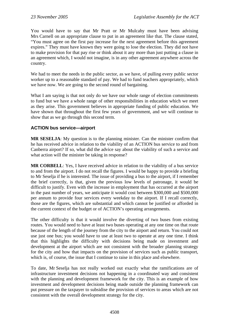You would have to say that Mr Pratt or Mr Mulcahy must have been advising Mrs Carnell on an appropriate clause to put in an agreement like that. The clause stated, "You must agree on the first pay increase for the next agreement before this agreement expires." They must have known they were going to lose the election. They did not have to make provision for that pay rise or think about it any more than just putting a clause in an agreement which, I would not imagine, is in any other agreement anywhere across the country.

We had to meet the needs in the public sector, as we have, of pulling every public sector worker up to a reasonable standard of pay. We had to fund teachers appropriately, which we have now. We are going to the second round of bargaining.

What I am saying is that not only do we have our whole range of election commitments to fund but we have a whole range of other responsibilities in education which we meet as they arise. This government believes in appropriate funding of public education. We have shown that throughout the first few years of government, and we will continue to show that as we go through this second term.

### **ACTION bus service—airport**

**MR SESELJA**: My question is to the planning minister. Can the minister confirm that he has received advice in relation to the viability of an ACTION bus service to and from Canberra airport? If so, what did the advice say about the viability of such a service and what action will the minister be taking in response?

**MR CORBELL**: Yes, I have received advice in relation to the viability of a bus service to and from the airport. I do not recall the figures. I would be happy to provide a briefing to Mr Seselja if he is interested. The issue of providing a bus to the airport, if I remember the brief correctly, is that, given the previous low levels of patronage, it would be difficult to justify. Even with the increase in employment that has occurred at the airport in the past number of years, we anticipate it would cost between \$300,000 and \$500,000 per annum to provide four services every weekday to the airport. If I recall correctly, those are the figures, which are substantial and which cannot be justified or afforded in the current context of the budget or of ACTION's operating arrangements.

The other difficulty is that it would involve the diverting of two buses from existing routes. You would need to have at least two buses operating at any one time on that route because of the length of the journey from the city to the airport and return. You could not use just one bus; you would have to use at least two to operate at any one time. I think that this highlights the difficulty with decisions being made on investment and development at the airport which are not consistent with the broader planning strategy for the city and how that impacts on the provision of services such as public transport, which is, of course, the issue that I continue to raise in this place and elsewhere.

To date, Mr Seselja has not really worked out exactly what the ramifications are of infrastructure investment decisions not happening in a coordinated way and consistent with the planning and development framework for the city. This is an example of how investment and development decisions being made outside the planning framework can put pressure on the taxpayer to subsidise the provision of services to areas which are not consistent with the overall development strategy for the city.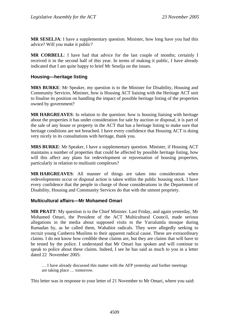**MR SESELJA**: I have a supplementary question. Minister, how long have you had this advice? Will you make it public?

**MR CORBELL**: I have had that advice for the last couple of months; certainly I received it in the second half of this year. In terms of making it public, I have already indicated that I am quite happy to brief Mr Seselja on the issues.

### **Housing—heritage listing**

**MRS BURKE**: Mr Speaker, my question is to the Minister for Disability, Housing and Community Services. Minister, how is Housing ACT liaising with the Heritage ACT unit to finalise its position on handling the impact of possible heritage listing of the properties owned by government?

**MR HARGREAVES**: In relation to the question: how is housing liaising with heritage about the properties it has under consideration for sale by auction or disposal, it is part of the sale of any house or property in the ACT that has a heritage listing to make sure that heritage conditions are not breached. I have every confidence that Housing ACT is doing very nicely in its consultations with heritage, thank you.

**MRS BURKE**: Mr Speaker, I have a supplementary question. Minister, if Housing ACT maintains a number of properties that could be affected by possible heritage listing, how will this affect any plans for redevelopment or rejuvenation of housing properties, particularly in relation to multiunit complexes?

**MR HARGREAVES**: All manner of things are taken into consideration when redevelopments occur or disposal action is taken within the public housing stock. I have every confidence that the people in charge of those considerations in the Department of Disability, Housing and Community Services do that with the utmost propriety.

### **Multicultural affairs—Mr Mohamed Omari**

**MR PRATT**: My question is to the Chief Minister. Last Friday, and again yesterday, Mr Mohamed Omari, the President of the ACT Multicultural Council, made serious allegations in the media about supposed visits to the Yarralumla mosque during Ramadan by, as he called them, Wahabist radicals. They were allegedly seeking to recruit young Canberra Muslims to their apparent radical cause. These are extraordinary claims. I do not know how credible these claims are, but they are claims that will have to be tested by the police. I understand that Mr Omari has spoken and will continue to speak to police about these claims. Indeed, I see he has said as much to you in a letter dated 22 November 2005:

… I have already discussed this matter with the AFP yesterday and further meetings are taking place … tomorrow.

This letter was in response to your letter of 21 November to Mr Omari, where you said: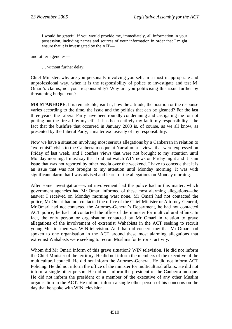I would be grateful if you would provide me, immediately, all information in your possession, including names and sources of your information in order that I might ensure that it is investigated by the AFP—

and other agencies—

… without further delay.

Chief Minister, why are you personally involving yourself, in a most inappropriate and unprofessional way, when it is the responsibility of police to investigate and test M Omari's claims, not your responsibility? Why are you politicising this issue further by threatening budget cuts?

**MR STANHOPE**: It is remarkable, isn't it, how the attitude, the position or the response varies according to the time, the issue and the politics that can be gleaned? For the last three years, the Liberal Party have been roundly condemning and castigating me for not putting out the fire all by myself—it has been entirely my fault, my responsibility—the fact that the bushfire that occurred in January 2003 is, of course, as we all know, as presented by the Liberal Party, a matter exclusively of my responsibility.

Now we have a situation involving most serious allegations by a Canberran in relation to "extremist" visits to the Canberra mosque at Yarralumla—views that were expressed on Friday of last week, and I confess views that were not brought to my attention until Monday morning. I must say that I did not watch WIN news on Friday night and it is an issue that was not reported by other media over the weekend. I have to concede that it is an issue that was not brought to my attention until Monday morning. It was with significant alarm that I was advised and learnt of the allegations on Monday morning.

After some investigation—what involvement had the police had in this matter; which government agencies had Mr Omari informed of these most alarming allegations—the answer I received on Monday morning was: none. Mr Omari had not contacted the police, Mr Omari had not contacted the office of the Chief Minister or Attorney-General, Mr Omari had not contacted the Attorney-General's Department, he had not contacted ACT police, he had not contacted the office of the minister for multicultural affairs. In fact, the only person or organisation contacted by Mr Omari in relation to grave allegations of the involvement of extremist Wahabists in the ACT seeking to recruit young Muslim men was WIN television. And that did concern me: that Mr Omari had spoken to one organisation in the ACT around these most alarming allegations that extremist Wahabists were seeking to recruit Muslims for terrorist activity.

Whom did Mr Omari inform of this grave situation? WIN television. He did not inform the Chief Minister of the territory. He did not inform the members of the executive of the multicultural council. He did not inform the Attorney-General. He did not inform ACT Policing. He did not inform the office of the minister for multicultural affairs. He did not inform a single other person. He did not inform the president of the Canberra mosque. He did not inform the president or a member of the executive of any other Muslim organisation in the ACT. He did not inform a single other person of his concerns on the day that he spoke with WIN television.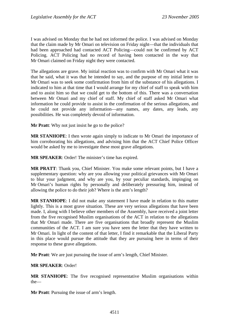I was advised on Monday that he had not informed the police. I was advised on Monday that the claim made by Mr Omari on television on Friday night—that the individuals that had been approached had contacted ACT Policing—could not be confirmed by ACT Policing. ACT Policing had no record of having been contacted in the way that Mr Omari claimed on Friday night they were contacted.

The allegations are grave. My initial reaction was to confirm with Mr Omari what it was that he said, what it was that he intended to say, and the purpose of my initial letter to Mr Omari was to seek some confirmation from him of the substance of his allegations. I indicated to him at that time that I would arrange for my chief of staff to speak with him and to assist him so that we could get to the bottom of this. There was a conversation between Mr Omari and my chief of staff. My chief of staff asked Mr Omari what information he could provide to assist in the confirmation of the serious allegations, and he could not provide any information—any names, any dates, any leads, any possibilities. He was completely devoid of information.

**Mr Pratt**: Why not just insist he go to the police?

**MR STANHOPE**: I then wrote again simply to indicate to Mr Omari the importance of him corroborating his allegations, and advising him that the ACT Chief Police Officer would be asked by me to investigate these most grave allegations.

**MR SPEAKER**: Order! The minister's time has expired.

**MR PRATT**: Thank you, Chief Minister. You make some relevant points, but I have a supplementary question: why are you allowing your political grievances with Mr Omari to blur your judgment, and why are you, by your peculiar standards, impinging on Mr Omari's human rights by personally and deliberately pressuring him, instead of allowing the police to do their job? Where is the arm's length?

**MR STANHOPE**: I did not make any statement I have made in relation to this matter lightly. This is a most grave situation. These are very serious allegations that have been made. I, along with I believe other members of the Assembly, have received a joint letter from the five recognised Muslim organisations of the ACT in relation to the allegations that Mr Omari made. There are five organisations that broadly represent the Muslim communities of the ACT. I am sure you have seen the letter that they have written to Mr Omari. In light of the content of that letter, I find it remarkable that the Liberal Party in this place would pursue the attitude that they are pursuing here in terms of their response to these grave allegations.

**Mr Pratt**: We are just pursuing the issue of arm's length, Chief Minister.

#### **MR SPEAKER**: Order!

**MR STANHOPE**: The five recognised representative Muslim organisations within the—

**Mr Pratt**: Pursuing the issue of arm's length.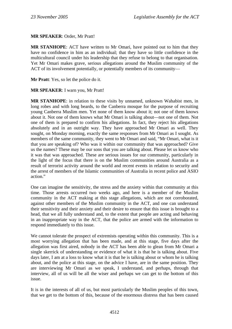#### **MR SPEAKER**: Order, Mr Pratt!

**MR STANHOPE**: ACT have written to Mr Omari, have pointed out to him that they have no confidence in him as an individual; that they have so little confidence in the multicultural council under his leadership that they refuse to belong to that organisation. Yet Mr Omari makes grave, serious allegations around the Muslim community of the ACT of its involvement potentially, or potentially members of its community—

**Mr Pratt**: Yes, so let the police do it.

#### **MR SPEAKER**: I warn you, Mr Pratt!

**MR STANHOPE**: in relation to these visits by unnamed, unknown Wahabist men, in long robes and with long beards, to the Canberra mosque for the purpose of recruiting young Canberra Muslim men. Yet none of them know about it; not one of them knows about it. Not one of them knows what Mr Omari is talking about—not one of them. Not one of them is prepared to confirm his allegations. In fact, they reject his allegations absolutely and in an outright way. They have approached Mr Omari as well. They sought, on Monday morning, exactly the same responses from Mr Omari as I sought. As members of the same community, they went to Mr Omari and said, "Mr Omari, what is it that you are speaking of? Who was it within our community that was approached? Give us the names? These may be our sons that you are talking about. Please let us know who it was that was approached. These are serious issues for our community, particularly in the light of the focus that there is on the Muslim communities around Australia as a result of terrorist activity around the world and recent events in relation to security and the arrest of members of the Islamic communities of Australia in recent police and ASIO action."

One can imagine the sensitivity, the stress and the anxiety within that community at this time. Those arrests occurred two weeks ago, and here is a member of the Muslim community in the ACT making at this stage allegations, which are not corroborated, against other members of the Muslim community in the ACT, and one can understand their sensitivity and their anxiety and their desire to ensure that this issue is brought to a head, that we all fully understand and, to the extent that people are acting and behaving in an inappropriate way in the ACT, that the police are armed with the information to respond immediately to this issue.

We cannot tolerate the prospect of extremists operating within this community. This is a most worrying allegation that has been made, and at this stage, five days after the allegation was first aired, nobody in the ACT has been able to glean from Mr Omari a single skerrick of understanding or evidence of what it is that he is talking about. Five days later, I am at a loss to know what it is that he is talking about or whom he is talking about, and the police at this stage, on the advice I have, are in the same position. They are interviewing Mr Omari as we speak, I understand, and perhaps, through that interview, all of us will be all the wiser and perhaps we can get to the bottom of this issue.

It is in the interests of all of us, but most particularly the Muslim peoples of this town, that we get to the bottom of this, because of the enormous distress that has been caused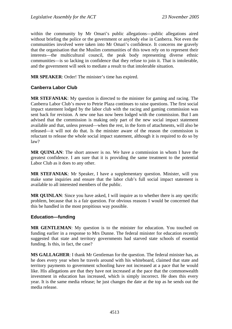within the community by Mr Omari's public allegations—public allegations aired without briefing the police or the government or anybody else in Canberra. Not even the communities involved were taken into Mr Omari's confidence. It concerns me gravely that the organisation that the Muslim communities of this town rely on to represent their interests—the multicultural council, the peak body representing diverse ethnic communities—is so lacking in confidence that they refuse to join it. That is intolerable, and the government will seek to mediate a result to that intolerable situation.

**MR SPEAKER**: Order! The minister's time has expired.

### **Canberra Labor Club**

**MR STEFANIAK**: My question is directed to the minister for gaming and racing. The Canberra Labor Club's move to Petrie Plaza continues to raise questions. The first social impact statement lodged by the labor club with the racing and gaming commission was sent back for revision. A new one has now been lodged with the commission. But I am advised that the commission is making only part of the new social impact statement available and that, unless pressed—when the rest, in the form of attachments, will also be released—it will not do that. Is the minister aware of the reason the commission is reluctant to release the whole social impact statement, although it is required to do so by law?

**MR QUINLAN**: The short answer is no. We have a commission in whom I have the greatest confidence. I am sure that it is providing the same treatment to the potential Labor Club as it does to any other.

**MR STEFANIAK**: Mr Speaker, I have a supplementary question. Minister, will you make some inquiries and ensure that the labor club's full social impact statement is available to all interested members of the public.

**MR OUINLAN:** Since you have asked, I will inquire as to whether there is any specific problem, because that is a fair question. For obvious reasons I would be concerned that this be handled in the most propitious way possible.

### **Education—funding**

**MR GENTLEMAN**: My question is to the minister for education. You touched on funding earlier in a response to Mrs Dunne. The federal minister for education recently suggested that state and territory governments had starved state schools of essential funding. Is this, in fact, the case?

**MS GALLAGHER**: I thank Mr Gentleman for the question. The federal minister has, as he does every year when he travels around with his whiteboard, claimed that state and territory payments to government schooling have not increased at a pace that he would like. His allegations are that they have not increased at the pace that the commonwealth investment in education has increased, which is simply incorrect. He does this every year. It is the same media release; he just changes the date at the top as he sends out the media release.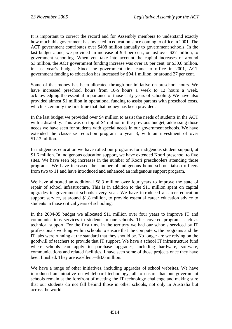It is important to correct the record and for Assembly members to understand exactly how much this government has invested in education since coming to office in 2001. The ACT government contributes over \$408 million annually to government schools. In the last budget alone, we provided an increase of 9.4 per cent, or just over \$27 million, to government schooling. When you take into account the capital increases of around \$3 million, the ACT government funding increase was over 10 per cent, or \$30.6 million, in last year's budget. Since the government first came to office in 2001, ACT government funding to education has increased by \$94.1 million, or around 27 per cent.

Some of that money has been allocated through our initiative on preschool hours. We have increased preschool hours from 10½ hours a week to 12 hours a week, acknowledging the essential importance of those early years of schooling. We have also provided almost \$1 million in operational funding to assist parents with preschool costs, which is certainly the first time that that money has been provided.

In the last budget we provided over \$4 million to assist the needs of students in the ACT with a disability. This was on top of \$4 million in the previous budget, addressing those needs we have seen for students with special needs in our government schools. We have extended the class-size reduction program to year 3, with an investment of over \$12.3 million.

In indigenous education we have rolled out programs for indigenous student support, at \$1.6 million. In indigenous education support, we have extended Koori preschool to five sites. We have seen big increases in the number of Koori preschoolers attending those programs. We have increased the number of indigenous home school liaison officers from two to 11 and have introduced and enhanced an indigenous support program.

We have allocated an additional \$8.3 million over four years to improve the state of repair of school infrastructure. This is in addition to the \$11 million spent on capital upgrades in government schools every year. We have introduced a career education support service, at around \$1.8 million, to provide essential career education advice to students in those critical years of schooling.

In the 2004-05 budget we allocated \$11 million over four years to improve IT and communications services to students in our schools. This covered programs such as technical support. For the first time in the territory we had our schools serviced by IT professionals working within schools to ensure that the computers, the programs and the IT labs were running at the standard that they should be. No longer are we relying on the goodwill of teachers to provide that IT support. We have a school IT infrastructure fund where schools can apply to purchase upgrades, including hardware, software, communications and related facilities. I have seen some of those projects once they have been finished. They are excellent—\$3.6 million.

We have a range of other initiatives, including upgrades of school websites. We have introduced an initiative on whiteboard technology, all to ensure that our government schools remain at the forefront of meeting the IT technology challenge and making sure that our students do not fall behind those in other schools, not only in Australia but across the world.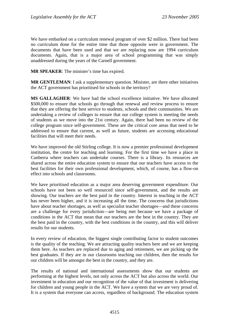We have embarked on a curriculum renewal program of over \$2 million. There had been no curriculum done for the entire time that those opposite were in government. The documents that have been used and that we are replacing now are 1994 curriculum documents. Again, that is a major area of school programming that was simply unaddressed during the years of the Carnell government.

**MR SPEAKER**: The minister's time has expired.

**MR GENTLEMAN:** I ask a supplementary question. Minister, are there other initiatives the ACT government has prioritised for schools in the territory?

**MS GALLAGHER**: We have had the school excellence initiative. We have allocated \$500,000 to ensure that schools go through that renewal and review process to ensure that they are offering the best service to students, schools and their communities. We are undertaking a review of colleges to ensure that our college system is meeting the needs of students as we move into the 21st century. Again, there had been no review of the college program since self-government. These are the critical core areas that need to be addressed to ensure that current, as well as future, students are accessing educational facilities that will meet their needs.

We have improved the old Stirling college. It is now a premier professional development institution, the centre for teaching and learning. For the first time we have a place in Canberra where teachers can undertake courses. There is a library. Its resources are shared across the entire education system to ensure that our teachers have access to the best facilities for their own professional development, which, of course, has a flow-on effect into schools and classrooms.

We have prioritised education as a major area deserving government expenditure. Our schools have not been so well resourced since self-government, and the results are showing. Our teachers are the best paid in the country. Interest in teaching in the ACT has never been higher, and it is increasing all the time. The concerns that jurisdictions have about teacher shortages, as well as specialist teacher shortages—and these concerns are a challenge for every jurisdiction—are being met because we have a package of conditions in the ACT that mean that our teachers are the best in the country. They are the best paid in the country, with the best conditions in the country, and this will deliver results for our students.

In every review of education, the biggest single contributing factor to student outcomes is the quality of the teaching. We are attracting quality teachers here and we are keeping them here. As teachers are replaced due to aging and retirement, we are picking up the best graduates. If they are in our classrooms teaching our children, then the results for our children will be amongst the best in the country, and they are.

The results of national and international assessments show that our students are performing at the highest levels, not only across the ACT but also across the world. Our investment in education and our recognition of the value of that investment is delivering for children and young people in the ACT. We have a system that we are very proud of. It is a system that everyone can access, regardless of background. The education system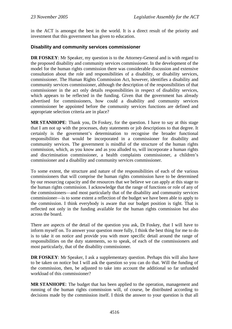in the ACT is amongst the best in the world. It is a direct result of the priority and investment that this government has given to education.

### **Disability and community services commissioner**

**DR FOSKEY:** Mr Speaker, my question is to the Attorney-General and is with regard to the proposed disability and community services commissioner. In the development of the model for the human rights commission there was considerable discussion and extensive consultation about the role and responsibilities of a disability, or disability services, commissioner. The Human Rights Commission Act, however, identifies a disability and community services commissioner, although the description of the responsibilities of that commissioner in the act only details responsibilities in respect of disability services, which appears to be reflected in the funding. Given that the government has already advertised for commissioners, how could a disability and community services commissioner be appointed before the community services functions are defined and appropriate selection criteria are in place?

**MR STANHOPE**: Thank you, Dr Foskey, for the question. I have to say at this stage that I am not up with the processes, duty statements or job descriptions to that degree. It certainly is the government's determination to recognise the broader functional responsibilities that would be incorporated in a commissioner for disability and community services. The government is mindful of the structure of the human rights commission, which, as you know and as you alluded to, will incorporate a human rights and discrimination commissioner, a health complaints commissioner, a children's commissioner and a disability and community services commissioner.

To some extent, the structure and nature of the responsibilities of each of the various commissioners that will comprise the human rights commission have to be determined by our resourcing capacity and the resources that we believe we can apply at this stage to the human rights commission. I acknowledge that the range of functions or role of any of the commissioners—and most particularly that of the disability and community services commissioner—is to some extent a reflection of the budget we have been able to apply to the commission. I think everybody is aware that our budget position is tight. That is reflected not only in the funding available for the human rights commission but also across the board.

There are aspects of the detail of the question you ask, Dr Foskey, that I will have to inform myself on. To answer your question more fully, I think the best thing for me to do is to take it on notice and provide you with more specific detail around the range of responsibilities on the duty statements, so to speak, of each of the commissioners and most particularly, that of the disability commissioner.

**DR FOSKEY:** Mr Speaker, I ask a supplementary question. Perhaps this will also have to be taken on notice but I will ask the question so you can do that. Will the funding of the commission, then, be adjusted to take into account the additional so far unfunded workload of this commissioner?

**MR STANHOPE**: The budget that has been applied to the operation, management and running of the human rights commission will, of course, be distributed according to decisions made by the commission itself. I think the answer to your question is that all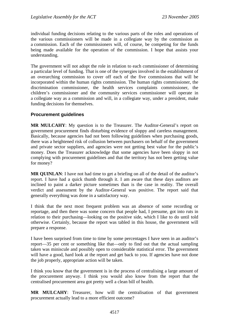individual funding decisions relating to the various parts of the roles and operations of the various commissioners will be made in a collegiate way by the commission as a commission. Each of the commissioners will, of course, be competing for the funds being made available for the operation of the commission. I hope that assists your understanding.

The government will not adopt the role in relation to each commissioner of determining a particular level of funding. That is one of the synergies involved in the establishment of an overarching commission to cover off each of the five commissions that will be incorporated within the human rights commission. The human rights commissioner, the discrimination commissioner, the health services complaints commissioner, the children's commissioner and the community services commissioner will operate in a collegiate way as a commission and will, in a collegiate way, under a president, make funding decisions for themselves.

### **Procurement guidelines**

**MR MULCAHY**: My question is to the Treasurer. The Auditor-General's report on government procurement finds disturbing evidence of sloppy and careless management. Basically, because agencies had not been following guidelines when purchasing goods, there was a heightened risk of collusion between purchasers on behalf of the government and private sector suppliers, and agencies were not getting best value for the public's money. Does the Treasurer acknowledge that some agencies have been sloppy in not complying with procurement guidelines and that the territory has not been getting value for money?

**MR QUINLAN**: I have not had time to get a briefing on all of the detail of the auditor's report. I have had a quick thumb through it. I am aware that these days auditors are inclined to paint a darker picture sometimes than is the case in reality. The overall verdict and assessment by the Auditor-General was positive. The report said that generally everything was done in a satisfactory way.

I think that the next most frequent problem was an absence of some recording or reportage, and then there was some concern that people had, I presume, got into ruts in relation to their purchasing—looking on the positive side, which I like to do until told otherwise. Certainly, because the report was tabled in this house, the government will prepare a response.

I have been surprised from time to time by some percentages I have seen in an auditor's report—35 per cent or something like that—only to find out that the actual sampling taken was miniscule and possibly open to considerable statistical error. The government will have a good, hard look at the report and get back to you. If agencies have not done the job properly, appropriate action will be taken.

I think you know that the government is in the process of centralising a large amount of the procurement anyway. I think you would also know from the report that the centralised procurement area got pretty well a clean bill of health.

**MR MULCAHY**: Treasurer, how will the centralisation of that government procurement actually lead to a more efficient outcome?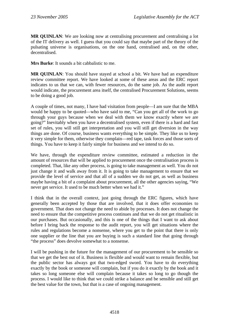**MR QUINLAN**: We are looking now at centralising procurement and centralising a lot of the IT delivery as well. I guess that you could say that maybe part of the theory of the pulsating universe is organisations, on the one hand, centralised and, on the other, decentralised.

**Mrs Burke**: It sounds a bit cabbalistic to me.

**MR QUINLAN**: You should have stayed at school a bit. We have had an expenditure review committee report. We have looked at some of these areas and the ERC report indicates to us that we can, with fewer resources, do the same job. As the audit report would indicate, the procurement area itself, the centralised Procurement Solutions, seems to be doing a good job.

A couple of times, not many, I have had visitation from people—I am sure that the MBA would be happy to be quoted—who have said to me, "Can you get all of the work to go through your guys because when we deal with them we know exactly where we are going?" Inevitably when you have a decentralised system, even if there is a hard and fast set of rules, you will still get interpretation and you will still get diversion in the way things are done. Of course, business wants everything to be simple. They like us to keep it very simple for them, otherwise they complain—red tape, task forces and those sorts of things. You have to keep it fairly simple for business and we intend to do so.

We have, through the expenditure review committee, estimated a reduction in the amount of resources that will be applied to procurement once the centralisation process is completed. That, like any other process, is going to take management as well. You do not just change it and walk away from it. It is going to take management to ensure that we provide the level of service and that all of a sudden we do not get, as well as business maybe having a bit of a complaint about procurement, all the other agencies saying, "We never get service. It used to be much better when we had it."

I think that in the overall context, just going through the ERC figures, which have generally been accepted by those that are involved, that it does offer economies to government. That does not change the need to abide by processes. It does not change the need to ensure that the competitive process continues and that we do not get ritualistic in our purchases. But occasionally, and this is one of the things that I want to ask about before I bring back the response to the audit report, you will get situations where the rules and regulations become a nonsense, where you get to the point that there is only one supplier or the line that you are buying is such a standard line that going through "the process" does devolve somewhat to a nonsense.

I will be pushing in the future for the management of our procurement to be sensible so that we get the best out of it. Business is flexible and would want to remain flexible, but the public sector has always got that two-edged sword. You have to do everything exactly by the book or someone will complain, but if you do it exactly by the book and it takes so long someone else will complain because it takes so long to go though the process. I would like to think that we could strike a balance and be sensible and still get the best value for the town, but that is a case of ongoing management.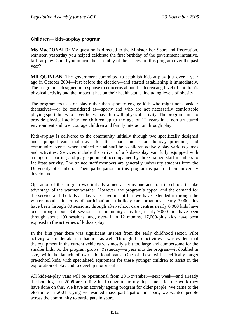### **Children—kids-at-play program**

**MS MacDONALD:** My question is directed to the Minister For Sport and Recreation. Minister, yesterday you helped celebrate the first birthday of the government initiative, kids-at-play. Could you inform the assembly of the success of this program over the past year?

**MR QUINLAN**: The government committed to establish kids-at-play just over a year ago in October 2004—just before the election—and started establishing it immediately. The program is designed in response to concerns about the decreasing level of children's physical activity and the impact it has on their health status, including levels of obesity.

The program focuses on play rather than sport to engage kids who might not consider themselves—or be considered as—sporty and who are not necessarily comfortable playing sport, but who nevertheless have fun with physical activity. The program aims to provide physical activity for children up to the age of 12 years in a non-structured environment and to encourage children and family interaction through play.

Kids-at-play is delivered to the community initially through two specifically designed and equipped vans that travel to after-school and school holiday programs, and community events, where trained casual staff help children actively play various games and activities. Services include the arrival of a kids-at-play van fully equipped with a range of sporting and play equipment accompanied by three trained staff members to facilitate activity. The trained staff members are generally university students from the University of Canberra. Their participation in this program is part of their university development.

Operation of the program was initially aimed at terms one and four in schools to take advantage of the warmer weather. However, the program's appeal and the demand for the service and the kids-at-play vans have meant that we have extended it through the winter months. In terms of participation, in holiday care programs, nearly 3,000 kids have been through 80 sessions; through after-school care centres nearly 6,000 kids have been through about 350 sessions; in community activities, nearly 9,000 kids have been through about 100 sessions; and, overall, in 12 months, 17,000-plus kids have been exposed to the activities of kids-at-play.

In the first year there was significant interest from the early childhood sector. Pilot activity was undertaken in that area as well. Through these activities it was evident that the equipment in the current vehicles was mostly a bit too large and cumbersome for the smaller kids. So the program grows. Yesterday—a year into the program—it doubled in size, with the launch of two additional vans. One of these will specifically target pre-school kids, with specialised equipment for these younger children to assist in the exploration of play and to develop motor skills.

All kids-at-play vans will be operational from 28 November—next week—and already the bookings for 2006 are rolling in. I congratulate my department for the work they have done on this. We have an actively ageing program for older people. We came to the electorate in 2001 saying we wanted mass participation in sport; we wanted people across the community to participate in sport.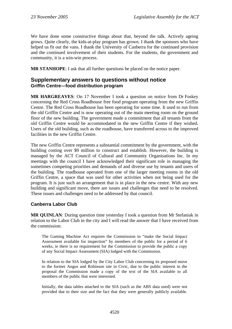We have done some constructive things about that, beyond the talk. Actively ageing grows. Quite clearly, the kids-at-play program has grown. I thank the sponsors who have helped us fit out the vans. I thank the University of Canberra for the continued provision and the continued involvement of their students. For the students, the government and community, it is a win-win process.

**MR STANHOPE**: I ask that all further questions be placed on the notice paper.

### **Supplementary answers to questions without notice Griffin Centre—food distribution program**

**MR HARGREAVES**: On 17 November I took a question on notice from Dr Foskey concerning the Red Cross Roadhouse free food program operating from the new Griffin Centre. The Red Cross Roadhouse has been operating for some time. It used to run from the old Griffin Centre and is now operating out of the main meeting room on the ground floor of the new building. The government made a commitment that all tenants from the old Griffin Centre would be accommodated in the new Griffin Centre if they wished. Users of the old building, such as the roadhouse, have transferred across to the improved facilities in the new Griffin Centre.

The new Griffin Centre represents a substantial commitment by the government, with the building costing over \$9 million to construct and establish. However, the building is managed by the ACT Council of Cultural and Community Organisations Inc. In my meetings with the council I have acknowledged their significant role in managing the sometimes competing priorities and demands of and diverse use by tenants and users of the building. The roadhouse operated from one of the larger meeting rooms in the old Griffin Centre, a space that was used for other activities when not being used for the program. It is just such an arrangement that is in place in the new centre. With any new building and significant move, there are issues and challenges that need to be resolved. These issues and challenges need to be addressed by that council.

### **Canberra Labor Club**

**MR QUINLAN**: During question time yesterday I took a question from Mr Stefaniak in relation to the Labor Club in the city and I will read the answer that I have received from the commission:

The Gaming Machine Act requires the Commission to "make the Social Impact Assessment available for inspection" by members of the public for a period of 6 weeks, ie there is no requirement for the Commission to provide the public a copy of any Social Impact Assessment (SIA) lodged with the Commission.

In relation to the SIA lodged by the City Labor Club concerning its proposed move to the former Angus and Robinson site in Civic, due to the public interest in the proposal the Commission made a copy of the text of the SIA available to all members of the public that were interested.

Initially, the data tables attached to the SIA (such as the ABS data used) were not provided due to their size and the fact that they were generally publicly available.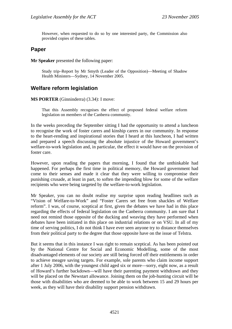However, when requested to do so by one interested party, the Commission also provided copies of these tables.

## **Paper**

**Mr Speaker** presented the following paper:

Study trip–Report by Mr Smyth (Leader of the Opposition)—Meeting of Shadow Health Ministers—Sydney, 14 November 2005.

## **Welfare reform legislation**

#### **MS PORTER** (Ginninderra) (3.34): I move:

That this Assembly recognises the effect of proposed federal welfare reform legislation on members of the Canberra community.

In the weeks preceding the September sitting I had the opportunity to attend a luncheon to recognise the work of foster carers and kinship carers in our community. In response to the heart-rending and inspirational stories that I heard at this luncheon, I had written and prepared a speech discussing the absolute injustice of the Howard government's welfare-to-work legislation and, in particular, the effect it would have on the provision of foster care.

However, upon reading the papers that morning, I found that the unthinkable had happened. For perhaps the first time in political memory, the Howard government had come to their senses and made it clear that they were willing to compromise their punishing crusade, at least in part, to soften the impending blow for some of the welfare recipients who were being targeted by the welfare-to-work legislation.

Mr Speaker, you can no doubt realise my surprise upon reading headlines such as "Vision of Welfare-to-Work" and "Foster Carers set free from shackles of Welfare reform". I was, of course, sceptical at first, given the debates we have had in this place regarding the effects of federal legislation on the Canberra community. I am sure that I need not remind those opposite of the ducking and weaving they have performed when debates have been initiated in this place on industrial relations or on VSU. In all of my time of serving politics, I do not think I have ever seen anyone try to distance themselves from their political party to the degree that those opposite have on the issue of Telstra.

But it seems that in this instance I was right to remain sceptical. As has been pointed out by the National Centre for Social and Economic Modelling, some of the most disadvantaged elements of our society are still being forced off their entitlements in order to achieve meagre saving targets. For example, sole parents who claim income support after 1 July 2006, with the youngest child aged six or more—sorry, eight now, as a result of Howard's further backdown—will have their parenting payment withdrawn and they will be placed on the Newstart allowance. Joining them on the job-hunting circuit will be those with disabilities who are deemed to be able to work between 15 and 29 hours per week, as they will have their disability support pension withdrawn.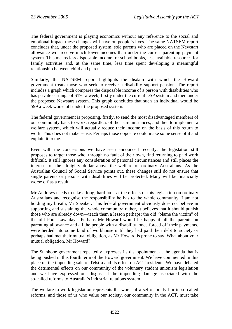The federal government is playing economics without any reference to the social and emotional impact these changes will have on people's lives. The same NATSEM report concludes that, under the proposed system, sole parents who are placed on the Newstart allowance will receive much lower incomes than under the current parenting payment system. This means less disposable income for school books, less available resources for family activities and, at the same time, less time spent developing a meaningful relationship between child and parent.

Similarly, the NATSEM report highlights the disdain with which the Howard government treats those who seek to receive a disability support pension. The report includes a graph which compares the disposable income of a person with disabilities who has private earnings of \$191 a week, firstly under the current DSP system and then under the proposed Newstart system. This graph concludes that such an individual would be \$99 a week worse off under the proposed system.

The federal government is proposing, firstly, to send the most disadvantaged members of our community back to work, regardless of their circumstances, and then to implement a welfare system, which will actually reduce their income on the basis of this return to work. This does not make sense. Perhaps those opposite could make some sense of it and explain it to me.

Even with the concessions we have seen announced recently, the legislation still proposes to target those who, through no fault of their own, find returning to paid work difficult. It still ignores any consideration of personal circumstances and still places the interests of the almighty dollar above the welfare of ordinary Australians. As the Australian Council of Social Service points out, these changes still do not ensure that single parents or persons with disabilities will be protected. Many will be financially worse off as a result.

Mr Andrews needs to take a long, hard look at the effects of this legislation on ordinary Australians and recognise the responsibility he has to the whole community. I am not holding my breath, Mr Speaker. This federal government obviously does not believe in supporting and sustaining the whole community; rather, it believes that it should punish those who are already down—teach them a lesson perhaps; the old "blame the victim" of the old Poor Law days. Perhaps Mr Howard would be happy if all the parents on parenting allowance and all the people with a disability, once forced off their payments, were herded into some kind of workhouse until they had paid their debt to society or perhaps had met their mutual obligation, as Mr Howard is prone to say. What about your mutual obligation, Mr Howard?

The Stanhope government repeatedly expresses its disappointment at the agenda that is being pushed in this fourth term of the Howard government. We have commented in this place on the impending sale of Telstra and its effect on ACT residents. We have debated the detrimental effects on our community of the voluntary student unionism legislation and we have expressed our disgust at the impending damage associated with the so-called reforms to Australia's industrial relations system.

The welfare-to-work legislation represents the worst of a set of pretty horrid so-called reforms, and those of us who value our society, our community in the ACT, must take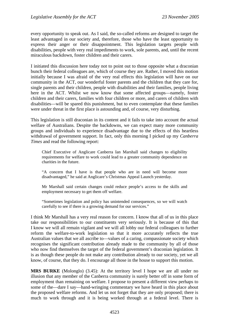every opportunity to speak out. As I said, the so-called reforms are designed to target the least advantaged in our society and, therefore, those who have the least opportunity to express their anger or their disappointment. This legislation targets people with disabilities, people with very real impediments to work, sole parents, and, until the recent miraculous backdown, foster children and their carers.

I initiated this discussion here today not to point out to those opposite what a draconian bunch their federal colleagues are, which of course they are. Rather, I moved this motion initially because I was afraid of the very real effects this legislation will have on our community in the ACT, our wonderful foster parents and the children that they care for, single parents and their children, people with disabilities and their families, people living here in the ACT. Whilst we now know that some affected groups—namely, foster children and their carers, families with four children or more, and carers of children with disabilities—will be spared this punishment, but to even contemplate that these families were under threat in the first place is astounding and, of course, very disturbing.

This legislation is still draconian in its content and it fails to take into account the actual welfare of Australians. Despite the backdowns, we can expect many more community groups and individuals to experience disadvantage due to the effects of this heartless withdrawal of government support. In fact, only this morning I picked up my *Canberra Times* and read the following report:

Chief Executive of Anglicare Canberra Ian Marshall said changes to eligibility requirements for welfare to work could lead to a greater community dependence on charities in the future.

"A concern that I have is that people who are in need will become more disadvantaged," he said at Anglicare's Christmas Appeal Launch yesterday.

Mr Marshall said certain changes could reduce people's access to the skills and employment necessary to get them off welfare.

"Sometimes legislation and policy has unintended consequences, so we will watch carefully to see if there is a growing demand for our services."

I think Mr Marshall has a very real reason for concern. I know that all of us in this place take our responsibilities to our constituents very seriously. It is because of this that I know we will all remain vigilant and we will all lobby our federal colleagues to further reform the welfare-to-work legislation so that it more accurately reflects the true Australian values that we all ascribe to—values of a caring, compassionate society which recognises the significant contribution already made to the community by all of those who now find themselves the target of the federal government's draconian legislation. It is as though these people do not make any contribution already to our society, yet we all know, of course, that they do. I encourage all those in the house to support this motion.

**MRS BURKE** (Molonglo) (3.45): At the territory level I hope we are all under no illusion that any member of the Canberra community is surely better off in some form of employment than remaining on welfare. I propose to present a different view perhaps to some of the—dare I say—hand-wringing commentary we have heard in this place about the proposed welfare reforms. And let us not forget that they are only proposed; there is much to work through and it is being worked through at a federal level. There is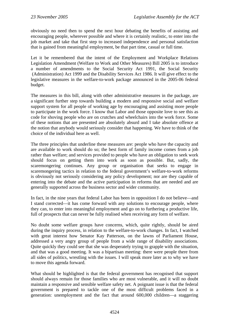obviously no need then to spend the next hour debating the benefits of assisting and encouraging people, wherever possible and where it is certainly realistic, to enter into the job market and take that first step to increased independence and personal satisfaction that is gained from meaningful employment, be that part time, casual or full time.

Let it be remembered that the intent of the Employment and Workplace Relations Legislation Amendment (Welfare to Work and Other Measures) Bill 2005 is to introduce a number of amendments to the Social Security Act 1991, the Social Security (Administration) Act 1999 and the Disability Services Act 1986. It will give effect to the legislative measures in the welfare-to-work package announced in the 2005-06 federal budget.

The measures in this bill, along with other administrative measures in the package, are a significant further step towards building a modern and responsive social and welfare support system for all people of working age by encouraging and assisting more people to participate in the work force. I know that Labor and those opposite love to see this as code for shoving people who are on crutches and wheelchairs into the work force. Some of these notions that are presented are absolutely absurd and I take absolute offence at the notion that anybody would seriously consider that happening. We have to think of the choice of the individual here as well.

The three principles that underline these measures are: people who have the capacity and are available to work should do so; the best form of family income comes from a job rather than welfare; and services provided to people who have an obligation to seek work should focus on getting them into work as soon as possible. But, sadly, the scaremongering continues. Any group or organisation that seeks to engage in scaremongering tactics in relation to the federal government's welfare-to-work reforms is obviously not seriously considering any policy development; nor are they capable of entering into the debate and the active participation in reforms that are needed and are generally supported across the business sector and wider community.

In fact, in the nine years that federal Labor has been in opposition I do not believe—and I stand corrected—it has come forward with any solutions to encourage people, where they can, to enter into meaningful employment and go on to furthering a productive life, full of prospects that can never be fully realised when receiving any form of welfare.

No doubt some welfare groups have concerns, which, quite rightly, should be aired during the inquiry process, in relation to the welfare-to-work changes. In fact, I watched with great interest how Senator Kay Patterson, on the lawns of Parliament House, addressed a very angry group of people from a wide range of disability associations. Quite quickly they could see that she was desperately trying to grapple with the situation, and that was a good meeting. It was a bipartisan meeting: there were people there from all sides of politics, wrestling with the issues. I will speak more later as to why we have to move this agenda forward.

What should be highlighted is that the federal government has recognised that support should always remain for those families who are most vulnerable, and it will no doubt maintain a responsive and sensible welfare safety net. A poignant issue is that the federal government is prepared to tackle one of the most difficult problems faced in a generation: unemployment and the fact that around 600,000 children—a staggering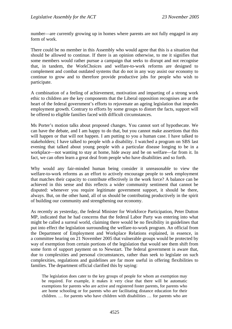number—are currently growing up in homes where parents are not fully engaged in any form of work.

There could be no member in this Assembly who would agree that this is a situation that should be allowed to continue. If there is an opinion otherwise, to me it signifies that some members would rather pursue a campaign that seeks to disrupt and not recognise that, in tandem, the WorkChoices and welfare-to-work reforms are designed to complement and combat outdated systems that do not in any way assist our economy to continue to grow and to therefore provide productive jobs for people who wish to participate.

A combination of a feeling of achievement, motivation and imparting of a strong work ethic to children are the key components that the Liberal opposition recognises are at the heart of the federal government's efforts to rejuvenate an ageing legislation that impedes employment growth. Contrary to efforts by some groups to distort the facts, support will be offered to eligible families faced with difficult circumstances.

Ms Porter's motion talks about proposed changes. You cannot sort of hypothecate. We can have the debate, and I am happy to do that, but you cannot make assertions that this will happen or that will not happen. I am putting to you a human case. I have talked to stakeholders; I have talked to people with a disability. I watched a program on SBS last evening that talked about young people with a particular disease longing to be in a workplace—not wanting to stay at home, hide away and be on welfare—far from it. In fact, we can often learn a great deal from people who have disabilities and so forth.

Why would any fair-minded human being consider it unreasonable to view the welfare-to-work reforms as an effort to actively encourage people to seek employment that matches their capacity to contribute effectively in the work force? A balance can be achieved in this sense and this reflects a wider community sentiment that cannot be disputed: whenever you require legitimate government support, it should be there, always. But, on the other hand, all of us should be contributing productively in the spirit of building our community and strengthening our economy.

As recently as yesterday, the federal Minister for Workforce Participation, Peter Dutton MP, indicated that he had concerns that the federal Labor Party was entering into what might be called a surreal world, claiming there would be no flexibility in guidelines that put into effect the legislation surrounding the welfare-to-work program. An official from the Department of Employment and Workplace Relations explained, in essence, in a committee hearing on 21 November 2005 that vulnerable groups would be protected by way of exemption from certain portions of the legislation that would see them shift from some form of support payment on to Newstart. The federal government is aware that, due to complexities and personal circumstances, rather than seek to legislate on such complexities, regulations and guidelines are far more useful in offering flexibilities to families. The department official clarified this by saying:

The legislation does cater to the key groups of people for whom an exemption may be required. For example, it makes it very clear that there will be automatic exemptions for parents who are active and registered foster parents, for parents who are home schooling or for parents who are facilitating distance education for their children. … for parents who have children with disabilities … for parents who are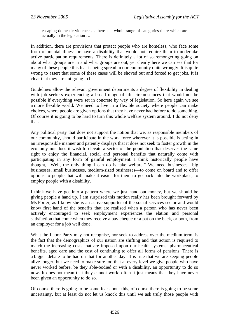escaping domestic violence … there is a whole range of categories there which are actually in the legislation …

In addition, there are provisions that protect people who are homeless, who face some form of mental illness or have a disability that would not require them to undertake active participation requirements. There is definitely a lot of scaremongering going on about what groups are in and what groups are out, yet clearly here we can see that for many of these people this fear is being spread in our community quite wrongly. It is quite wrong to assert that some of these cases will be shoved out and forced to get jobs. It is clear that they are not going to be.

Guidelines allow the relevant government departments a degree of flexibility in dealing with job seekers experiencing a broad range of life circumstances that would not be possible if everything were set in concrete by way of legislation. So here again we see a more flexible world. We need to live in a flexible society where people can make choices, where people are given options that they have never had before to do something. Of course it is going to be hard to turn this whole welfare system around. I do not deny that.

Any political party that does not support the notion that we, as responsible members of our community, should participate in the work force wherever it is possible is acting in an irresponsible manner and patently displays that it does not seek to foster growth in the economy nor does it wish to elevate a sector of the population that deserves the same right to enjoy the financial, social and personal benefits that naturally come with participating in any form of gainful employment. I think historically people have thought, "Well, the only thing I can do is take welfare." We need businesses—big businesses, small businesses, medium-sized businesses—to come on board and to offer options to people that will make it easier for them to go back into the workplace, to employ people with a disability.

I think we have got into a pattern where we just hand out money, but we should be giving people a hand up. I am surprised this motion really has been brought forward by Ms Porter, as I know she is an active supporter of the social services sector and would know first hand of the benefits that are realised when a person who has never been actively encouraged to seek employment experiences the elation and personal satisfaction that come when they receive a pay cheque or a pat on the back, or both, from an employer for a job well done.

What the Labor Party may not recognise, nor seek to address over the medium term, is the fact that the demographics of our nation are shifting and that action is required to match the increasing costs that are imposed upon our health systems: pharmaceutical benefits, aged care and the cost of continuing to offer all forms of pensions. There is a bigger debate to be had on that for another day. It is true that we are keeping people alive longer, but we need to make sure too that at every level we give people who have never worked before, be they able-bodied or with a disability, an opportunity to do so now. It does not mean that they cannot work; often it just means that they have never been given an opportunity to do so.

Of course there is going to be some fear about this, of course there is going to be some uncertainty, but at least do not let us knock this until we ask truly those people with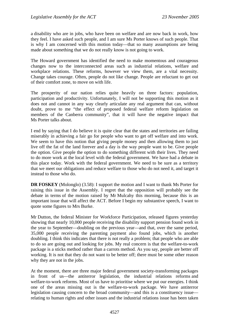a disability who are in jobs, who have been on welfare and are now back in work, how they feel. I have asked such people, and I am sure Ms Porter knows of such people. That is why I am concerned with this motion today—that so many assumptions are being made about something that we do not really know is not going to work.

The Howard government has identified the need to make momentous and courageous changes now to the interconnected areas such as industrial relations, welfare and workplace relations. These reforms, however we view them, are a vital necessity. Change takes courage. Often, people do not like change. People are reluctant to get out of their comfort zone, to move on with life.

The prosperity of our nation relies quite heavily on three factors: population, participation and productivity. Unfortunately, I will not be supporting this motion as it does not and cannot in any way clearly articulate any real argument that can, without doubt, prove to me "the effect of proposed federal welfare reform legislation on members of the Canberra community", that it will have the negative impact that Ms Porter talks about.

I end by saying that I do believe it is quite clear that the states and territories are failing miserably in achieving a fair go for people who want to get off welfare and into work. We seem to have this notion that giving people money and then allowing them to just live off the fat of the land forever and a day is the way people want to be. Give people the option. Give people the option to do something different with their lives. They need to do more work at the local level with the federal government. We have had a debate in this place today. Work with the federal government. We need to be sure as a territory that we meet our obligations and reduce welfare to those who do not need it, and target it instead to those who do.

**DR FOSKEY** (Molonglo) (3.58): I support the motion and I want to thank Ms Porter for raising this issue in the Assembly. I regret that the opposition will probably see the debate in terms of the motion raised by Mr Mulcahy this morning, because this is an important issue that will affect the ACT. Before I begin my substantive speech, I want to quote some figures to Mrs Burke.

Mr Dutton, the federal Minister for Workforce Participation, released figures yesterday showing that nearly 10,000 people receiving the disability support pension found work in the year to September—doubling on the previous year—and that, over the same period, 35,000 people receiving the parenting payment also found jobs, which is another doubling. I think this indicates that there is not really a problem; that people who are able to do so are going out and looking for jobs. My real concern is that the welfare-to-work package is a sticks method rather than a carrots method. As you say, people are better off working. It is not that they do not want to be better off; there must be some other reason why they are not in the jobs.

At the moment, there are three major federal government society-transforming packages in front of us—the antiterror legislation, the industrial relations reforms and welfare-to-work reforms. Most of us have to prioritise where we put our energies. I think one of the areas missing out is the welfare-to-work package. We have antiterror legislation causing concern to the broad community—and this is a constituency issue relating to human rights and other issues and the industrial relations issue has been taken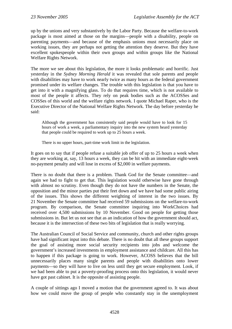up by the unions and very substantively by the Labor Party. Because the welfare-to-work package is most aimed at those on the margins—people with a disability, people on parenting payments—and because of the emphasis unions must necessarily place on working issues, they are perhaps not getting the attention they deserve. But they have excellent spokespeople within their own groups and within groups like the National Welfare Rights Network.

The more we see about this legislation, the more it looks problematic and horrific. Just yesterday in the *Sydney Morning Herald* it was revealed that sole parents and people with disabilities may have to work nearly twice as many hours as the federal government promised under its welfare changes. The trouble with this legislation is that you have to get into it with a magnifying glass. To do that requires time, which is not available to most of the people it affects. They rely on peak bodies such as the ACOSSes and COSSes of this world and the welfare rights network. I quote Michael Raper, who is the Executive Director of the National Welfare Rights Network. The day before yesterday he said:

Although the government has consistently said people would have to look for 15 hours of work a week, a parliamentary inquiry into the new system heard yesterday that people could be required to work up to 25 hours a week.

There is no upper hours, part-time work limit in the legislation.

It goes on to say that if people refuse a suitable job offer of up to 25 hours a week when they are working at, say, 13 hours a week, they can be hit with an immediate eight-week no-payment penalty and will lose in excess of \$2,000 in welfare payments.

There is no doubt that there is a problem. Thank God for the Senate committee—and again we had to fight to get that. This legislation would otherwise have gone through with almost no scrutiny. Even though they do not have the numbers in the Senate, the opposition and the minor parties put their feet down and we have had some public airing of the issues. This shows the different weighting of interest in the two issues. By 21 November the Senate committee had received 59 submissions on the welfare-to-work program. By comparison, the Senate committee inquiring into WorkChoices had received over 4,500 submissions by 10 November. Good on people for getting those submissions in. But let us not see that as an indication of how the government should act, because it is the intersection of these two bits of legislation that is really worrying.

The Australian Council of Social Service and community, church and other rights groups have had significant input into this debate. There is no doubt that all these groups support the goal of assisting more social security recipients into jobs and welcome the government's increased investments in employment assistance and childcare. All this has to happen if this package is going to work. However, ACOSS believes that the bill unnecessarily places many single parents and people with disabilities onto lower payments—so they will have to live on less until they get secure employment. Look, if we had been able to put a poverty-proofing process onto this legislation, it would never have got past cabinet. It is the opposite of assisting people.

A couple of sittings ago I moved a motion that the government agreed to. It was about how we could move the group of people who constantly stay in the unemployment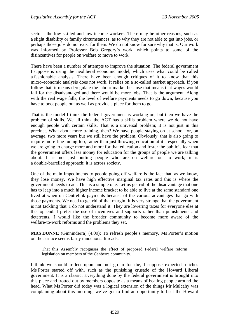sector—the low skilled and low-income workers. There may be other reasons, such as a slight disability or family circumstances, as to why they are not able to get into jobs, or perhaps those jobs do not exist for them. We do not know for sure why that is. Our work was informed by Professor Bob Gregory's work, which points to some of the disincentives for people on welfare to move to work.

There have been a number of attempts to improve the situation. The federal government I suppose is using the neoliberal economic model, which uses what could be called a fashionable analysis. There have been enough critiques of it to know that this micro-economic analysis does not work. It relies on a so-called market approach. If you follow that, it means deregulate the labour market because that means that wages would fall for the disadvantaged and there would be more jobs. That is the argument. Along with the real wage falls, the level of welfare payments needs to go down, because you have to boot people out as well as provide a place for them to go.

That is the model I think the federal government is working on, but then we have the problem of skills. We all think the ACT has a skills problem where we do not have enough people with certain skills. That is a universal problem; it is not just in this precinct. What about more training, then? We have people staying on at school for, on average, two more years but we still have the problem. Obviously, that is also going to require more fine-tuning too, rather than just throwing education at it—especially when we are going to charge more and more for that education and foster the public's fear that the government offers less money for education for the groups of people we are talking about. It is not just putting people who are on welfare out to work; it is a double-barrelled approach; it is across society.

One of the main impediments to people going off welfare is the fact that, as we know, they lose money. We have high effective marginal tax rates and this is where the government needs to act. This is a simple one. Let us get rid of the disadvantage that one has to leap into a much higher income bracket to be able to live at the same standard one lived at when on Centrelink payments because of the various advantages that go with those payments. We need to get rid of that margin. It is very strange that the government is not tackling that. I do not understand it. They are lowering taxes for everyone else at the top end. I prefer the use of incentives and supports rather than punishments and deterrents. I would like the broader community to become more aware of the welfare-to-work reforms and the problems they set.

**MRS DUNNE** (Ginninderra) (4.09): To refresh people's memory, Ms Porter's motion on the surface seems fairly innocuous. It reads:

That this Assembly recognises the effect of proposed Federal welfare reform legislation on members of the Canberra community.

I think we should reflect upon and not go in for the, I suppose expected, cliches Ms Porter started off with, such as the punishing crusade of the Howard Liberal government. It is a classic. Everything done by the federal government is brought into this place and trotted out by members opposite as a means of beating people around the head. What Ms Porter did today was a logical extension of the things Mr Mulcahy was complaining about this morning: we've got to find an opportunity to beat the Howard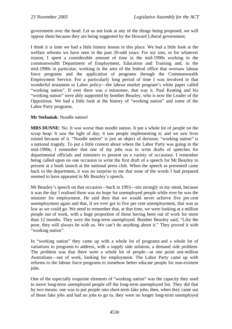government over the head. Let us not look at any of the things being proposed, we will oppose them because they are being suggested by the Howard Liberal government.

I think it is time we had a little history lesson in this place. We had a little look at the welfare reforms we have seen in the past 20-odd years. For my sins, or for whatever reason, I spent a considerable amount of time in the mid-1990s working in the commonwealth Department of Employment, Education and Training and, in the mid-1990s in particular, working in the area of the federal office that oversaw labour force programs and the application of programs through the Commonwealth Employment Service. For a particularly long period of time I was involved in that wonderful testament to Labor policy—the labour market program's white paper called "working nation". If ever there was a misnomer, that was it. Paul Keating and his "working nation" were ably supported by bomber Beazley, who is now the Leader of the Opposition. We had a little look at the history of "working nation" and some of the Labor Party programs.

#### **Mr Stefaniak**: Noodle nation!

**MRS DUNNE**: No. It was worse than noodle nation. It put a whole lot of people on the scrap heap. It saw the light of day; it saw people implementing it; and we saw lives ruined because of it. "Noodle nation" is just an object of derision; "working nation" is a national tragedy. To put a little context about where the Labor Party was going in the mid-1990s, I remember that one of my jobs was to write drafts of speeches for departmental officials and ministers to present on a variety of occasions. I remember being called upon on one occasion to write the first draft of a speech for Mr Beazley to present at a book launch at the national press club. When the speech as presented came back to the department, it was no surprise to me that none of the words I had prepared seemed to have appeared in Mr Beazley's speech.

Mr Beazley's speech on that occasion—back in 1993—sits strongly in my mind, because it was the day I realised there was no hope for unemployed people while ever he was the minister for employment. He said then that we would never achieve five per cent unemployment again and that, if we ever got to five per cent unemployment, that was as low as we could go. We need to remember that, at that time, we were looking at a million people out of work, with a huge proportion of those having been out of work for more than 12 months. They were the long-term unemployed. Bomber Beazley said, "Like the poor, they will always be with us. We can't do anything about it." They proved it with "working nation".

In "working nation" they came up with a whole lot of programs and a whole lot of variations to programs to address, with a supply side solution, a demand side problem. The problem was that there were a whole lot of people—at one point one million Australians—out of work, looking for employment. The Labor Party came up with reforms to the labour force programs to somehow better educate people for non-existent jobs.

One of the especially exquisite elements of "working nation" was the capacity they used to move long-term unemployed people off the long-term unemployed list. They did that by two means: one was to put people into short-term fake jobs; then, when they came out of those fake jobs and had no jobs to go to, they were no longer long-term unemployed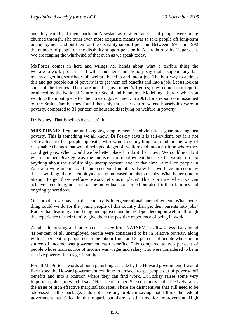and they could put them back on Newstart as new entrants—and people were being churned through. The other even more exquisite means was to take people off long-term unemployment and put them on the disability support pension. Between 1991 and 1992 the number of people on the disability support pension in Australia rose by 13 per cent. We are reaping the whirlwind of that even as we speak today.

Ms Porter comes in here and wrings her hands about what a terrible thing the welfare-to-work process is. I will stand here and proudly say that I support any fair means of getting somebody off welfare benefits and into a job. The best way to address this and get people out of poverty is to get them off benefits and into a job. Let us look at some of the figures. These are not the government's figures; they come from reports produced by the National Centre for Social and Economic Modelling—hardly what you would call a mouthpiece for the Howard government. In 2001, for a report commissioned by the Smith Family, they found that only three per cent of waged households were in poverty, compared to 31 per cent of households relying on welfare in poverty.

**Dr Foskey**: That is self-evident, isn't it?

**MRS DUNNE**: Regular and ongoing employment is obviously a guarantee against poverty. This is something we all know. Dr Foskey says it is self-evident, but it is not self-evident to the people opposite, who would do anything to stand in the way of reasonable changes that would help people get off welfare and into a position where they could get jobs. When would we be better placed to do it than now? We could not do it when bomber Beazley was the minister for employment because he would not do anything about the sinfully high unemployment level at that time. A million people in Australia were unemployed—unprecedented numbers. Now that we have an economy that is working, there is employment and increased numbers of jobs. What better time to attempt to get these welfare-to-work reforms in place? This is a time when we can achieve something, not just for the individuals concerned but also for their families and ongoing generations.

One problem we have in this country is intergenerational unemployment. What better thing could we do for the young people of this country than get their parents into jobs? Rather than learning about being unemployed and being dependent upon welfare through the experience of their family, give them the positive experience of being in work.

Another interesting and more recent survey from NATSEM in 2004 shows that around 41 per cent of all unemployed people were considered to be in relative poverty, along with 17 per cent of people not in the labour force and 24 per cent of people whose main source of income was government cash benefits. This compared to two per cent of people whose main source of income was wages and salary who were considered to be in relative poverty. Let us get it straight.

For all Ms Porter's words about a punishing crusade by the Howard government, I would like to see the Howard government continue to crusade to get people out of poverty, off benefits and into a position where they can find work. Dr Foskey raises some very important points, to which I say, "Hear hear" to her. She constantly and effectively raises the issue of high effective marginal tax rates. There are disincentives that still need to be addressed in this package. I do not have any problem saying that I think the federal government has failed in this regard, but there is still time for improvement. High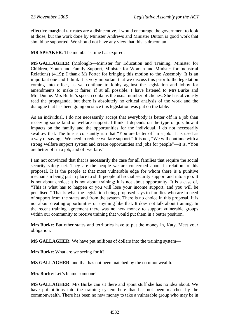effective marginal tax rates are a disincentive. I would encourage the government to look at those, but the work done by Minister Andrews and Minister Dutton is good work that should be supported. We should not have any view that this is draconian.

**MR SPEAKER**: The member's time has expired.

**MS GALLAGHER** (Molonglo—Minister for Education and Training, Minister for Children, Youth and Family Support, Minister for Women and Minister for Industrial Relations) (4.19): I thank Ms Porter for bringing this motion to the Assembly. It is an important one and I think it is very important that we discuss this prior to the legislation coming into effect, as we continue to lobby against the legislation and lobby for amendments to make it fairer, if at all possible. I have listened to Mrs Burke and Mrs Dunne. Mrs Burke's speech contains the usual number of cliches. She has obviously read the propaganda, but there is absolutely no critical analysis of the work and the dialogue that has been going on since this legislation was put on the table.

As an individual, I do not necessarily accept that everybody is better off in a job than receiving some kind of welfare support. I think it depends on the type of job, how it impacts on the family and the opportunities for the individual. I do not necessarily swallow that. The line is constantly run that "You are better off in a job." It is used as a way of saying, "We need to reduce welfare support." It is not, "We will continue with a strong welfare support system and create opportunities and jobs for people"—it is, "You are better off in a job, and off welfare."

I am not convinced that that is necessarily the case for all families that require the social security safety net. They are the people we are concerned about in relation to this proposal. It is the people at that most vulnerable edge for whom there is a punitive mechanism being put in place to shift people off social security support and into a job. It is not about choice; it is not about training; it is not about opportunity. It is a case of, "This is what has to happen or you will lose your income support, and you will be penalised." That is what the legislation being proposed says to families who are in need of support from the states and from the system. There is no choice in this proposal. It is not about creating opportunities or anything like that. It does not talk about training. In the recent training agreement there was no new money to support vulnerable groups within our community to receive training that would put them in a better position.

**Mrs Burke**: But other states and territories have to put the money in, Katy. Meet your obligation.

**MS GALLAGHER**: We have put millions of dollars into the training system—

**Mrs Burke**: What are we seeing for it?

**MS GALLAGHER**: and that has not been matched by the commonwealth.

**Mrs Burke**: Let's blame someone!

**MS GALLAGHER**: Mrs Burke can sit there and spout stuff she has no idea about. We have put millions into the training system here that has not been matched by the commonwealth. There has been no new money to take a vulnerable group who may be in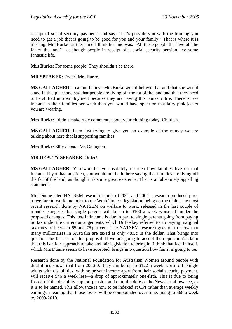receipt of social security payments and say, "Let's provide you with the training you need to get a job that is going to be good for you and your family." That is where it is missing. Mrs Burke sat there and I think her line was, "All these people that live off the fat of the land"—as though people in receipt of a social security pension live some fantastic life.

**Mrs Burke**: For some people. They shouldn't be there.

**MR SPEAKER**: Order! Mrs Burke.

**MS GALLAGHER**: I cannot believe Mrs Burke would believe that and that she would stand in this place and say that people are living off the fat of the land and that they need to be shifted into employment because they are having this fantastic life. There is less income in their families per week than you would have spent on that lairy pink jacket you are wearing.

**Mrs Burke**: I didn't make rude comments about your clothing today. Childish.

**MS GALLAGHER**: I am just trying to give you an example of the money we are talking about here that is supporting families.

**Mrs Burke**: Silly debate, Ms Gallagher.

#### **MR DEPUTY SPEAKER**: Order!

**MS GALLAGHER**: You would have absolutely no idea how families live on that income. If you had any idea, you would not be in here saying that families are living off the fat of the land, as though it is some great existence. That is an absolutely appalling statement.

Mrs Dunne cited NATSEM research I think of 2001 and 2004—research produced prior to welfare to work and prior to the WorkChoices legislation being on the table. The most recent research done by NATSEM on welfare to work, released in the last couple of months, suggests that single parents will be up to \$100 a week worse off under the proposed changes. This loss in income is due in part to single parents going from paying no tax under the current arrangements, which Dr Foskey referred to, to paying marginal tax rates of between 65 and 75 per cent. The NATSEM research goes on to show that many millionaires in Australia are taxed at only 48.5c in the dollar. That brings into question the fairness of this proposal. If we are going to accept the opposition's claim that this is a fair approach to take and fair legislation to bring in, I think that fact in itself, which Mrs Dunne seems to have accepted, brings into question how fair it is going to be.

Research done by the National Foundation for Australian Women around people with disabilities shows that from 2006-07 they can be up to \$122 a week worse off. Single adults with disabilities, with no private income apart from their social security payment, will receive \$46 a week less—a drop of approximately one-fifth. This is due to being forced off the disability support pension and onto the dole or the Newstart allowance, as it is to be named. This allowance is now to be indexed at CPI rather than average weekly earnings, meaning that those losses will be compounded over time, rising to \$68 a week by 2009-2010.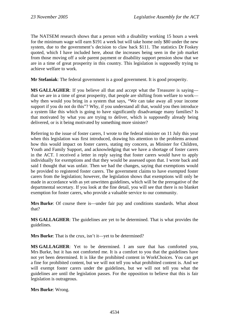The NATSEM research shows that a person with a disability working 15 hours a week for the minimum wage will earn \$191 a week but will take home only \$80 under the new system, due to the government's decision to claw back \$111. The statistics Dr Foskey quoted, which I have included here, about the increases being seen in the job market from those moving off a sole parent payment or disability support pension show that we are in a time of great prosperity in this country. This legislation is supposedly trying to achieve welfare to work.

**Mr Stefaniak**: The federal government is a good government. It is good prosperity.

**MS GALLAGHER**: If you believe all that and accept what the Treasurer is saying that we are in a time of great prosperity, that people are shifting from welfare to work why then would you bring in a system that says, "We can take away all your income support if you do not do this"? Why, if you understand all that, would you then introduce a system like this which is going to have significantly disadvantage many families? Is that motivated by what you are trying to deliver, which is supposedly already being delivered, or is it being motivated by something more sinister?

Referring to the issue of foster carers, I wrote to the federal minister on 11 July this year when this legislation was first introduced, drawing his attention to the problems around how this would impact on foster carers, stating my concern, as Minister for Children, Youth and Family Support, and acknowledging that we have a shortage of foster carers in the ACT. I received a letter in reply saying that foster carers would have to apply individually for exemptions and that they would be assessed upon that. I wrote back and said I thought that was unfair. Then we had the changes, saying that exemptions would be provided to registered foster carers. The government claims to have exempted foster carers from the legislation; however, the legislation shows that exemptions will only be made in accordance with as yet unwritten guidelines, which will be the prerogative of the departmental secretary. If you look at the fine detail, you will see that there is no blanket exemption for foster carers, who provide a valuable service to our community.

**Mrs Burke**: Of course there is—under fair pay and conditions standards. What about that?

**MS GALLAGHER**: The guidelines are yet to be determined. That is what provides the guidelines.

**Mrs Burke**: That is the crux, isn't it—yet to be determined?

**MS GALLAGHER**: Yet to be determined. I am sure that has comforted you, Mrs Burke, but it has not comforted me. It is a comfort to you that the guidelines have not yet been determined. It is like the prohibited content in WorkChoices. You can get a fine for prohibited content, but we will not tell you what prohibited content is. And we will exempt foster carers under the guidelines, but we will not tell you what the guidelines are until the legislation passes. For the opposition to believe that this is fair legislation is outrageous.

**Mrs Burke**: Wrong.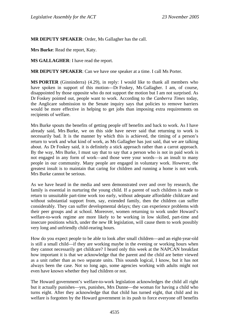**MR DEPUTY SPEAKER**: Order, Ms Gallagher has the call.

**Mrs Burke**: Read the report, Katy.

**MS GALLAGHER**: I have read the report.

**MR DEPUTY SPEAKER**: Can we have one speaker at a time. I call Ms Porter.

**MS PORTER** (Ginninderra) (4.29), in reply: I would like to thank all members who have spoken in support of this motion—Dr Foskey, Ms Gallagher. I am, of course, disappointed by those opposite who do not support the motion but I am not surprised. As Dr Foskey pointed out, people want to work. According to the *Canberra Times* today, the Anglicare submission to the Senate inquiry says that policies to remove barriers would be more effective in helping to get jobs than imposing extra requirements on recipients of welfare.

Mrs Burke spouts the benefits of getting people off benefits and back to work. As I have already said, Mrs Burke, we on this side have never said that returning to work is necessarily bad. It is the manner by which this is achieved, the timing of a person's return to work and what kind of work, as Ms Gallagher has just said, that we are talking about. As Dr Foskey said, it is definitely a stick approach rather than a carrot approach. By the way, Mrs Burke, I must say that to say that a person who is not in paid work is not engaged in any form of work—and those were your words—is an insult to many people in our community. Many people are engaged in voluntary work. However, the greatest insult is to maintain that caring for children and running a home is not work. Mrs Burke cannot be serious.

As we have heard in the media and seen demonstrated over and over by research, the family is essential in nurturing the young child. If a parent of such children is made to return to unsuitable part-time work too early, without adequate affordable childcare and without substantial support from, say, extended family, then the children can suffer considerably. They can suffer developmental delays; they can experience problems with their peer groups and at school. Moreover, women returning to work under Howard's welfare-to-work regime are more likely to be working in low skilled, part-time and insecure positions which, under the new IR legislation, will cause them to work possibly very long and unfriendly child-rearing hours.

How do you expect people to be able to look after small children—and an eight-year-old is still a small child—if they are working maybe in the evening or working hours when they cannot necessarily get childcare? I heard only this week at the NAPCAN breakfast how important it is that we acknowledge that the parent and the child are better viewed as a unit rather than as two separate units. This sounds logical, I know, but it has not always been the case. Not so long ago, some agencies working with adults might not even have known whether they had children or not.

The Howard government's welfare-to-work legislation acknowledges the child all right but it actually punishes—yes, punishes, Mrs Dunne—the woman for having a child who turns eight. After they acknowledge that that child has turned eight, that child and its welfare is forgotten by the Howard government in its push to force everyone off benefits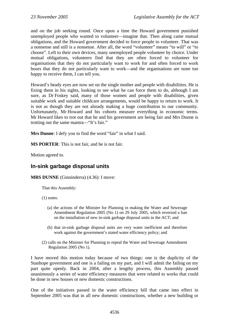and on the job seeking round. Once upon a time the Howard government punished unemployed people who wanted to volunteer—imagine that. Then along came mutual obligations, and the Howard government decided to force people to volunteer. That was a nonsense and still is a nonsense. After all, the word "volunteer" means "to will" or "to choose". Left to their own devices, many unemployed people volunteer by choice. Under mutual obligations, volunteers find that they are often forced to volunteer for organisations that they do not particularly want to work for and often forced to work hours that they do not particularly want to work—and the organisations are none too happy to receive them, I can tell you.

Howard's beady eyes are now set on the single mother and people with disabilities. He is fixing them in his sights, looking to see what he can force them to do, although I am sure, as Dr Foskey said, many of those women and people with disabilities, given suitable work and suitable childcare arrangements, would be happy to return to work. It is not as though they are not already making a huge contribution to our community. Unfortunately, Mr Howard and his cohorts measure everything in economic terms. Mr Howard likes to trot out that he and his government are being fair and Mrs Dunne is trotting out the same mantra—"It's fair."

**Mrs Dunne**: I defy you to find the word "fair" in what I said.

**MS PORTER**: This is not fair, and he is not fair.

Motion agreed to.

# **In-sink garbage disposal units**

**MRS DUNNE** (Ginninderra) (4.36): I move:

That this Assembly:

(1) notes:

- (a) the actions of the Minister for Planning in making the Water and Sewerage Amendment Regulation 2005 (No 1) on 29 July 2005, which reversed a ban on the installation of new in-sink garbage disposal units in the ACT; and
- (b) that in-sink garbage disposal units are very water inefficient and therefore work against the government's stated water efficiency policy; and
- (2) calls on the Minister for Planning to repeal the Water and Sewerage Amendment Regulation 2005 (No 1)*.*

I have moved this motion today because of two things: one is the duplicity of the Stanhope government and one is a failing on my part, and I will admit the failing on my part quite openly. Back in 2004, after a lengthy process, this Assembly passed unanimously a series of water efficiency measures that were related to works that could be done in new houses or new domestic constructions.

One of the initiatives passed in the water efficiency bill that came into effect in September 2005 was that in all new domestic constructions, whether a new building or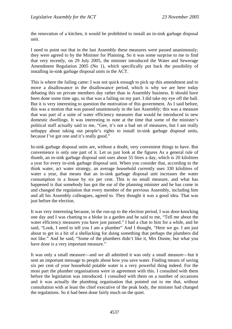the renovation of a kitchen, it would be prohibited to install an in-sink garbage disposal unit.

I need to point out that in the last Assembly these measures were passed unanimously; they were agreed to by the Minister for Planning. So it was some surprise to me to find that very recently, on 29 July 2005, the minister introduced the Water and Sewerage Amendment Regulation 2005 (No 1), which specifically put back the possibility of installing in-sink garbage disposal units in the ACT.

This is where the failing came: I was not quick enough to pick up this amendment and to move a disallowance in the disallowance period, which is why we are here today debating this on private members day rather than in Assembly business. It should have been done some time ago, so that was a failing on my part. I did take my eye off the ball. But it is very interesting to question the motivation of this government. As I said before, this was a motion that was passed unanimously in the last Assembly; this was a measure that was part of a suite of water efficiency measures that would be introduced in new domestic dwellings. It was interesting to note at the time that some of the minister's political staff actually said to me, "Gee, it's not a bad set of measures, but I am really unhappy about taking out people's rights to install in-sink garbage disposal units, because I've got one and it's really good."

In-sink garbage disposal units are, without a doubt, very convenient things to have. But convenience is only one part of it. Let us just look at the figures As a general rule of thumb, an in-sink garbage disposal unit uses about 55 litres a day, which is 20 kilolitres a year for every in-sink garbage disposal unit. When you consider that, according to the think water, act water strategy, an average household currently uses 330 kilolitres of water a year, that means that an in-sink garbage disposal unit increases the water consumption in a house by six per cent. This is no small measure, and what has happened is that somebody has got the ear of the planning minister and he has come in and changed the regulation that every member of the previous Assembly, including him and all his Assembly colleagues, agreed to. They thought it was a good idea. That was just before the election.

It was very interesting because, in the run-up to the election period, I was door-knocking one day and I was chatting to a bloke in a garden and he said to me, "Tell me about the water efficiency measures you have just passed." I had a chat to him for a while, and he said, "Look, I need to tell you I am a plumber" And I thought, "Here we go. I am just about to get in a bit of a shellacking for doing something that perhaps the plumbers did not like." And he said, "Some of the plumbers didn't like it, Mrs Dunne, but what you have done is a very important measure."

It was only a small measure—and we all admitted it was only a small measure—but it sent an important message to people about how you save water. Finding means of saving six per cent of your household potable water is a very powerful thing indeed. For the most part the plumber organisations were in agreement with this. I consulted with them before the legislation was introduced. I consulted with them on a number of occasions and it was actually the plumbing organisation that pointed out to me that, without consultation with at least the chief executive of the peak body, the minister had changed the regulations. So it had been done fairly much on the quiet.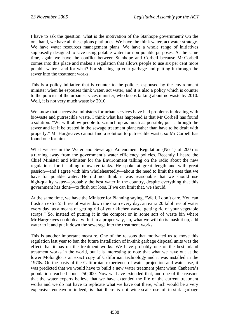I have to ask the question: what is the motivation of the Stanhope government? On the one hand, we have all these pious platitudes. We have the think water, act water strategy. We have water resources management plans. We have a whole range of initiatives supposedly designed to save using potable water for non-potable purposes. At the same time, again we have the conflict between Stanhope and Corbell because Mr Corbell comes into this place and makes a regulation that allows people to use six per cent more potable water—and for what? For slushing up your garbage and putting it through the sewer into the treatment works.

This is a policy initiative that is counter to the policies espoused by the environment minister when he espouses think water, act water, and it is also a policy which is counter to the policies of the urban services minister, who keeps talking about no waste by 2010. Well, it is not very much waste by 2010.

We know that successive ministers for urban services have had problems in dealing with biowaste and putrescible waste. I think what has happened is that Mr Corbell has found a solution: "We will allow people to scrunch up as much as possible, put it through the sewer and let it be treated in the sewage treatment plant rather than have to be dealt with properly." Mr Hargreaves cannot find a solution to putrescible waste, so Mr Corbell has found one for him.

What we see in the Water and Sewerage Amendment Regulation (No 1) of 2005 is a turning away from the government's water efficiency policies. Recently I heard the Chief Minister and Minister for the Environment talking on the radio about the new regulations for installing rainwater tanks. He spoke at great length and with great passion—and I agree with him wholeheartedly—about the need to limit the uses that we have for potable water. He did not think it was reasonable that we should use high-quality water—probably the best water in the country, despite everything that this government has done—to flush our loos. If we can limit that, we should.

At the same time, we have the Minister for Planning saying, "Well, I don't care. You can flush an extra 55 litres of water down the drain every day, an extra 20 kilolitres of water every day, as a means of getting rid of your kitchen waste, getting rid of your vegetable scraps." So, instead of putting it in the compost or in some sort of waste bin where Mr Hargreaves could deal with it in a proper way, no, what we will do is mash it up, add water to it and put it down the sewerage into the treatment works.

This is another important measure. One of the reasons that motivated us to move this regulation last year to ban the future installation of in-sink garbage disposal units was the effect that it has on the treatment works. We have probably one of the best inland treatment works in the world, but it is interesting to note that what we have out at the lower Molonglo is an exact copy of Californian technology and it was installed in the 1970s. On the basis of the Californian experience of water projection and water use, it was predicted that we would have to build a new water treatment plant when Canberra's population reached about 250,000. Now we have extended that, and one of the reasons that the water experts believe that we have extended the life of the current treatment works and we do not have to replicate what we have out there, which would be a very expensive endeavour indeed, is that there is not wide-scale use of in-sink garbage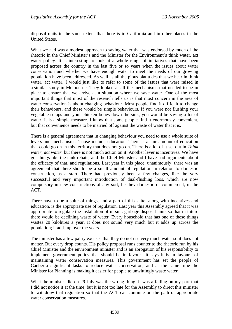disposal units to the same extent that there is in California and in other places in the United States.

What we had was a modest approach to saving water that was endorsed by much of the rhetoric in the Chief Minister's and the Minister for the Environment's think water, act water policy. It is interesting to look at a whole range of initiatives that have been proposed across the country in the last five or so years when the issues about water conservation and whether we have enough water to meet the needs of our growing population have been addressed. As well as all the pious platitudes that we hear in think water, act water, I would just like to refer to some of the issues that were raised in a similar study in Melbourne. They looked at all the mechanisms that needed to be in place to ensure that we arrive at a situation where we save water. One of the most important things that most of the research tells us is that most concern in the area of water conservation is about changing behaviour. Most people find it difficult to change their behaviours, and these would be simple behaviours. If you were not flushing your vegetable scraps and your chicken bones down the sink, you would be saving a lot of water. It is a simple measure. I know that some people find it enormously convenient, but that convenience needs to be married off against the waste of water that it is.

There is a general agreement that in changing behaviour you need to use a whole suite of levers and mechanisms. Those include education. There is a fair amount of education that could go on in this territory that does not go on. There is a lot of it set out in *Think water, act water*, but there is not much action on it. Another lever is incentives. We have got things like the tank rebate, and the Chief Minister and I have had arguments about the efficacy of that, and regulations. Last year in this place, unanimously, there was an agreement that there should be a small amount of regulation in relation to domestic construction, as a start. There had previously been a few changes, like the very successful and very important introduction of dual-flushing loos, which are now compulsory in new constructions of any sort, be they domestic or commercial, in the ACT.

There have to be a suite of things, and a part of this suite, along with incentives and education, is the appropriate use of regulation. Last year this Assembly agreed that it was appropriate to regulate the installation of in-sink garbage disposal units so that in future there would be declining waste of water. Every household that has one of these things wastes 20 kilolitres a year. It does not sound very much but it adds up across the population; it adds up over the years.

The minister has a few paltry excuses that they do not use very much water so it does not matter. But every drop counts. His policy proposal runs counter to the rhetoric run by his Chief Minister and the environment minister and is an abrogation of his responsibility to implement government policy that should be in favour—it says it is in favour—of maintaining water conservation measures. This government has set the people of Canberra significant tasks to reduce water conservation, and at the same time the Minister for Planning is making it easier for people to unwittingly waste water.

What the minister did on 29 July was the wrong thing. It was a failing on my part that I did not notice it at the time, but it is not too late for the Assembly to direct this minister to withdraw that regulation so that the ACT can continue on the path of appropriate water conservation measures.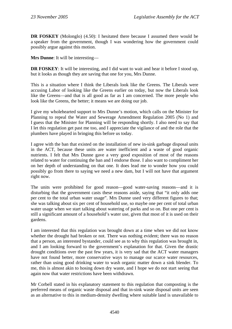**DR FOSKEY** (Molonglo) (4.50): I hesitated there because I assumed there would be a speaker from the government, though I was wondering how the government could possibly argue against this motion.

**Mrs Dunne**: It will be interesting—

**DR FOSKEY**: It will be interesting, and I did want to wait and hear it before I stood up, but it looks as though they are saving that one for you, Mrs Dunne.

This is a situation where I think the Liberals look like the Greens. The Liberals were accusing Labor of looking like the Greens earlier on today, but now the Liberals look like the Greens—and that is all good as far as I am concerned. The more people who look like the Greens, the better; it means we are doing our job.

I give my wholehearted support to Mrs Dunne's motion, which calls on the Minister for Planning to repeal the Water and Sewerage Amendment Regulation 2005 (No 1) and I guess that the Minister for Planning will be responding shortly. I also need to say that I let this regulation get past me too, and I appreciate the vigilance of and the role that the plumbers have played in bringing this before us today.

I agree with the ban that existed on the installation of new in-sink garbage disposal units in the ACT, because these units are water inefficient and a waste of good organic nutrients. I felt that Mrs Dunne gave a very good exposition of most of the reasons related to water for continuing the ban and I endorse those. I also want to compliment her on her depth of understanding on that one. It does lead me to wonder how you could possibly go from there to saying we need a new dam, but I will not have that argument right now.

The units were prohibited for good reason—good water-saving reasons—and it is disturbing that the government casts these reasons aside, saying that "it only adds one per cent to the total urban water usage". Mrs Dunne used very different figures to that; she was talking about six per cent of household use, so maybe one per cent of total urban water usage when we start talking about watering of parks and so on. But one per cent is still a significant amount of a household's water use, given that most of it is used on their gardens.

I am interested that this regulation was brought down at a time when we did not know whether the drought had broken or not. There was nothing evident; there was no reason that a person, an interested bystander, could see as to why this regulation was brought in, and I am looking forward to the government's explanation for that. Given the drastic drought conditions over the past few years, it is very sad that the ACT water managers have not found better, more conservative ways to manage our scarce water resources, rather than using good drinking water to wash organic matter down a sink blender. To me, this is almost akin to hosing down dry waste, and I hope we do not start seeing that again now that water restrictions have been withdrawn.

Mr Corbell stated in his explanatory statement to this regulation that composting is the preferred means of organic waste disposal and that in-sink waste disposal units are seen as an alternative to this in medium-density dwelling where suitable land is unavailable to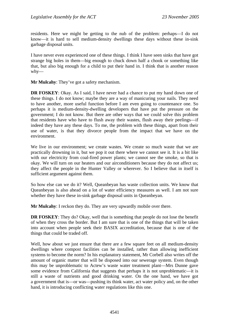residents. Here we might be getting to the nub of the problem: perhaps—I do not know—it is hard to sell medium-density dwellings these days without these in-sink garbage disposal units.

I have never even experienced one of these things. I think I have seen sinks that have got strange big holes in them—big enough to chuck down half a chook or something like that, but also big enough for a child to put their hand in. I think that is another reason why—

**Mr Mulcahy**: They've got a safety mechanism.

**DR FOSKEY**: Okay. As I said, I have never had a chance to put my hand down one of these things. I do not know; maybe they are a way of manicuring your nails. They need to have another, more useful function before I am even going to countenance one. So perhaps it is medium-density-dwelling developers that have put the pressure on the government; I do not know. But there are other ways that we could solve this problem that residents have who have to flush away their wastes, flush away their peelings—if indeed they have any these days. To me, the problem with these things, apart from their use of water, is that they divorce people from the impact that we have on the environment.

We live in our environment; we create wastes. We create so much waste that we are practically drowning in it, but we pop it out there where we cannot see it. It is a bit like with our electricity from coal-fired power plants; we cannot see the smoke, so that is okay. We will turn on our heaters and our airconditioners because they do not affect us; they affect the people in the Hunter Valley or wherever. So I believe that in itself is sufficient argument against them.

So how else can we do it? Well, Queanbeyan has waste collection units. We know that Queanbeyan is also ahead on a lot of water efficiency measures as well. I am not sure whether they have these in-sink garbage disposal units in Queanbeyan.

**Mr Mulcahy**: I reckon they do. They are very upwardly mobile over there.

**DR FOSKEY:** They do? Okay, well that is something that people do not lose the benefit of when they cross the border. But I am sure that is one of the things that will be taken into account when people seek their BASIX accreditation, because that is one of the things that could be traded off.

Well, how about we just ensure that there are a few square feet on all medium-density dwellings where compost facilities can be installed, rather than allowing inefficient systems to become the norm? In his explanatory statement, Mr Corbell also writes off the amount of organic matter that will be disposed into our sewerage system. Even though this may be unproblematic to Actew's waste water treatment plant—Mrs Dunne gave some evidence from California that suggests that perhaps it is not unproblematic—it is still a waste of nutrients and good drinking water. On the one hand, we have got a government that is—or was—pushing its think water, act water policy and, on the other hand, it is introducing conflicting water regulations like this one.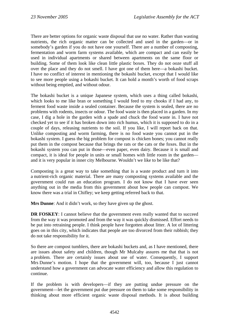There are better options for organic waste disposal that use no water. Rather than wasting nutrients, the rich organic matter can be collected and used in the garden—or in somebody's garden if you do not have one yourself. There are a number of composting, fermentation and worm farm systems available, which are compact and can easily be used in individual apartments or shared between apartments on the same floor or building. Some of them look like clean little plastic boxes. They do not ooze stuff all over the place and they do not smell. I have got one of them here—a bokashi bucket. I have no conflict of interest in mentioning the bokashi bucket, except that I would like to see more people using a bokashi bucket. It can hold a month's worth of food scraps without being emptied, and without odour.

The bokashi bucket is a unique Japanese system, which uses a thing called bokashi, which looks to me like bran or something I would feed to my chooks if I had any, to ferment food waste inside a sealed container. Because the system is sealed, there are no problems with rodents, insects or odour. The food waste is then placed in a garden. In my case, I dig a hole in the garden with a spade and chuck the food waste in. I have not checked yet to see if it has broken down into rich humus, which it is supposed to do in a couple of days, releasing nutrients to the soil. If you like, I will report back on that. Unlike composting and worm farming, there is no food waste you cannot put in the bokashi system. I guess the big problem for compost is chicken bones; you cannot really put them in the compost because that brings the rats or the cats or the foxes. But in the bokashi system you can put in those—even paper, even dairy. Because it is small and compact, it is ideal for people in units or small homes with little room in the garden and it is very popular in inner city Melbourne. Wouldn't we like to be like that?

Composting is a great way to take something that is a waste product and turn it into a nutrient-rich organic material. There are many composting systems available and the government could run an education program. I do not know that I have ever seen anything out in the media from this government about how people can compost. We know there was a trial in Chifley; we keep getting referred back to that.

**Mrs Dunne**: And it didn't work, so they have given up the ghost.

**DR FOSKEY**: I cannot believe that the government even really wanted that to succeed from the way it was promoted and from the way it was quickly dismissed. Effort needs to be put into retraining people. I think people have forgotten about litter. A lot of littering goes on in this city, which indicates that people are too divorced from their rubbish; they do not take responsibility for it.

So there are compost tumblers, there are bokashi buckets and, as I have mentioned, there are issues about safety and children, though Mr Mulcahy assures me that that is not a problem. There are certainly issues about use of water. Consequently, I support Mrs Dunne's motion. I hope that the government will, too, because I just cannot understand how a government can advocate water efficiency and allow this regulation to continue.

If the problem is with developers—if they are putting undue pressure on the government—let the government put due pressure on them to take some responsibility in thinking about more efficient organic waste disposal methods. It is about building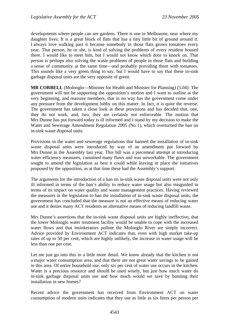developments where people can see gardens. There is one in Melbourne, near where my daughter lives. It is a great block of flats that has a tiny little bit of ground around it. I always love walking past it because somebody in those flats grows tomatoes every year. That person, he or she, is kind of solving the problems of every resident housed there. I would like to meet him, but I would not know which door to knock on. That person is perhaps also solving the waste problems of people in those flats and building a sense of community at the same time—and probably providing them with tomatoes. This sounds like a very green thing to say, but I would have to say that these in-sink garbage disposal units are the very opposite of green.

**MR CORBELL** (Molonglo—Minister for Health and Minister for Planning) (5.04): The government will not be supporting the opposition's motion and I want to outline at the very beginning, and reassure members, that in no way has the government come under any pressure from the development lobby on this matter. In fact, it is quite the reverse. The government has taken a close look at these provisions and has decided that, one, they do not work, and, two, they are certainly not enforceable. The motion that Mrs Dunne has put forward today is ill informed and I stand by my decision to make the Water and Sewerage Amendment Regulation 2005 (No 1), which overturned the ban on in-sink waste disposal units.

Provisions in the water and sewerage regulations that banned the installation of in-sink waste disposal units were introduced by way of an amendment put forward by Mrs Dunne in the Assembly last year. This bill was a piecemeal attempt at introducing water efficiency measures, contained many flaws and was unworkable. The government sought to amend the legislation as best it could while leaving in place the initiatives proposed by the opposition, as at that time these had the Assembly's support.

The arguments for the introduction of a ban on in-sink waste disposal units were not only ill informed in terms of the ban's ability to reduce water usage but also misguided in terms of its impact on water quality and waste management practices. Having reviewed the measures in the legislation to ban the installation of in-sink waste disposal units, the government has concluded that the measure is not an effective means of reducing water use and it denies many ACT residents an alternative means of reducing landfill waste.

Mrs Dunne's assertions that the in-sink waste disposal units are highly ineffective, that the lower Molonglo water treatment facility would be unable to cope with the increased water flows and that insinkerators pollute the Molonglo River are simply incorrect. Advice provided by Environment ACT indicates that, even with high market take-up rates of up to 50 per cent, which are highly unlikely, the increase in water usage will be less than one per cent.

Let me just go into this in a little more detail. We know already that the kitchen is not a major water consumption area, and that there are not great water savings to be gained in this area. Of entire household use, only six per cent of water use occurs in the kitchen. Water is a precious resource and should be used wisely, but just how much water do in-sink garbage disposal units use and how much would we save by banning their installation in new homes?

Recent advice the government has received from Environment ACT on water consumption of modern units indicates that they use as little as six litres per person per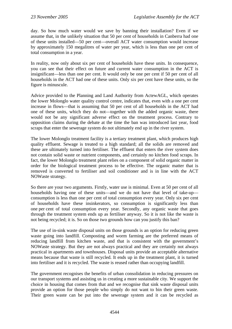day. So how much water would we save by banning their installation? Even if we assume that, in the unlikely situation that 50 per cent of households in Canberra had one of these units installed—50 per cent—overall ACT water consumption would increase by approximately 150 megalitres of water per year, which is less than one per cent of total consumption in a year.

In reality, now only about six per cent of households have these units. In consequence, you can see that their effect on future and current water consumption in the ACT is insignificant—less than one per cent. It would only be one per cent if 50 per cent of all households in the ACT had one of these units. Only six per cent have these units, so the figure is minuscule.

Advice provided to the Planning and Land Authority from ActewAGL, which operates the lower Molonglo water quality control centre, indicates that, even with a one per cent increase in flows—that is assuming that 50 per cent of all households in the ACT had one of these units, which they do not—together with the added organic waste, there would not be any significant adverse effect on the treatment process. Contrary to opposition claims during the debate at the time the ban was introduced last year, food scraps that enter the sewerage system do not ultimately end up in the river system.

The lower Molonglo treatment facility is a tertiary treatment plant, which produces high quality effluent. Sewage is treated to a high standard; all the solids are removed and these are ultimately turned into fertiliser. The effluent that enters the river system does not contain solid waste or nutrient components, and certainly no kitchen food scraps. In fact, the lower Molonglo treatment plant relies on a component of solid organic matter in order for the biological treatment process to be effective. The organic matter that is removed is converted to fertiliser and soil conditioner and is in line with the ACT NOWaste strategy.

So there are your two arguments. Firstly, water use is minimal. Even at 50 per cent of all households having one of these units—and we do not have that level of take-up consumption is less than one per cent of total consumption every year. Only six per cent of households have these insinkerators, so consumption is significantly less than one per cent of total consumption every year. Secondly, any organic waste that goes through the treatment system ends up as fertiliser anyway. So it is not like the waste is not being recycled; it is. So on those two grounds how can you justify this ban?

The use of in-sink waste disposal units on those grounds is an option for reducing green waste going into landfill. Composting and worm farming are the preferred means of reducing landfill from kitchen waste, and that is consistent with the government's NOWaste strategy. But they are not always practical and they are certainly not always practical in apartments and townhouses. Disposal units provide an acceptable alternative means because that waste is still recycled. It ends up in the treatment plant, it is turned into fertiliser and it is recycled. The waste is reused rather than occupying landfill.

The government recognises the benefits of urban consolidation in reducing pressures on our transport systems and assisting us in creating a more sustainable city. We support the choice in housing that comes from that and we recognise that sink waste disposal units provide an option for those people who simply do not want to bin their green waste. Their green waste can be put into the sewerage system and it can be recycled as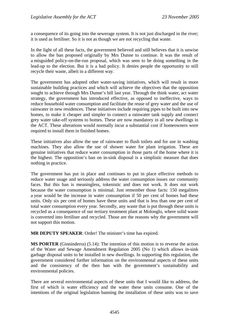a consequence of its going into the sewerage system. It is not just discharged in the river; it is used as fertiliser. So it is not as though we are not recycling that waste.

In the light of all these facts, the government believed and still believes that it is unwise to allow the ban proposed originally by Mrs Dunne to continue. It was the result of a misguided policy-on-the-run proposal, which was seen to be doing something in the lead-up to the election. But it is a bad policy. It denies people the opportunity to still recycle their waste, albeit in a different way.

The government has adopted other water-saving initiatives, which will result in more sustainable building practices and which will achieve the objectives that the opposition sought to achieve through Mrs Dunne's bill last year. Through the think water, act water strategy, the government has introduced effective, as opposed to ineffective, ways to reduce household water consumption and facilitate the reuse of grey water and the use of rainwater in new residences. These initiatives include requiring pipes to be built into new homes, to make it cheaper and simpler to connect a rainwater tank supply and connect grey water take-off systems to homes. These are now mandatory in all new dwellings in the ACT. These alterations would normally incur a substantial cost if homeowners were required to install them in finished homes.

These initiatives also allow the use of rainwater to flush toilets and for use in washing machines. They also allow the use of shower water for plant irrigation. These are genuine initiatives that reduce water consumption in those parts of the home where it is the highest. The opposition's ban on in-sink disposal is a simplistic measure that does nothing in practice.

The government has put in place and continues to put in place effective methods to reduce water usage and seriously address the water consumption issues our community faces. But this ban is meaningless, tokenistic and does not work. It does not work because the water consumption is minimal. Just remember those facts: 150 megalitres a year would be the increase in water consumption if 50 per cent of homes had these units. Only six per cent of homes have these units and that is less than one per cent of total water consumption every year. Secondly, any waste that is put through these units is recycled as a consequence of our tertiary treatment plant at Molonglo, where solid waste is converted into fertiliser and recycled. Those are the reasons why the government will not support this motion.

**MR DEPUTY SPEAKER**: Order! The minister's time has expired.

**MS PORTER** (Ginninderra) (5.14): The intention of this motion is to reverse the action of the Water and Sewage Amendment Regulation 2005 (No 1) which allows in-sink garbage disposal units to be installed in new dwellings. In supporting this regulation, the government considered further information on the environmental aspects of these units and the consistency of the then ban with the government's sustainability and environmental policies.

There are several environmental aspects of these units that I would like to address, the first of which is water efficiency and the water these units consume. One of the intentions of the original legislation banning the installation of these units was to save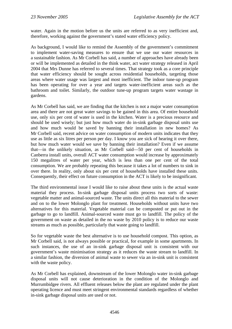water. Again in the motion before us the units are referred to as very inefficient and, therefore, working against the government's stated water efficiency policy.

As background, I would like to remind the Assembly of the government's commitment to implement water-saving measures to ensure that we use our water resources in a sustainable fashion. As Mr Corbell has said, a number of approaches have already been or will be implemented as detailed in the think water, act water strategy released in April 2004 that Mrs Dunne has referred to several times. That strategy took as a core principle that water efficiency should be sought across residential households, targeting those areas where water usage was largest and most inefficient. The indoor tune-up program has been operating for over a year and targets water-inefficient areas such as the bathroom and toilet. Similarly, the outdoor tune-up program targets water wastage in gardens.

As Mr Corbell has said, we are finding that the kitchen is not a major water consumption area and there are not great water savings to be gained in this area. Of entire household use, only six per cent of water is used in the kitchen. Water is a precious resource and should be used wisely; but just how much water do in-sink garbage disposal units use and how much would be saved by banning their installation in new homes? As Mr Corbell said, recent advice on water consumption of modern units indicates that they use as little as six litres per person per day. I know you are sick of hearing it over there, but how much water would we save by banning their installation? Even if we assume that—in the unlikely situation, as Mr Corbell said—50 per cent of households in Canberra install units, overall ACT water consumption would increase by approximately 150 megalitres of water per year, which is less than one per cent of the total consumption. We are probably repeating this because it takes a lot of numbers to sink in over there. In reality, only about six per cent of households have installed these units. Consequently, their effect on future consumption in the ACT is likely to be insignificant.

The third environmental issue I would like to raise about these units is the actual waste material they process. In-sink garbage disposal units process two sorts of waste: vegetable matter and animal-sourced waste. The units direct all this material to the sewer and on to the lower Molonglo plant for treatment. Households without units have two alternatives for this material. Vegetable material can be composted or put out in the garbage to go to landfill. Animal-sourced waste must go to landfill. The policy of the government on waste as detailed in the no waste by 2010 policy is to reduce our waste streams as much as possible, particularly that waste going to landfill.

So for vegetable waste the best alternative is to use household compost. This option, as Mr Corbell said, is not always possible or practical, for example in some apartments. In such instances, the use of an in-sink garbage disposal unit is consistent with our government's waste minimisation strategy as it reduces the waste stream to landfill. In a similar fashion, the diversion of animal waste to sewer via an in-sink unit is consistent with the waste policy.

As Mr Corbell has explained, downstream of the lower Molonglo water in-sink garbage disposal units will not cause deterioration in the condition of the Molonglo and Murrumbidgee rivers. All effluent releases below the plant are regulated under the plant operating licence and must meet stringent environmental standards regardless of whether in-sink garbage disposal units are used or not.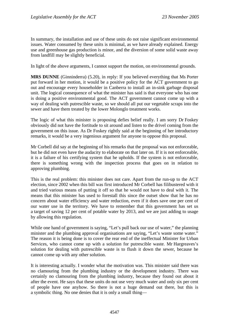In summary, the installation and use of these units do not raise significant environmental issues. Water consumed by these units is minimal, as we have already explained. Energy use and greenhouse gas production is minor, and the diversion of some solid waste away from landfill may be slightly beneficial.

In light of the above arguments, I cannot support the motion, on environmental grounds.

**MRS DUNNE** (Ginninderra) (5.20), in reply: If you believed everything that Ms Porter put forward in her motion, it would be a positive policy for the ACT government to go out and encourage every householder in Canberra to install an in-sink garbage disposal unit. The logical consequence of what the minister has said is that everyone who has one is doing a positive environmental good. The ACT government cannot come up with a way of dealing with putrescible waste, so we should all put our vegetable scraps into the sewer and have them treated by the lower Molonglo treatment works.

The logic of what this minister is proposing defies belief really. I am sorry Dr Foskey obviously did not have the fortitude to sit around and listen to the drivel coming from the government on this issue. As Dr Foskey rightly said at the beginning of her introductory remarks, it would be a very ingenious argument for anyone to oppose this proposal.

Mr Corbell did say at the beginning of his remarks that the proposal was not enforceable, but he did not even have the audacity to elaborate on that later on. If it is not enforceable, it is a failure of his certifying system that he upholds. If the system is not enforceable, there is something wrong with the inspection process that goes on in relation to approving plumbing.

This is the real problem: this minister does not care. Apart from the run-up to the ACT election, since 2002 when this bill was first introduced Mr Corbell has filibustered with it and tried various means of putting it off so that he would not have to deal with it. The means that this minister has used to forestall this since the outset show that he has no concern about water efficiency and water reduction, even if it does save one per cent of our water use in the territory. We have to remember that this government has set us a target of saving 12 per cent of potable water by 2013, and we are just adding to usage by allowing this regulation.

While one hand of government is saying, "Let's pull back our use of water," the planning minister and the plumbing approval organisations are saying, "Let's waste some water." The reason it is being done is to cover the rear end of the ineffectual Minister for Urban Services, who cannot come up with a solution for putrescible waste. Mr Hargreaves's solution for dealing with putrescible waste is to flush it down the sewer, because he cannot come up with any other solution.

It is interesting actually. I wonder what the motivation was. This minister said there was no clamouring from the plumbing industry or the development industry. There was certainly no clamouring from the plumbing industry, because they found out about it after the event. He says that these units do not use very much water and only six per cent of people have one anyhow. So there is not a huge demand out there, but this is a symbolic thing. No one denies that it is only a small thing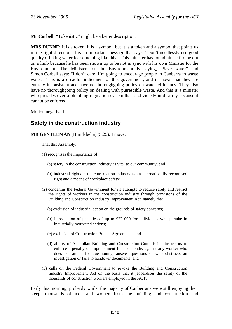**Mr Corbell**: "Tokenistic" might be a better description.

**MRS DUNNE**: It is a token, it is a symbol, but it is a token and a symbol that points us in the right direction. It is an important message that says, "Don't needlessly use good quality drinking water for something like this." This minister has found himself to be out on a limb because he has been shown up to be not in sync with his own Minister for the Environment. The Minister for the Environment is saying, "Save water" and Simon Corbell says: "I don't care. I'm going to encourage people in Canberra to waste water." This is a dreadful indictment of this government, and it shows that they are entirely inconsistent and have no thoroughgoing policy on water efficiency. They also have no thoroughgoing policy on dealing with putrescible waste. And this is a minister who presides over a plumbing regulation system that is obviously in disarray because it cannot be enforced.

Motion negatived.

# **Safety in the construction industry**

**MR GENTLEMAN** (Brindabella) (5.25): I move:

That this Assembly:

- (1) recognises the importance of:
	- (a) safety in the construction industry as vital to our community; and
	- (b) industrial rights in the construction industry as an internationally recognised right and a means of workplace safety;
- (2) condemns the Federal Government for its attempts to reduce safety and restrict the rights of workers in the construction industry through provisions of the Building and Construction Industry Improvement Act, namely the:
	- (a) exclusion of industrial action on the grounds of safety concerns;
	- (b) introduction of penalties of up to \$22 000 for individuals who partake in industrially motivated actions;
	- (c) exclusion of Construction Project Agreements; and
	- (d) ability of Australian Building and Construction Commission inspectors to enforce a penalty of imprisonment for six months against any worker who does not attend for questioning, answer questions or who obstructs an investigation or fails to handover documents; and
- (3) calls on the Federal Government to revoke the Building and Construction Industry Improvement Act on the basis that it jeopardises the safety of the thousands of construction workers employed in the ACT.

Early this morning, probably whilst the majority of Canberrans were still enjoying their sleep, thousands of men and women from the building and construction and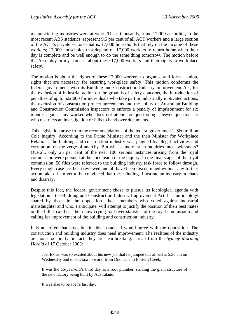manufacturing industries were at work. These thousands, some 17,000 according to the most recent ABS statistics, represent 9.5 per cent of all ACT workers and a large section of the ACT's private sector—that is, 17,000 households that rely on the income of these workers; 17,000 households that depend on 17,000 workers to return home when their day is complete and be well enough to do the same thing tomorrow. The motion before the Assembly in my name is about these 17,000 workers and their rights to workplace safety.

The motion is about the rights of these 17,000 workers to organise and form a union, rights that are necessary for ensuring workplace safety. This motion condemns the federal government, with its Building and Construction Industry Improvement Act, for the exclusion of industrial action on the grounds of safety concerns, the introduction of penalties of up to \$22,000 for individuals who take part in industrially motivated actions, the exclusion of construction project agreements and the ability of Australian Building and Construction Commission inspectors to enforce a penalty of imprisonment for six months against any worker who does not attend for questioning, answer questions or who obstructs an investigation or fails to hand over documents.

This legislation arose from the recommendations of the federal government's \$60 million Cole inquiry. According to the Prime Minister and the then Minister for Workplace Relations, the building and construction industry was plagued by illegal activities and corruption, on the verge of anarchy. But what came of such inquiries into lawlessness? Overall, only 25 per cent of the near 100 serious instances arising from the royal commission were pursued at the conclusion of the inquiry. In the final stages of the royal commission, 50 files were referred to the building industry task force to follow through. Every single case has been reviewed and all have been discontinued without any further action taken. I am yet to be convinced that these findings illustrate an industry in chaos and disarray.

Despite this fact, the federal government chose to pursue its ideological agenda with legislation—the Building and Construction Industry Improvement Act. It is an ideology shared by those in the opposition—those members who voted against industrial manslaughter and who, I anticipate, will attempt to justify the position of their best mates on the hill. I can hear them now crying foul over statistics of the royal commission and calling for improvement of the building and construction industry.

It is not often that I do, but in this instance I would agree with the opposition. The construction and building industry does need improvement. The realities of the industry are none too pretty; in fact, they are heartbreaking. I read from the *Sydney Morning Herald* of 17 October 2003:

Joel Exner was so excited about his new job that he jumped out of bed at 5.30 am on Wednesday and took a taxi to work, from Doonside to Eastern Creek.

It was the 16-year-old's third day as a roof plumber, striding the giant structure of the new factory being built by Australand.

It was also to be Joel's last day.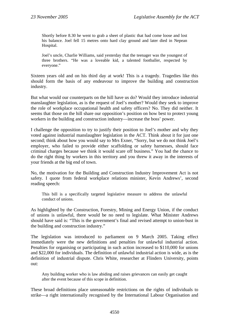Shortly before 8.30 he went to grab a sheet of plastic that had come loose and lost his balance. Joel fell 15 metres onto hard clay ground and later died in Nepean Hospital.

Joel's uncle, Charlie Williams, said yesterday that the teenager was the youngest of three brothers. "He was a loveable kid, a talented footballer, respected by everyone."

Sixteen years old and on his third day at work! This is a tragedy. Tragedies like this should form the basis of any endeavour to improve the building and construction industry.

But what would our counterparts on the hill have us do? Would they introduce industrial manslaughter legislation, as is the request of Joel's mother? Would they seek to improve the role of workplace occupational health and safety officers? No. They did neither. It seems that those on the hill share our opposition's position on how best to protect young workers in the building and construction industry—increase the boss' power.

I challenge the opposition to try to justify their position to Joel's mother and why they voted against industrial manslaughter legislation in the ACT. Think about it for just one second; think about how you would say to Mrs Exner, "Sorry, but we do not think Joel's employer, who failed to provide either scaffolding or safety harnesses, should face criminal charges because we think it would scare off business." You had the chance to do the right thing by workers in this territory and you threw it away in the interests of your friends at the big end of town.

No, the motivation for the Building and Construction Industry Improvement Act is not safety. I quote from federal workplace relations minister, Kevin Andrews', second reading speech:

This bill is a specifically targeted legislative measure to address the unlawful conduct of unions.

As highlighted by the Construction, Forestry, Mining and Energy Union, if the conduct of unions is unlawful, there would be no need to legislate. What Minister Andrews should have said is: "This is the government's final and revised attempt to union-bust in the building and construction industry."

The legislation was introduced to parliament on 9 March 2005. Taking effect immediately were the new definitions and penalties for unlawful industrial action. Penalties for organising or participating in such action increased to \$110,000 for unions and \$22,000 for individuals. The definition of unlawful industrial action is wide, as is the definition of industrial dispute. Chris White, researcher at Flinders University, points out:

Any building worker who is law abiding and raises grievances can easily get caught after the event because of this scope in definition.

These broad definitions place unreasonable restrictions on the rights of individuals to strike—a right internationally recognised by the International Labour Organisation and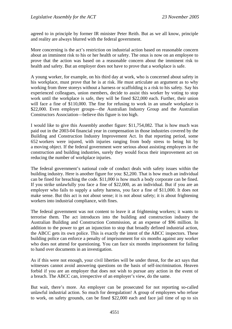agreed to in principle by former IR minister Peter Reith. But as we all know, principle and reality are always blurred with the federal government.

More concerning is the act's restriction on industrial action based on reasonable concern about an imminent risk to his or her health or safety. The onus is now on an employee to prove that the action was based on a reasonable concern about the imminent risk to health and safety. But an employer does not have to prove that a workplace is safe.

A young worker, for example, on his third day at work, who is concerned about safety in his workplace, must prove that he is at risk. He must articulate an argument as to why working from three storeys without a harness or scaffolding is a risk to his safety. Say his experienced colleagues, union members, decide to assist this worker by voting to stop work until the workplace is safe, they will be fined \$22,000 each. Further, their union will face a fine of \$110,000. The fine for refusing to work in an unsafe workplace is \$22,000. Even employer groups—the Australian Industry Group and the Australian Constructors Association—believe this figure is too high.

I would like to give this Assembly another figure: \$11,754,082. That is how much was paid out in the 2003-04 financial year in compensation in those industries covered by the Building and Construction Industry Improvement Act. In that reporting period, some 652 workers were injured, with injuries ranging from body stress to being hit by a moving object. If the federal government were serious about assisting employers in the construction and building industries, surely they would focus their improvement act on reducing the number of workplace injuries.

The federal government's national code of conduct deals with safety issues within the building industry. Here is another figure for you: \$2,200. That is how much an individual can be fined for breaching the code. \$11,000 is how much a body corporate can be fined. If you strike unlawfully you face a fine of \$22,000, as an individual. But if you are an employer who fails to supply a safety harness, you face a fine of \$11,000. It does not make sense. But this act is not about sense; it is not about safety; it is about frightening workers into industrial compliance, with fines.

The federal government was not content to leave it at frightening workers; it wants to terrorise them. The act introduces into the building and construction industry the Australian Building and Construction Commission, at an expense of \$96 million. In addition to the power to get an injunction to stop that broadly defined industrial action, the ABCC gets its own police. This is exactly the intent of the ABCC inspectors. These building police can enforce a penalty of imprisonment for six months against any worker who does not attend for questioning. You can face six months imprisonment for failing to hand over documents in an investigation.

As if this were not enough, your civil liberties will be under threat, for the act says that witnesses cannot avoid answering questions on the basis of self-incrimination. Heaven forbid if you are an employer that does not wish to pursue any action in the event of a breach. The ABCC can, irrespective of an employer's view, do the same.

But wait, there's more. An employer can be prosecuted for not reporting so-called unlawful industrial action. So much for deregulation! A group of employees who refuse to work, on safety grounds, can be fined \$22,000 each and face jail time of up to six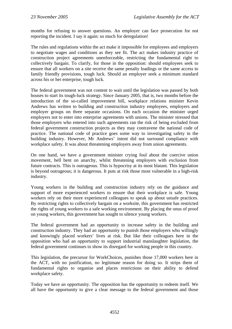months for refusing to answer questions. An employer can face prosecution for not reporting the incident. I say it again: so much for deregulation!

The rules and regulations within the act make it impossible for employees and employers to negotiate wages and conditions as they see fit. The act makes industry practice of construction project agreements unenforceable, restricting the fundamental right to collectively bargain. To clarify, for those in the opposition: should employees seek to ensure that all workers on a site receive the same penalty loadings or the same access to family friendly provisions, tough luck. Should an employer seek a minimum standard across his or her enterprise, tough luck.

The federal government was not content to wait until the legislation was passed by both houses to start its tough-luck strategy. Since January 2005, that is, two months before the introduction of the so-called improvement bill, workplace relations minister Kevin Andrews has written to building and construction industry employees, employers and employer groups on three separate occasions. On each occasion the minister urged employers not to enter into enterprise agreements with unions. The minister stressed that those employers who entered into such agreements ran the risk of being excluded from federal government construction projects as they may contravene the national code of practice. The national code of practice goes some way to investigating safety in the building industry. However, Mr Andrews' intent did not surround compliance with workplace safety. It was about threatening employers away from union agreements.

On one hand, we have a government minister crying foul about the coercive union movement, hell bent on anarchy, whilst threatening employers with exclusion from future contracts. This is outrageous. This is hypocrisy at its most blatant. This legislation is beyond outrageous; it is dangerous. It puts at risk those most vulnerable in a high-risk industry.

Young workers in the building and construction industry rely on the guidance and support of more experienced workers to ensure that their workplace is safe. Young workers rely on their more experienced colleagues to speak up about unsafe practices. By restricting rights to collectively bargain on a worksite, this government has restricted the rights of young workers to a safe working environment. By placing the onus of proof on young workers, this government has sought to silence young workers.

The federal government had an opportunity to increase safety in the building and construction industry. They had an opportunity to punish those employers who willingly and knowingly placed workers' lives at risk. But like their colleagues here in the opposition who had an opportunity to support industrial manslaughter legislation, the federal government continues to show its disregard for working people in this country.

This legislation, the precursor for WorkChoices, punishes those 17,000 workers here in the ACT, with no justification, no legitimate reason for doing so. It strips them of fundamental rights to organise and places restrictions on their ability to defend workplace safety.

Today we have an opportunity. The opposition has the opportunity to redeem itself. We all have the opportunity to give a clear message to the federal government and those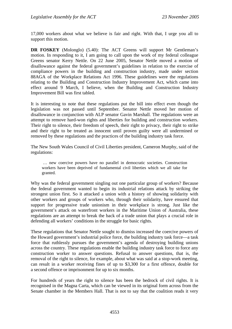17,000 workers about what we believe is fair and right. With that, I urge you all to support this motion.

**DR FOSKEY** (Molonglo) (5.40): The ACT Greens will support Mr Gentleman's motion. In responding to it, I am going to call upon the work of my federal colleague Greens senator Kerry Nettle. On 22 June 2005, Senator Nettle moved a motion of disallowance against the federal government's guidelines in relation to the exercise of compliance powers in the building and construction industry, made under section 88AGA of the Workplace Relations Act 1996. These guidelines were the regulations relating to the Building and Construction Industry Improvement Act, which came into effect around 9 March, I believe, when the Building and Construction Industry Improvement Bill was first tabled.

It is interesting to note that these regulations put the bill into effect even though the legislation was not passed until September. Senator Nettle moved her motion of disallowance in conjunction with ALP senator Gavin Marshall. The regulations were an attempt to remove hard-won rights and liberties for building and construction workers. Their right to silence, their freedom of speech, their right to privacy, their right to strike and their right to be treated as innocent until proven guilty were all undermined or removed by these regulations and the practices of the building industry task force.

The New South Wales Council of Civil Liberties president, Cameron Murphy, said of the regulations:

 … new coercive powers have no parallel in democratic societies. Construction workers have been deprived of fundamental civil liberties which we all take for granted.

Why was the federal government singling out one particular group of workers? Because the federal government wanted to begin its industrial relations attack by striking the strongest union first. So it attacked a union with a history of showing solidarity with other workers and groups of workers who, through their solidarity, have ensured that support for progressive trade unionism in their workplace is strong. Just like the government's attack on waterfront workers in the Maritime Union of Australia, these regulations are an attempt to break the back of a trade union that plays a crucial role in defending all workers' conditions in the struggle for basic rights.

These regulations that Senator Nettle sought to dismiss increased the coercive powers of the Howard government's industrial police force, the building industry task force—a task force that ruthlessly pursues the government's agenda of destroying building unions across the country. These regulations enable the building industry task force to force any construction worker to answer questions. Refusal to answer questions, that is, the removal of the right to silence, for example, about what was said at a stop-work meeting, can result in a worker receiving fines of up to \$3,300 for a first offence, double for a second offence or imprisonment for up to six months.

For hundreds of years the right to silence has been the bedrock of civil rights. It is recognised in the Magna Carta, which can be viewed in its original form across from the Senate chamber in the Members Hall. That is not to say that the coalition reads it very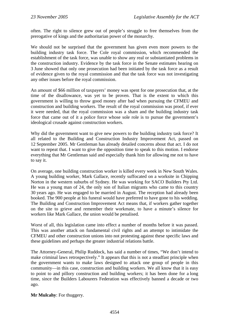often. The right to silence grew out of people's struggle to free themselves from the prerogative of kings and the authoritarian power of the monarchy.

We should not be surprised that the government has given even more powers to the building industry task force. The Cole royal commission, which recommended the establishment of the task force, was unable to show any real or substantiated problems in the construction industry. Evidence by the task force in the Senate estimates hearing on 3 June showed that only one prosecution had been initiated by the task force as a result of evidence given to the royal commission and that the task force was not investigating any other issues before the royal commission.

An amount of \$66 million of taxpayers' money was spent for one prosecution that, at the time of the disallowance, was yet to be proven. That is the extent to which this government is willing to throw good money after bad when pursuing the CFMEU and construction and building workers. The result of the royal commission was proof, if ever it were needed, that the royal commission was a sham and the building industry task force that came out of it a police force whose sole role is to pursue the government's ideological crusade against construction workers.

Why did the government want to give new powers to the building industry task force? It all related to the Building and Construction Industry Improvement Act, passed on 12 September 2005. Mr Gentleman has already detailed concerns about that act. I do not want to repeat that. I want to give the opposition time to speak to this motion. I endorse everything that Mr Gentleman said and especially thank him for allowing me not to have to say it.

On average, one building construction worker is killed every week in New South Wales. A young building worker, Mark Gallace, recently suffocated on a worksite in Chipping Norton in the western suburbs of Sydney. He was working for SACO Builders Pty Ltd. He was a young man of 24, the only son of Italian migrants who came to this country 30 years ago. He was engaged to be married in August. The reception had already been booked. The 900 people at his funeral would have preferred to have gone to his wedding. The Building and Construction Improvement Act means that, if workers gather together on the site to grieve and remember their workmate, to have a minute's silence for workers like Mark Gallace, the union would be penalised.

Worst of all, this legislation came into effect a number of months before it was passed. This was another attack on fundamental civil rights and an attempt to intimidate the CFMEU and other construction unions into not protesting against these specific laws and these guidelines and perhaps the greater industrial relations battle.

The Attorney-General, Philip Ruddock, has said a number of times, "We don't intend to make criminal laws retrospectively." It appears that this is not a steadfast principle when the government wants to make laws designed to attack one group of people in this community—in this case, construction and building workers. We all know that it is easy to point to and pillory construction and building workers; it has been done for a long time, since the Builders Labourers Federation was effectively banned a decade or two ago.

**Mr Mulcahy**: For thuggery.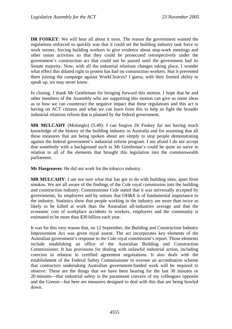**DR FOSKEY**: We will hear all about it soon. The reason the government wanted the regulations enforced so quickly was that it could set the building industry task force to work sooner, forcing building workers to give evidence about stop-work meetings and other union activities so that they could be prosecuted retrospectively under the government's construction act that could not be passed until the government had its Senate majority. Now, with all the industrial relations changes taking place, I wonder what effect this diluted right to protest has had on construction workers. Has it prevented them joining the campaign against WorkChoices? I guess, with their limited ability to speak up, we may never know.

In closing, I thank Mr Gentleman for bringing forward this motion. I hope that he and other members of the Assembly who are supporting this motion can give us some ideas as to how we can counteract the negative impact that these regulations and this act is having on ACT citizens and what we can learn from this to help us fight the broader industrial relations reform that is planned by the federal government.

**MR MULCAHY** (Molonglo) (5.49): I can forgive Dr Foskey for not having much knowledge of the history of the building industry in Australia and for assuming that all these measures that are being spoken about are simply to stop people demonstrating against the federal government's industrial reform program. I am afraid I do not accept that somebody with a background such as Mr Gentleman's could be quite so naive in relation to all of the elements that brought this legislation into the commonwealth parliament.

**Mr Hargreaves**: He did not work for the tobacco industry.

**MR MULCAHY**: I am not sure what that has got to do with building sites, apart from smokos. We are all aware of the findings of the Cole royal commission into the building and construction industry. Commissioner Cole stated that it was universally accepted by governments, by employers and by unions that OH&S is of fundamental importance to the industry. Statistics show that people working in the industry are more than twice as likely to be killed at work than the Australian all-industries average and that the economic cost of workplace accidents to workers, employers and the community is estimated to be more than \$30 billion each year.

It was for this very reason that, on 12 September, the Building and Construction Industry Improvement Act was given royal assent. The act incorporates key elements of the Australian government's response to the Cole royal commission's report. Those elements include establishing an office of the Australian Building and Construction Commissioner. It has provisions for dealing with unlawful industrial action, including coercion in relation to certified agreement negotiations. It also deals with the establishment of the Federal Safety Commissioner to oversee an accreditation scheme that contractors undertaking Australian government-funded work will be required to observe. These are the things that we have been hearing for the last 30 minutes or 20 minutes—that industrial safety is the paramount concern of my colleagues opposite and the Greens—but here are measures designed to deal with this that are being howled down.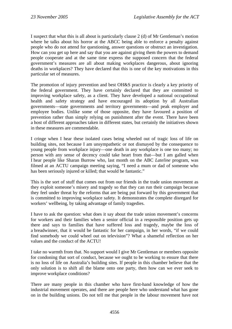I suspect that what this is all about is particularly clause 2 (d) of Mr Gentleman's motion where he talks about his horror at the ABCC being able to enforce a penalty against people who do not attend for questioning, answer questions or obstruct an investigation. How can you get up here and say that you are against giving them the powers to demand people cooperate and at the same time express the supposed concern that the federal government's measures are all about making workplaces dangerous, about ignoring deaths in workplaces? They have declared that this is one of the key motivations in this particular set of measures.

The promotion of injury prevention and best OH&S practice is clearly a key priority of the federal government. They have certainly declared that they are committed to improving workplace safety, as a client. They have developed a national occupational health and safety strategy and have encouraged its adoption by all Australian governments—state governments and territory governments—and peak employer and employee bodies. Unlike some of those opposite, they have favoured a position of prevention rather than simply relying on punishment after the event. There have been a host of different approaches taken in different states, but certainly the initiatives shown in these measures are commendable.

I cringe when I hear these isolated cases being wheeled out of tragic loss of life on building sites, not because I am unsympathetic or not dismayed by the consequence to young people from workplace injury—one death in any workplace is one too many; no person with any sense of decency could take heart from that—but I am galled when I hear people like Sharan Burrow who, last month on the ABC *Lateline* program, was filmed at an ACTU campaign meeting saying, "I need a mum or dad of someone who has been seriously injured or killed; that would be fantastic."

This is the sort of stuff that comes out from our friends in the trade union movement as they exploit someone's misery and tragedy so that they can run their campaign because they feel under threat by the reforms that are being put forward by this government that is committed to improving workplace safety. It demonstrates the complete disregard for workers' wellbeing, by taking advantage of family tragedies.

I have to ask the question: what does it say about the trade union movement's concerns for workers and their families when a senior official in a responsible position gets up there and says to families that have suffered loss and tragedy, maybe the loss of a breadwinner, that it would be fantastic for her campaign, in her words, "if we could find somebody we could wheel out on television"? What a shameful reflection on her values and the conduct of the ACTU!

I take no warmth from that. No support would I give Mr Gentleman or members opposite for condoning that sort of conduct, because we ought to be working to ensure that there is no loss of life on Australia's building sites. If people in this chamber believe that the only solution is to shift all the blame onto one party, then how can we ever seek to improve workplace conditions?

There are many people in this chamber who have first-hand knowledge of how the industrial movement operates, and there are people here who understand what has gone on in the building unions. Do not tell me that people in the labour movement have not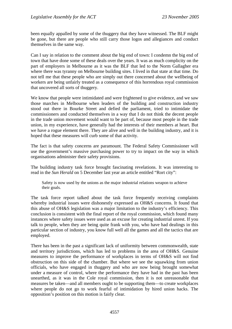been equally appalled by some of the thuggery that they have witnessed. The BLF might be gone, but there are people who still carry those logos and allegiances and conduct themselves in the same way.

Can I say in relation to the comment about the big end of town: I condemn the big end of town that have done some of these deals over the years. It was as much complicity on the part of employers in Melbourne as it was the BLF that led to the Norm Gallagher era where there was tyranny on Melbourne building sites. I lived in that state at that time. Do not tell me that these people who are simply out there concerned about the wellbeing of workers are being unfairly treated as a consequence of this horrendous royal commission that uncovered all sorts of thuggery.

We know that people were intimidated and were frightened to give evidence, and we saw those marches in Melbourne when leaders of the building and construction industry stood out there in Bourke Street and defied the parliament, tried to intimidate the commissioners and conducted themselves in a way that I do not think the decent people in the trade union movement would want to be part of, because most people in the trade union, in my experience, have generally had the interests of their members at heart. But we have a rogue element there. They are alive and well in the building industry, and it is hoped that these measures will curb some of that activity.

The fact is that safety concerns are paramount. The Federal Safety Commissioner will use the government's massive purchasing power to try to impact on the way in which organisations administer their safety provisions.

The building industry task force brought fascinating revelations. It was interesting to read in the *Sun Herald* on 5 December last year an article entitled "Rort city":

Safety is now used by the unions as the major industrial relations weapon to achieve their goals.

The task force report talked about the task force frequently receiving complaints whereby industrial issues were dishonestly expressed as OH&S concerns. It found that this abuse of OH&S legislation was a major limitation to the industry's efficiency. This conclusion is consistent with the final report of the royal commission, which found many instances where safety issues were used as an excuse for creating industrial unrest. If you talk to people, when they are being quite frank with you, who have had dealings in this particular section of industry, you know full well all the games and all the tactics that are employed.

There has been in the past a significant lack of uniformity between commonwealth, state and territory jurisdictions, which has led to problems in the area of OH&S. Genuine measures to improve the performance of workplaces in terms of OH&S will not find obstruction on this side of the chamber. But where we see the squawking from union officials, who have engaged in thuggery and who are now being brought somewhat under a measure of control, where the performance they have had in the past has been unearthed, as it was in the Cole royal commission, then it is not unreasonable that measures be taken—and all members ought to be supporting them—to create workplaces where people do not go to work fearful of intimidation by hired union hacks. The opposition's position on this motion is fairly clear.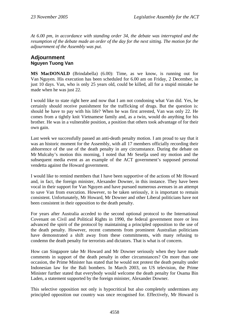*At 6.00 pm, in accordance with standing order 34, the debate was interrupted and the resumption of the debate made an order of the day for the next sitting. The motion for the adjournment of the Assembly was put.* 

## **Adjournment Nguyen Tuong Van**

**MS MacDONALD** (Brindabella) (6.00): Time, as we know, is running out for Van Nguyen. His execution has been scheduled for 6.00 am on Friday, 2 December, in just 10 days. Van, who is only 25 years old, could be killed, all for a stupid mistake he made when he was just 22.

I would like to state right here and now that I am not condoning what Van did. Yes, he certainly should receive punishment for the trafficking of drugs. But the question is: should he have to pay with his life? When he was first arrested, Van was only 22. He comes from a tightly knit Vietnamese family and, as a twin, would do anything for his brother. He was in a vulnerable position, a position that others took advantage of for their own gain.

Last week we successfully passed an anti-death penalty motion. I am proud to say that it was an historic moment for the Assembly, with all 17 members officially recording their abhorrence of the use of the death penalty in any circumstance. During the debate on Mr Mulcahy's motion this morning, I noted that Mr Seselja used my motion and the subsequent media event as an example of the ACT government's supposed personal vendetta against the Howard government.

I would like to remind members that I have been supportive of the actions of Mr Howard and, in fact, the foreign minister, Alexander Downer, in this instance. They have been vocal in their support for Van Nguyen and have pursued numerous avenues in an attempt to save Van from execution. However, to be taken seriously, it is important to remain consistent. Unfortunately, Mr Howard, Mr Downer and other Liberal politicians have not been consistent in their opposition to the death penalty.

For years after Australia acceded to the second optional protocol to the International Covenant on Civil and Political Rights in 1990, the federal government more or less advanced the spirit of the protocol by maintaining a principled opposition to the use of the death penalty. However, recent comments from prominent Australian politicians have demonstrated a shift away from these commitments, with many refusing to condemn the death penalty for terrorists and dictators. That is what is of concern.

How can Singapore take Mr Howard and Mr Downer seriously when they have made comments in support of the death penalty in other circumstances? On more than one occasion, the Prime Minister has stated that he would not protest the death penalty under Indonesian law for the Bali bombers. In March 2003, on US television, the Prime Minister further stated that everybody would welcome the death penalty for Osama Bin Laden, a statement supported by the foreign minister, Alexander Downer.

This selective opposition not only is hypocritical but also completely undermines any principled opposition our country was once recognised for. Effectively, Mr Howard is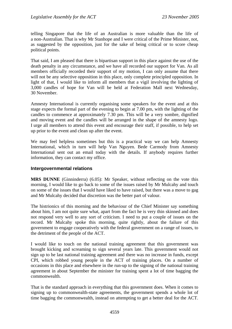telling Singapore that the life of an Australian is more valuable than the life of a non-Australian. That is why Mr Stanhope and I were critical of the Prime Minister, not, as suggested by the opposition, just for the sake of being critical or to score cheap political points.

That said, I am pleased that there is bipartisan support in this place against the use of the death penalty in any circumstance, and we have all recorded our support for Van. As all members officially recorded their support of my motion, I can only assume that there will not be any selective opposition in this place, only complete principled opposition. In light of that, I would like to inform all members that a vigil involving the lighting of 3,000 candles of hope for Van will be held at Federation Mall next Wednesday, 30 November.

Amnesty International is currently organising some speakers for the event and at this stage expects the formal part of the evening to begin at 7.00 pm, with the lighting of the candles to commence at approximately 7.30 pm. This will be a very sombre, dignified and moving event and the candles will be arranged in the shape of the amnesty logo. I urge all members to attend this event and encourage their staff, if possible, to help set up prior to the event and clean up after the event.

We may feel helpless sometimes but this is a practical way we can help Amnesty International, which in turn will help Van Nguyen. Bede Carmody from Amnesty International sent out an email today with the details. If anybody requires further information, they can contact my office.

#### **Intergovernmental relations**

**MRS DUNNE** (Ginninderra) (6.05): Mr Speaker, without reflecting on the vote this morning, I would like to go back to some of the issues raised by Mr Mulcahy and touch on some of the issues that I would have liked to have raised, but there was a move to gag and Mr Mulcahy decided that discretion was the better part of valour.

The histrionics of this morning and the behaviour of the Chief Minister say something about him, I am not quite sure what, apart from the fact he is very thin skinned and does not respond very well to any sort of criticism. I need to put a couple of issues on the record. Mr Mulcahy spoke this morning, quite rightly, about the failure of this government to engage cooperatively with the federal government on a range of issues, to the detriment of the people of the ACT.

I would like to touch on the national training agreement that this government was brought kicking and screaming to sign several years late. This government would not sign up to he last national training agreement and there was no increase in funds, except CPI, which robbed young people in the ACT of training places. On a number of occasions in this place and elsewhere in the run-up to the signing of the national training agreement in about September the minister for training spent a lot of time bagging the commonwealth.

That is the standard approach in everything that this government does. When it comes to signing up to commonwealth-state agreements, the government spends a whole lot of time bagging the commonwealth, instead on attempting to get a better deal for the ACT.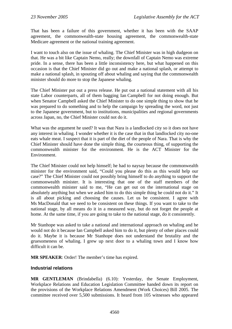That has been a failure of this government, whether it has been with the SAAP agreement, the commonwealth-state housing agreement, the commonwealth-state Medicare agreement or the national training agreement.

I want to touch also on the issue of whaling. The Chief Minister was in high dudgeon on that. He was a bit like Captain Nemo, really; the downfall of Captain Nemo was extreme pride. In a sense, there has been a little inconsistency here, but what happened on this occasion is that the Chief Minister did go out and make a national splash, or attempt to make a national splash, in spouting off about whaling and saying that the commonwealth minister should do more to stop the Japanese whaling.

The Chief Minister put out a press release. He put out a national statement with all his state Labor counterparts, all of them bagging Ian Campbell for not doing enough. But when Senator Campbell asked the Chief Minister to do one simple thing to show that he was prepared to do something and to help the campaign by spreading the word, not just to the Japanese government, but to institutions, municipalities and regional governments across Japan, no, the Chief Minister could not do it.

What was the argument he used? It was that Nara is a landlocked city so it does not have any interest in whaling. I wonder whether it is the case that in that landlocked city no-one eats whale meat. I suspect that it is part of the diet of the people of Nara. That is why the Chief Minister should have done the simple thing, the courteous thing, of supporting the commonwealth minister for the environment. He is the ACT Minister for the Environment.

The Chief Minister could not help himself; he had to naysay because the commonwealth minister for the environment said, "Could you please do this as this would help our case?" The Chief Minister could not possibly bring himself to do anything to support the commonwealth minister. It is interesting that one of the staff members of the commonwealth minister said to me, "He can get out on the international stage on absolutely anything but when we asked him to do this simple thing he could not do it." It is all about picking and choosing the causes. Let us be consistent. I agree with Ms MacDonald that we need to be consistent on these things. If you want to take to the national stage, by all means do it in a measured way, but do not forget the people at home. At the same time, if you are going to take to the national stage, do it consistently.

Mr Stanhope was asked to take a national and international approach on whaling and he would not do it because Ian Campbell asked him to do it, but plenty of other places could do it. Maybe it is because Mr Stanhope does not understand the brutality and the gruesomeness of whaling. I grew up next door to a whaling town and I know how difficult it can be.

**MR SPEAKER**: Order! The member's time has expired.

#### **Industrial relations**

**MR GENTLEMAN** (Brindabella) (6.10): Yesterday, the Senate Employment, Workplace Relations and Education Legislation Committee handed down its report on the provisions of the Workplace Relations Amendment (Work Choices) Bill 2005. The committee received over 5,500 submissions. It heard from 105 witnesses who appeared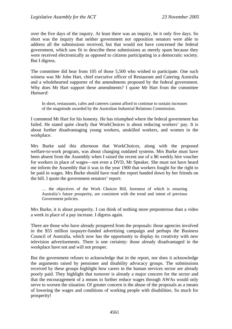over the five days of the inquiry. At least there was an inquiry, be it only five days. So short was the inquiry that neither government nor opposition senators were able to address all the submissions received, but that would not have concerned the federal government, which saw fit to describe these submissions as merely spam because they were received electronically as opposed to citizens participating in a democratic society. But I digress.

The committee did hear from 105 of those 5,500 who wished to participate. One such witness was Mr John Hart, chief executive officer of Restaurant and Catering Australia and a wholehearted supporter of the amendments proposed by the federal government. Why does Mr Hart support these amendments? I quote Mr Hart from the committee *Hansard*:

In short, restaurants, cafes and caterers cannot afford to continue to sustain increases of the magnitude awarded by the Australian Industrial Relations Commission.

I commend Mr Hart for his honesty. He has triumphed where the federal government has failed. He stated quite clearly that WorkChoices is about reducing workers' pay. It is about further disadvantaging young workers, unskilled workers, and women in the workplace.

Mrs Burke said this afternoon that WorkChoices, along with the proposed welfare-to-work program, was about changing outdated systems. Mrs Burke must have been absent from the Assembly when I raised the recent use of a \$6 weekly hire voucher for workers in place of wages—not even a DVD, Mr Speaker. She must not have heard me inform the Assembly that it was in the year 1900 that workers fought for the right to be paid in wages. Mrs Burke should have read the report handed down by her friends on the hill. I quote the government senators' report:

… the objectives of the Work Choices Bill, foremost of which is ensuring Australia's future prosperity, are consistent with the trend and intent of previous Government policies.

Mrs Burke, it is about prosperity. I can think of nothing more preposterous than a video a week in place of a pay increase. I digress again.

There are those who have already prospered from the proposals: those agencies involved in the \$55 million taxpayer-funded advertising campaign and perhaps the Business Council of Australia, which now has the opportunity to display its creativity with new television advertisements. There is one certainty: those already disadvantaged in the workplace have not and will not prosper.

But the government refuses to acknowledge that in the report, nor does it acknowledge the arguments raised by pensioner and disability advocacy groups. The submissions received by these groups highlight how carers in the human services sector are already poorly paid. They highlight that turnover is already a major concern for the sector and that the encouragement of a means to further reduce wages through AWAs would only serve to worsen the situation. Of greater concern is the abuse of the proposals as a means of lowering the wages and conditions of working people with disabilities. So much for prosperity!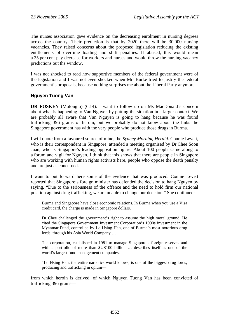The nurses association gave evidence on the decreasing enrolment in nursing degrees across the country. Their prediction is that by 2020 there will be 30,000 nursing vacancies. They raised concerns about the proposed legislation reducing the existing entitlements of overtime loading and shift penalties. If abused, this would mean a 25 per cent pay decrease for workers and nurses and would throw the nursing vacancy predictions out the window.

I was not shocked to read how supportive members of the federal government were of the legislation and I was not even shocked when Mrs Burke tried to justify the federal government's proposals, because nothing surprises me about the Liberal Party anymore.

### **Nguyen Tuong Van**

**DR FOSKEY** (Molonglo) (6.14): I want to follow up on Ms MacDonald's concern about what is happening to Van Nguyen by putting the situation in a larger context. We are probably all aware that Van Nguyen is going to hang because he was found trafficking 396 grams of heroin, but we probably do not know about the links the Singapore government has with the very people who produce those drugs in Burma.

I will quote from a favoured source of mine, the *Sydney Morning Herald*. Connie Levett, who is their correspondent in Singapore, attended a meeting organised by Dr Chee Soon Juan, who is Singapore's leading opposition figure. About 100 people came along to a forum and vigil for Nguyen. I think that this shows that there are people in Singapore who are working with human rights activists here, people who oppose the death penalty and are just as concerned.

I want to put forward here some of the evidence that was produced. Connie Levett reported that Singapore's foreign minister has defended the decision to hang Nguyen by saying, "Due to the seriousness of the offence and the need to hold firm our national position against drug trafficking, we are unable to change our decision." She continued:

Burma and Singapore have close economic relations. In Burma when you use a Visa credit card, the charge is made in Singapore dollars.

Dr Chee challenged the government's right to assume the high moral ground. He cited the Singapore Government Investment Corporation's 1990s investment in the Myanmar Fund, controlled by Lo Hsing Han, one of Burma's most notorious drug lords, through his Asia World Company …

The corporation, established in 1981 to manage Singapore's foreign reserves and with a portfolio of more than \$US100 billion … describes itself as one of the world's largest fund management companies.

"Lo Hsing Han, the entire narcotics world knows, is one of the biggest drug lords, producing and trafficking in opium—

from which heroin is derived, of which Nguyen Tuong Van has been convicted of trafficking 396 grams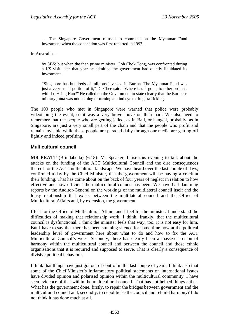… The Singapore Government refused to comment on the Myanmar Fund investment when the connection was first reported in 1997—

in Australia—

by SBS; but when the then prime minister, Goh Chok Tong, was confronted during a US visit later that year he admitted the government had quietly liquidated its investment.

"Singapore has hundreds of millions invested in Burma. The Myanmar Fund was just a very small portion of it," Dr Chee said. "Where has it gone, to other projects with Lo Hsing Han?" He called on the Government to state clearly that the Burmese military junta was not helping or turning a blind eye to drug trafficking.

The 100 people who met in Singapore were warned that police were probably videotaping the event, so it was a very brave move on their part. We also need to remember that the people who are getting jailed, as in Bali, or hanged, probably, as in Singapore, are just a very small part of the chain and that the people who profit and remain invisible while these people are paraded daily through our media are getting off lightly and indeed profiting.

#### **Multicultural council**

**MR PRATT** (Brindabella) (6.18): Mr Speaker, I rise this evening to talk about the attacks on the funding of the ACT Multicultural Council and the dire consequences thereof for the ACT multicultural landscape. We have heard over the last couple of days, confirmed today by the Chief Minister, that the government will be having a crack at their funding. That has come about on the back of four years of neglect in relation to how effective and how efficient the multicultural council has been. We have had damming reports by the Auditor-General on the workings of the multilateral council itself and the lousy relationship that exists between the multilateral council and the Office of Multicultural Affairs and, by extension, the government.

I feel for the Office of Multicultural Affairs and I feel for the minister. I understand the difficulties of making that relationship work. I think, frankly, that the multicultural council is dysfunctional. I think the minister feels that way, too. It is not easy for him. But I have to say that there has been stunning silence for some time now at the political leadership level of government here about what to do and how to fix the ACT Multicultural Council's woes. Secondly, there has clearly been a massive erosion of harmony within the multicultural council and between the council and those ethnic organisations that it is required and supposed to serve. That is clearly a consequence of divisive political behaviour.

I think that things have just got out of control in the last couple of years. I think also that some of the Chief Minister's inflammatory political statements on international issues have divided opinion and polarised opinion within the multicultural community. I have seen evidence of that within the multicultural council. That has not helped things either. What has the government done, firstly, to repair the bridges between government and the multicultural council and, secondly, to depoliticise the council and rebuild harmony? I do not think it has done much at all.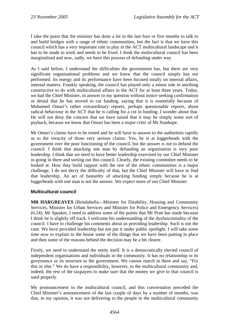I take the point that the minister has done a lot in the last four or five months to talk to and build bridges with a range of ethnic communities, but the fact is that we have this council which has a very important role to play in the ACT multicultural landscape and it has to be made to work and needs to be fixed. I think the multicultural council has been marginalised and now, sadly, we have this process of defunding under way.

As I said before, I understand the difficulties the government has, but there are very significant organisational problems and we know that the council simply has not performed. Its energy and its performance have been focused totally on internal affairs, internal matters. Frankly speaking, the council has played only a minor role in anything constructive to do with multicultural affairs in the ACT for at least three years. Today, we had the Chief Minister, in answer to my question without notice seeking confirmation or denial that he has moved to cut funding, saying that it is essentially because of Mohamed Omari's rather extraordinary reports, perhaps questionable reports, about radical behaviour in the ACT that he is calling for a cut in funding. I wonder about that. He will not deny the concern that we have raised that it may be simply some sort of payback, because we know that Omari has been a major critic of Mr Stanhope.

Mr Omari's claims have to be tested and he will have to answer to the authorities rapidly as to the veracity of those very serious claims. Yes, he is at loggerheads with the government over the poor functioning of the council, but the answer is not to defund the council. I think that attacking one man by defunding an organisation is very poor leadership. I think that we need to have better leadership exercised by our Chief Minister in going in there and sorting out this council. Clearly, the existing committee needs to be looked at. How they build rapport with the rest of the ethnic communities is a major challenge. I do not decry the difficulty of that, but the Chief Minister will have to find that leadership. An act of bastardry of attacking funding simply because he is at loggerheads with one man is not the answer. We expect more of our Chief Minister.

### **Multicultural council**

**MR HARGREAVES** (Brindabella—Minister for Disability, Housing and Community Services, Minister for Urban Services and Minister for Police and Emergency Services) (6.24): Mr Speaker, I need to address some of the points that Mr Pratt has made because I think he is slightly off track. I welcome his understanding of the dysfunctionality of the council. I have to challenge his comments about us providing leadership. Such is not the case. We have provided leadership but not put it under public spotlight. I will take some time now to explain to the house some of the things that we have been putting in place and then some of the reasons behind the decision may be a bit clearer.

Firstly, we need to understand the entity itself. It is a democratically elected council of independent organisations and individuals in the community. It has no relationship in its governance or its structure to the government. We cannot march in there and say, "Fix this or else." We do have a responsibility, however, to the multicultural community and, indeed, the rest of the taxpayers to make sure that the money we give to that council is used properly.

My pronouncement to the multicultural council, and this conversation preceded the Chief Minister's announcement of the last couple of days by a number of months, was that, in my opinion, it was not delivering to the people in the multicultural community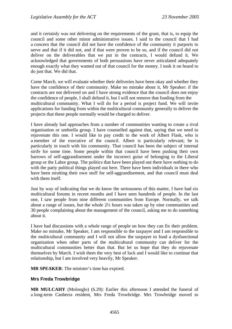and it certainly was not delivering on the requirements of the grant, that is, to equip the council and some other minor administrative issues. I said to the council that I had a concern that the council did not have the confidence of the community it purports to serve and that if it did not, and if that were proven to be so, and if the council did not deliver on the deliverables that we put in the contracts, I would defund it. We acknowledged that governments of both persuasions have never articulated adequately enough exactly what they wanted out of that council for the money. I took it on board to do just that. We did that.

Come March, we will evaluate whether their deliveries have been okay and whether they have the confidence of their community. Make no mistake about it, Mr Speaker: if the contracts are not delivered on and I have strong evidence that the council does not enjoy the confidence of people, I shall defund it, but I will not remove that funding from the multicultural community. What I will do for a period is project fund. We will invite applications for funding from within the multicultural community generally to deliver the projects that these people normally would be charged to deliver.

I have already had approaches from a number of communities wanting to create a rival organisation or umbrella group. I have counselled against that, saying that we need to rejuvenate this one. I would like to pay credit to the work of Albert Flask, who is a member of the executive of the council. Albert is particularly relevant; he is particularly in touch with his community. That council has been the subject of internal strife for some time. Some people within that council have been pushing their own barrows of self-aggrandisement under the incorrect guise of belonging to the Liberal group or the Labor group. The politics that have been played out there have nothing to do with the party political things played out here. There have been individuals in there who have been strutting their own stuff for self-aggrandisement, and that council must deal with them itself.

Just by way of indicating that we do know the seriousness of this matter, I have had six multicultural forums in recent months and I have seen hundreds of people. In the last one, I saw people from nine different communities from Europe. Normally, we talk about a range of issues, but the whole 2½ hours was taken up by nine communities and 30 people complaining about the management of the council, asking me to do something about it.

I have had discussions with a whole range of people on how they can fix their problem. Make no mistake, Mr Speaker, I am responsible to the taxpayer and I am responsible to the multicultural community and I will not allow the taxpayer to fund a dysfunctional organisation when other parts of the multicultural community can deliver for the multicultural communities better than that. But let us hope that they do rejuvenate themselves by March. I wish them the very best of luck and I would like to continue that relationship, but I am involved very heavily, Mr Speaker.

**MR SPEAKER**: The minister's time has expired.

### **Mrs Freda Trowbridge**

**MR MULCAHY** (Molonglo) (6.29): Earlier this afternoon I attended the funeral of a long-term Canberra resident, Mrs Freda Trowbridge. Mrs Trowbridge moved to